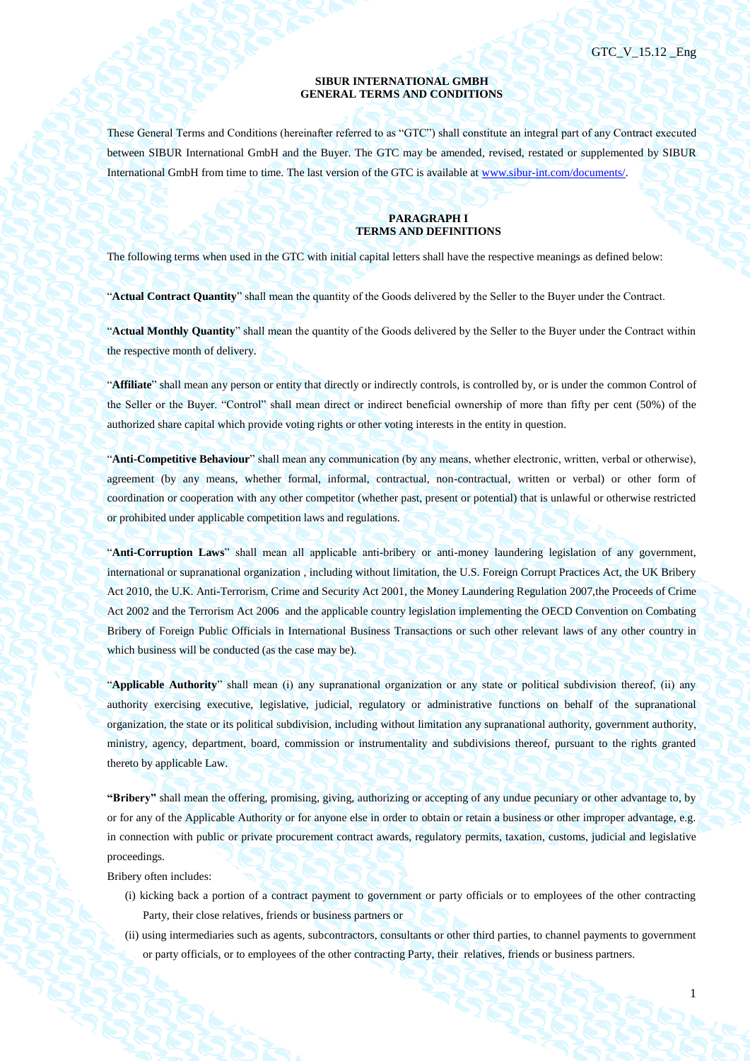1

## **SIBUR INTERNATIONAL GMBH GENERAL TERMS AND CONDITIONS**

These General Terms and Conditions (hereinafter referred to as "GTC") shall constitute an integral part of any Contract executed between SIBUR International GmbH and the Buyer. The GTC may be amended, revised, restated or supplemented by SIBUR International GmbH from time to time. The last version of the GTC is available a[t www.sibur-int.com/documents/.](http://www.sibur-int.com/documents/)

#### **PARAGRAPH I TERMS AND DEFINITIONS**

The following terms when used in the GTC with initial capital letters shall have the respective meanings as defined below:

"**Actual Contract Quantity**" shall mean the quantity of the Goods delivered by the Seller to the Buyer under the Contract.

"**Actual Monthly Quantity**" shall mean the quantity of the Goods delivered by the Seller to the Buyer under the Contract within the respective month of delivery.

"**Affiliate**" shall mean any person or entity that directly or indirectly controls, is controlled by, or is under the common Control of the Seller or the Buyer. "Control" shall mean direct or indirect beneficial ownership of more than fifty per cent (50%) of the authorized share capital which provide voting rights or other voting interests in the entity in question.

"**Anti-Competitive Behaviour**" shall mean any communication (by any means, whether electronic, written, verbal or otherwise), agreement (by any means, whether formal, informal, contractual, non-contractual, written or verbal) or other form of coordination or cooperation with any other competitor (whether past, present or potential) that is unlawful or otherwise restricted or prohibited under applicable competition laws and regulations.

"**Anti-Corruption Laws**" shall mean all applicable anti-bribery or anti-money laundering legislation of any government, international or supranational organization , including without limitation, the U.S. Foreign Corrupt Practices Act, the UK Bribery Act 2010, the U.K. Anti-Terrorism, Crime and Security Act 2001, the Money Laundering Regulation 2007,the Proceeds of Crime Act 2002 and the Terrorism Act 2006 and the applicable country legislation implementing the OECD Convention on Combating Bribery of Foreign Public Officials in International Business Transactions or such other relevant laws of any other country in which business will be conducted (as the case may be).

"**Applicable Authority**" shall mean (i) any supranational organization or any state or political subdivision thereof, (ii) any authority exercising executive, legislative, judicial, regulatory or administrative functions on behalf of the supranational organization, the state or its political subdivision, including without limitation any supranational authority, government authority, ministry, agency, department, board, commission or instrumentality and subdivisions thereof, pursuant to the rights granted thereto by applicable Law.

**"Bribery"** shall mean the offering, promising, giving, authorizing or accepting of any undue pecuniary or other advantage to, by or for any of the Applicable Authority or for anyone else in order to obtain or retain a business or other improper advantage, e.g. in connection with public or private procurement contract awards, regulatory permits, taxation, customs, judicial and legislative proceedings.

Bribery often includes:

- (i) kicking back a portion of a contract payment to government or party officials or to employees of the other contracting Party, their close relatives, friends or business partners or
- (ii) using intermediaries such as agents, subcontractors, consultants or other third parties, to channel payments to government or party officials, or to employees of the other contracting Party, their relatives, friends or business partners.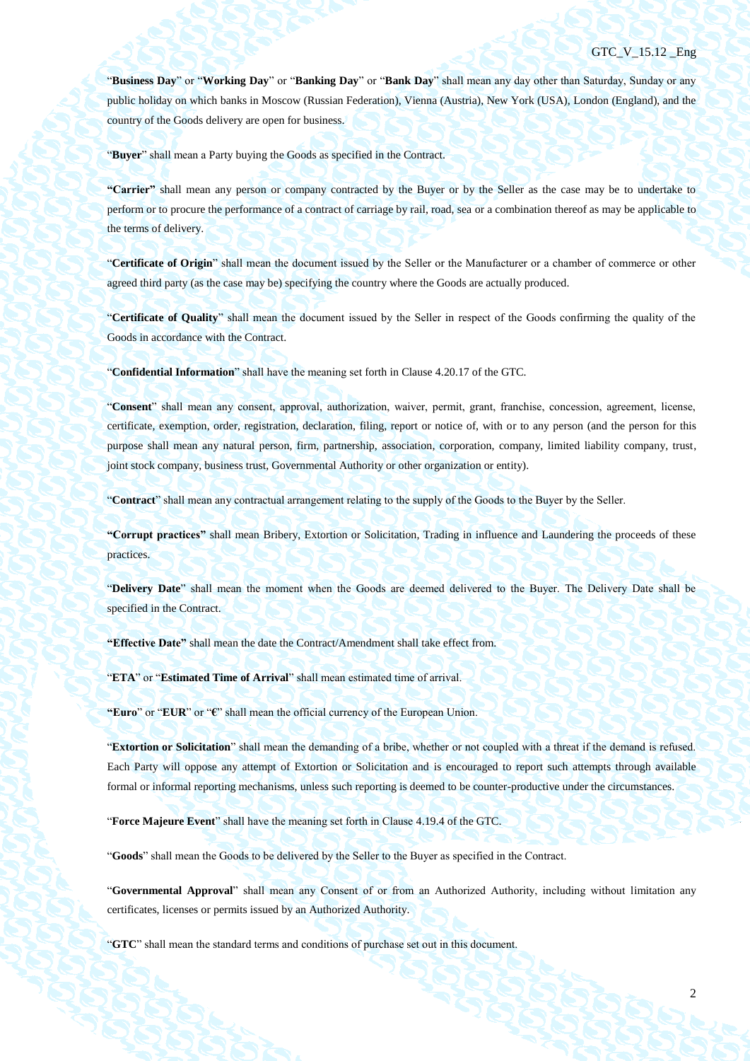"**Business Day**" or "**Working Day**" or "**Banking Day**" or "**Bank Day**" shall mean any day other than Saturday, Sunday or any public holiday on which banks in Moscow (Russian Federation), Vienna (Austria), New York (USA), London (England), and the country of the Goods delivery are open for business.

"**Buyer**" shall mean a Party buying the Goods as specified in the Contract.

**"Carrier"** shall mean any person or company contracted by the Buyer or by the Seller as the case may be to undertake to perform or to procure the performance of a contract of carriage by rail, road, sea or a combination thereof as may be applicable to the terms of delivery.

"**Certificate of Origin**" shall mean the document issued by the Seller or the Manufacturer or a chamber of commerce or other agreed third party (as the case may be) specifying the country where the Goods are actually produced.

"**Certificate of Quality**" shall mean the document issued by the Seller in respect of the Goods confirming the quality of the Goods in accordance with the Contract.

"**Confidential Information**" shall have the meaning set forth in Clause 4.20.17 of the GTC.

"**Consent**" shall mean any consent, approval, authorization, waiver, permit, grant, franchise, concession, agreement, license, certificate, exemption, order, registration, declaration, filing, report or notice of, with or to any person (and the person for this purpose shall mean any natural person, firm, partnership, association, corporation, company, limited liability company, trust, joint stock company, business trust, Governmental Authority or other organization or entity).

"**Contract**" shall mean any contractual arrangement relating to the supply of the Goods to the Buyer by the Seller.

**"Corrupt practices"** shall mean Bribery, Extortion or Solicitation, Trading in influence and Laundering the proceeds of these practices.

"**Delivery Date**" shall mean the moment when the Goods are deemed delivered to the Buyer. The Delivery Date shall be specified in the Contract.

**"Effective Date"** shall mean the date the Contract/Amendment shall take effect from.

"**ETA**" or "**Estimated Time of Arrival**" shall mean estimated time of arrival.

**"Euro**" or "**EUR**" or "**€**" shall mean the official currency of the European Union.

"**Extortion or Solicitation**" shall mean the demanding of a bribe, whether or not coupled with a threat if the demand is refused. Each Party will oppose any attempt of Extortion or Solicitation and is encouraged to report such attempts through available formal or informal reporting mechanisms, unless such reporting is deemed to be counter-productive under the circumstances.

"**Force Majeure Event**" shall have the meaning set forth in Clause [4.19.4](#page-45-0) of the GTC.

"**Goods**" shall mean the Goods to be delivered by the Seller to the Buyer as specified in the Contract.

"**Governmental Approval**" shall mean any Consent of or from an Authorized Authority, including without limitation any certificates, licenses or permits issued by an Authorized Authority.

"**GTC**" shall mean the standard terms and conditions of purchase set out in this document.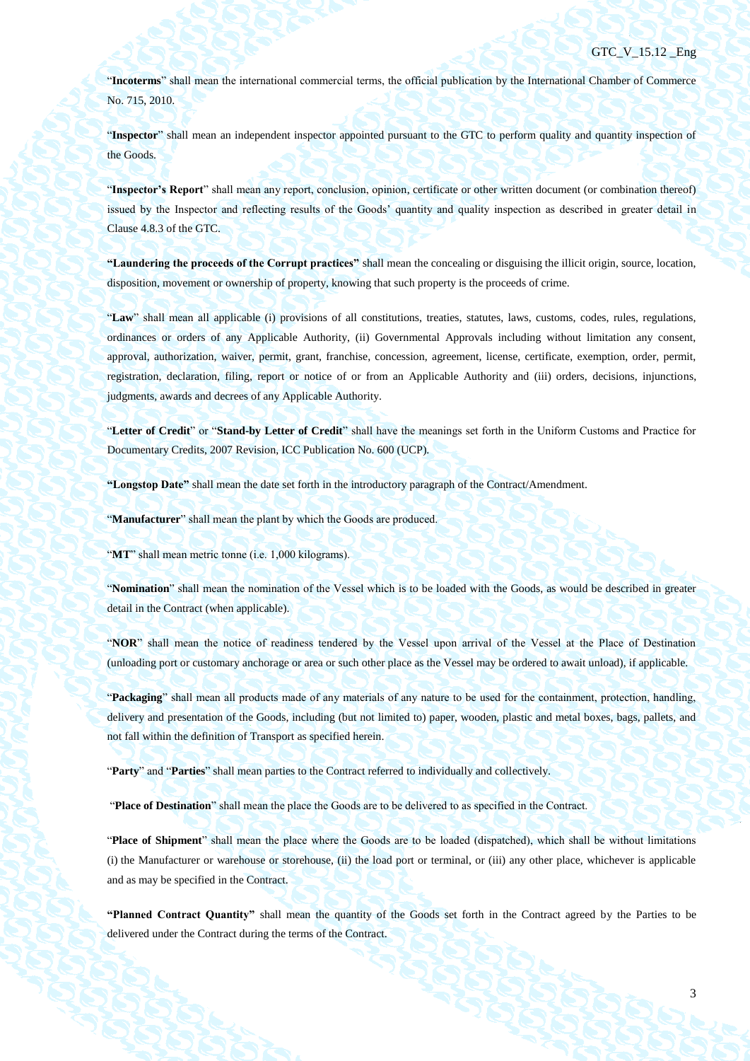"**Incoterms**" shall mean the international commercial terms, the official publication by the International Chamber of Commerce No. 715, 2010.

"**Inspector**" shall mean an independent inspector appointed pursuant to the GTC to perform quality and quantity inspection of the Goods.

"**Inspector's Report**" shall mean any report, conclusion, opinion, certificate or other written document (or combination thereof) issued by the Inspector and reflecting results of the Goods' quantity and quality inspection as described in greater detail in Clause [4.8.3](#page-35-0) of the GTC.

**"Laundering the proceeds of the Corrupt practices"** shall mean the concealing or disguising the illicit origin, source, location, disposition, movement or ownership of property, knowing that such property is the proceeds of crime.

"**Law**" shall mean all applicable (i) provisions of all constitutions, treaties, statutes, laws, customs, codes, rules, regulations, ordinances or orders of any Applicable Authority, (ii) Governmental Approvals including without limitation any consent, approval, authorization, waiver, permit, grant, franchise, concession, agreement, license, certificate, exemption, order, permit, registration, declaration, filing, report or notice of or from an Applicable Authority and (iii) orders, decisions, injunctions, judgments, awards and decrees of any Applicable Authority.

"**Letter of Credit**" or "**Stand-by Letter of Credit**" shall have the meanings set forth in the Uniform Customs and Practice for Documentary Credits, 2007 Revision, ICC Publication No. 600 (UCP).

**"Longstop Date"** shall mean the date set forth in the introductory paragraph of the Contract/Amendment.

"**Manufacturer**" shall mean the plant by which the Goods are produced.

"MT" shall mean metric tonne (i.e. 1,000 kilograms).

"**Nomination**" shall mean the nomination of the Vessel which is to be loaded with the Goods, as would be described in greater detail in the Contract (when applicable).

"**NOR**" shall mean the notice of readiness tendered by the Vessel upon arrival of the Vessel at the Place of Destination (unloading port or customary anchorage or area or such other place as the Vessel may be ordered to await unload), if applicable.

"**Packaging**" shall mean all products made of any materials of any nature to be used for the containment, protection, handling, delivery and presentation of the Goods, including (but not limited to) paper, wooden, plastic and metal boxes, bags, pallets, and not fall within the definition of Transport as specified herein.

"**Party**" and "**Parties**" shall mean parties to the Contract referred to individually and collectively.

"**Place of Destination**" shall mean the place the Goods are to be delivered to as specified in the Contract.

"**Place of Shipment**" shall mean the place where the Goods are to be loaded (dispatched), which shall be without limitations (i) the Manufacturer or warehouse or storehouse, (ii) the load port or terminal, or (iii) any other place, whichever is applicable and as may be specified in the Contract.

**"Planned Contract Quantity"** shall mean the quantity of the Goods set forth in the Contract agreed by the Parties to be delivered under the Contract during the terms of the Contract.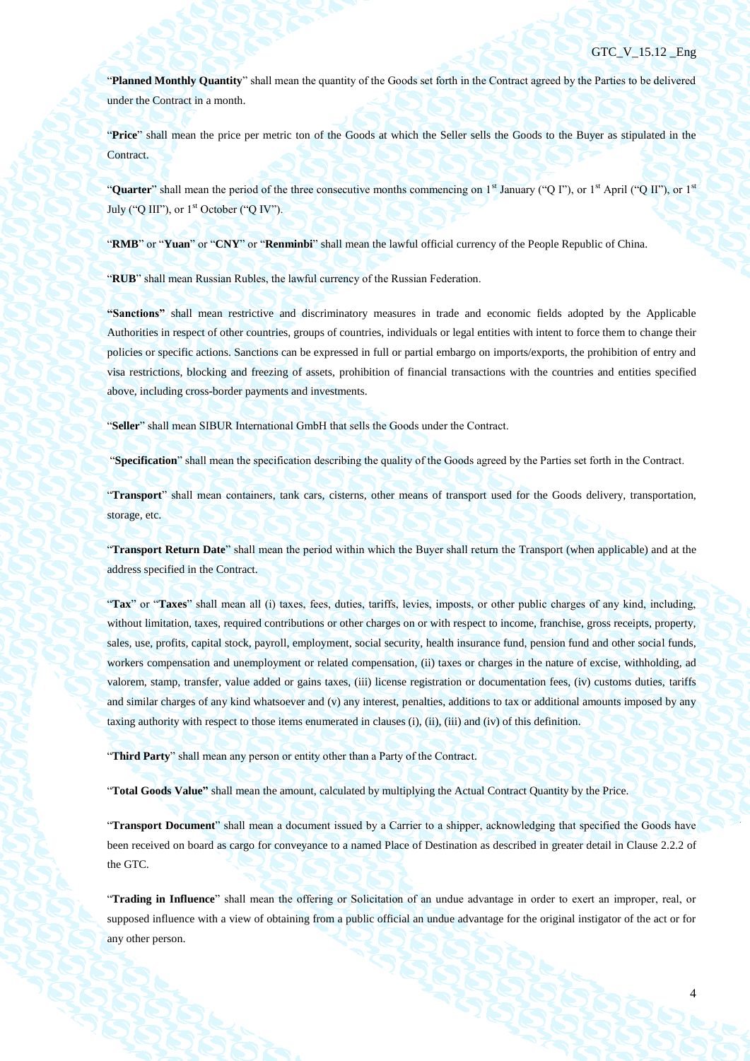"**Planned Monthly Quantity**" shall mean the quantity of the Goods set forth in the Contract agreed by the Parties to be delivered under the Contract in a month.

"**Price**" shall mean the price per metric ton of the Goods at which the Seller sells the Goods to the Buyer as stipulated in the Contract.

"**Quarter**" shall mean the period of the three consecutive months commencing on 1<sup>st</sup> January ("Q I"), or 1<sup>st</sup> April ("Q II"), or 1<sup>st</sup> July ("O III"), or  $1<sup>st</sup>$  October ("O IV").

"**RMB**" or "**Yuan**" or "**CNY**" or "**Renminbi**" shall mean the lawful official currency of the People Republic of China.

"**RUB**" shall mean Russian Rubles, the lawful currency of the Russian Federation.

**"Sanctions"** shall mean restrictive and discriminatory measures in trade and economic fields adopted by the Applicable Authorities in respect of other countries, groups of countries, individuals or legal entities with intent to force them to change their policies or specific actions. Sanctions can be expressed in full or partial embargo on imports/exports, the prohibition of entry and visa restrictions, blocking and freezing of assets, prohibition of financial transactions with the countries and entities specified above, including cross-border payments and investments.

"**Seller**" shall mean SIBUR International GmbH that sells the Goods under the Contract.

"**Specification**" shall mean the specification describing the quality of the Goods agreed by the Parties set forth in the Contract.

"**Transport**" shall mean containers, tank cars, cisterns, other means of transport used for the Goods delivery, transportation, storage, etc.

"**Transport Return Date**" shall mean the period within which the Buyer shall return the Transport (when applicable) and at the address specified in the Contract.

"**Tax**" or "**Taxes**" shall mean all (i) taxes, fees, duties, tariffs, levies, imposts, or other public charges of any kind, including, without limitation, taxes, required contributions or other charges on or with respect to income, franchise, gross receipts, property, sales, use, profits, capital stock, payroll, employment, social security, health insurance fund, pension fund and other social funds, workers compensation and unemployment or related compensation, (ii) taxes or charges in the nature of excise, withholding, ad valorem, stamp, transfer, value added or gains taxes, (iii) license registration or documentation fees, (iv) customs duties, tariffs and similar charges of any kind whatsoever and (v) any interest, penalties, additions to tax or additional amounts imposed by any taxing authority with respect to those items enumerated in clauses (i), (ii), (iii) and (iv) of this definition.

"**Third Party**" shall mean any person or entity other than a Party of the Contract.

"**Total Goods Value"** shall mean the amount, calculated by multiplying the Actual Contract Quantity by the Price.

"**Transport Document**" shall mean a document issued by a Carrier to a shipper, acknowledging that specified the Goods have been received on board as cargo for conveyance to a named Place of Destination as described in greater detail in Clause 2.2.2 of the GTC.

"**Trading in Influence**" shall mean the offering or Solicitation of an undue advantage in order to exert an improper, real, or supposed influence with a view of obtaining from a public official an undue advantage for the original instigator of the act or for any other person.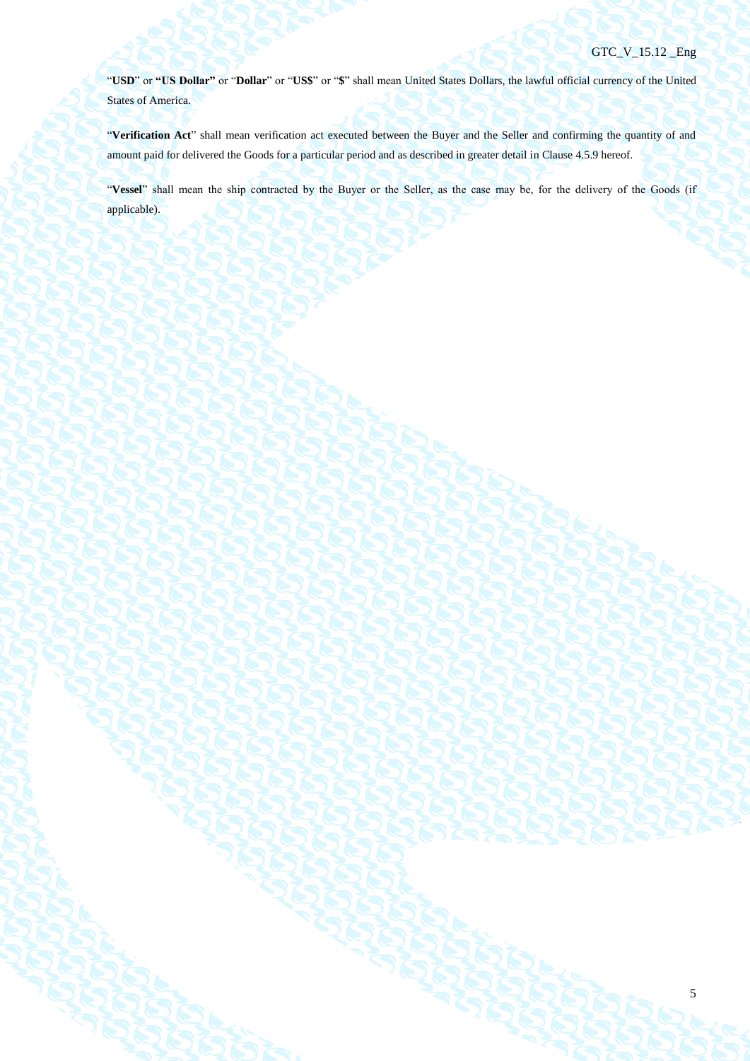5

"**USD**" or **"US Dollar"** or "**Dollar**" or "**US\$**" or "**\$**" shall mean United States Dollars, the lawful official currency of the United States of America.

"**Verification Act**" shall mean verification act executed between the Buyer and the Seller and confirming the quantity of and amount paid for delivered the Goods for a particular period and as described in greater detail in Clause [4.5.9](#page-29-0) hereof.

"**Vessel**" shall mean the ship contracted by the Buyer or the Seller, as the case may be, for the delivery of the Goods (if applicable).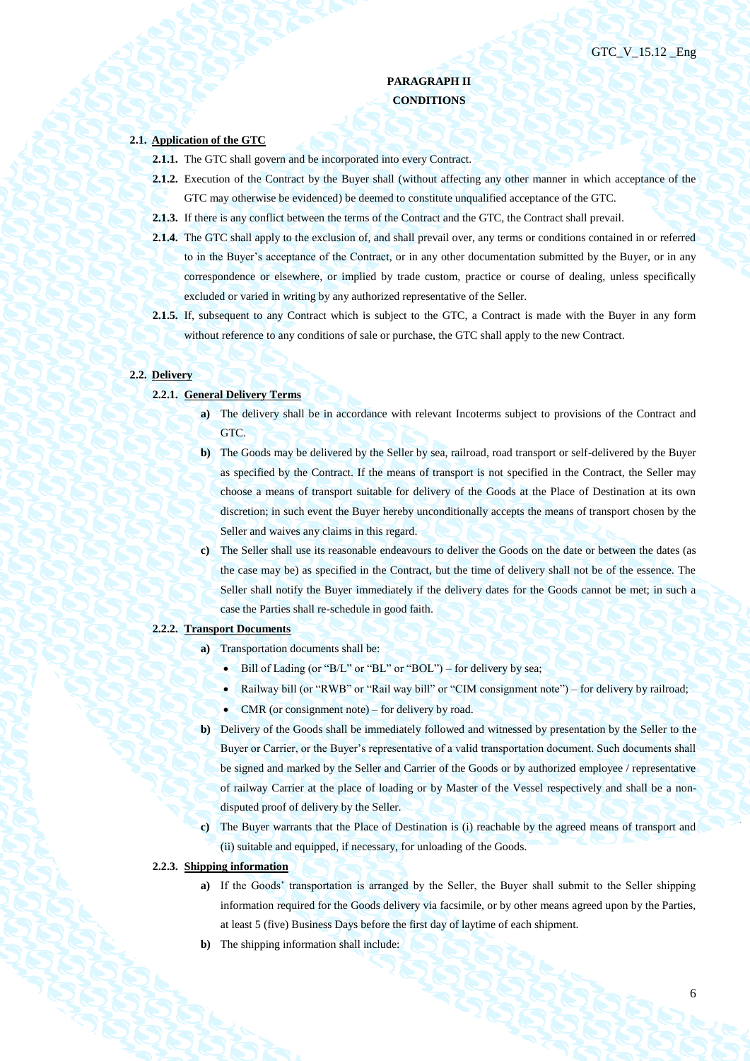# **PARAGRAPH II CONDITIONS**

## **2.1. Application of the GTC**

- **2.1.1.** The GTC shall govern and be incorporated into every Contract.
- **2.1.2.** Execution of the Contract by the Buyer shall (without affecting any other manner in which acceptance of the GTC may otherwise be evidenced) be deemed to constitute unqualified acceptance of the GTC.
- **2.1.3.** If there is any conflict between the terms of the Contract and the GTC, the Contract shall prevail.
- **2.1.4.** The GTC shall apply to the exclusion of, and shall prevail over, any terms or conditions contained in or referred to in the Buyer's acceptance of the Contract, or in any other documentation submitted by the Buyer, or in any correspondence or elsewhere, or implied by trade custom, practice or course of dealing, unless specifically excluded or varied in writing by any authorized representative of the Seller.
- **2.1.5.** If, subsequent to any Contract which is subject to the GTC, a Contract is made with the Buyer in any form without reference to any conditions of sale or purchase, the GTC shall apply to the new Contract.

#### **2.2. Delivery**

- **2.2.1. General Delivery Terms**
	- **a**) The delivery shall be in accordance with relevant Incoterms subject to provisions of the Contract and GTC.
	- **b)** The Goods may be delivered by the Seller by sea, railroad, road transport or self-delivered by the Buyer as specified by the Contract. If the means of transport is not specified in the Contract, the Seller may choose a means of transport suitable for delivery of the Goods at the Place of Destination at its own discretion; in such event the Buyer hereby unconditionally accepts the means of transport chosen by the Seller and waives any claims in this regard.
	- **c)** The Seller shall use its reasonable endeavours to deliver the Goods on the date or between the dates (as the case may be) as specified in the Contract, but the time of delivery shall not be of the essence. The Seller shall notify the Buyer immediately if the delivery dates for the Goods cannot be met; in such a case the Parties shall re-schedule in good faith.

## **2.2.2. Transport Documents**

- **a)** Transportation documents shall be:
	- $\bullet$  Bill of Lading (or "B/L" or "BL" or "BOL") for delivery by sea;
	- Railway bill (or "RWB" or "Rail way bill" or "CIM consignment note") for delivery by railroad;
	- CMR (or consignment note) for delivery by road.
- **b)** Delivery of the Goods shall be immediately followed and witnessed by presentation by the Seller to the Buyer or Carrier, or the Buyer's representative of a valid transportation document. Such documents shall be signed and marked by the Seller and Carrier of the Goods or by authorized employee / representative of railway Carrier at the place of loading or by Master of the Vessel respectively and shall be a nondisputed proof of delivery by the Seller.
- **c)** The Buyer warrants that the Place of Destination is (i) reachable by the agreed means of transport and (ii) suitable and equipped, if necessary, for unloading of the Goods.
- **2.2.3. Shipping information**
	- **a)** If the Goods' transportation is arranged by the Seller, the Buyer shall submit to the Seller shipping information required for the Goods delivery via facsimile, or by other means agreed upon by the Parties, at least 5 (five) Business Days before the first day of laytime of each shipment.
	- **b)** The shipping information shall include: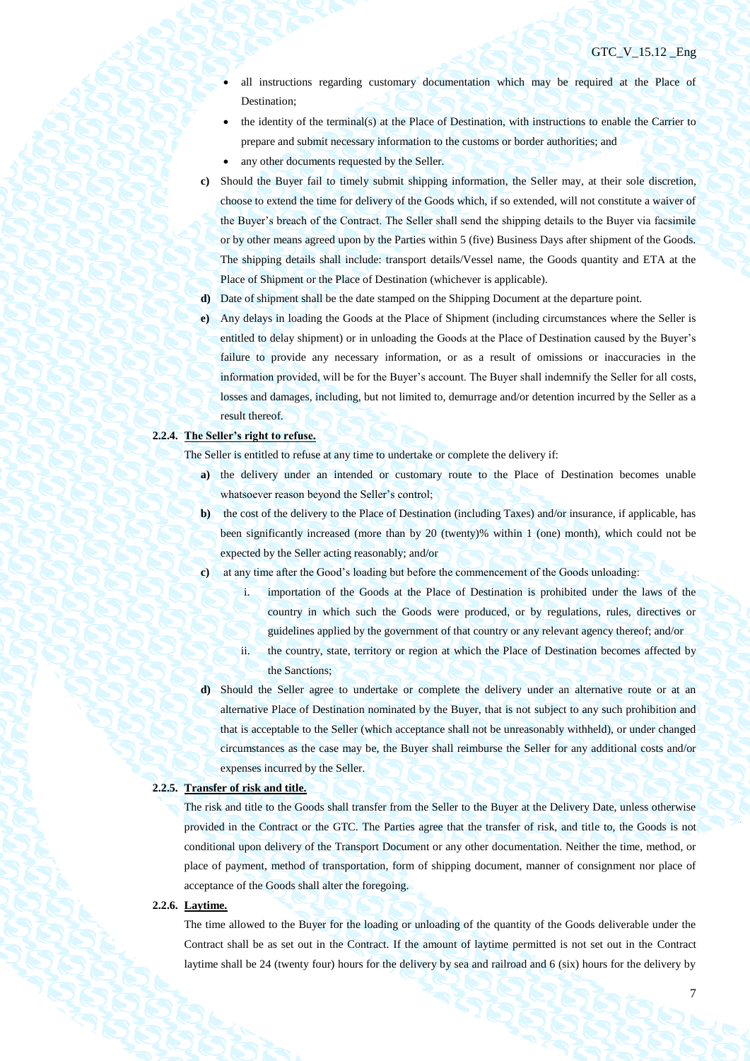- all instructions regarding customary documentation which may be required at the Place of Destination;
- the identity of the terminal(s) at the Place of Destination, with instructions to enable the Carrier to prepare and submit necessary information to the customs or border authorities; and
- any other documents requested by the Seller.
- **c)** Should the Buyer fail to timely submit shipping information, the Seller may, at their sole discretion, choose to extend the time for delivery of the Goods which, if so extended, will not constitute a waiver of the Buyer's breach of the Contract. The Seller shall send the shipping details to the Buyer via facsimile or by other means agreed upon by the Parties within 5 (five) Business Days after shipment of the Goods. The shipping details shall include: transport details/Vessel name, the Goods quantity and ETA at the Place of Shipment or the Place of Destination (whichever is applicable).
- **d)** Date of shipment shall be the date stamped on the Shipping Document at the departure point.
- **e)** Any delays in loading the Goods at the Place of Shipment (including circumstances where the Seller is entitled to delay shipment) or in unloading the Goods at the Place of Destination caused by the Buyer's failure to provide any necessary information, or as a result of omissions or inaccuracies in the information provided, will be for the Buyer's account. The Buyer shall indemnify the Seller for all costs, losses and damages, including, but not limited to, demurrage and/or detention incurred by the Seller as a result thereof.

## **2.2.4. The Seller's right to refuse.**

The Seller is entitled to refuse at any time to undertake or complete the delivery if:

- **a)** the delivery under an intended or customary route to the Place of Destination becomes unable whatsoever reason beyond the Seller's control;
- **b)** the cost of the delivery to the Place of Destination (including Taxes) and/or insurance, if applicable, has been significantly increased (more than by 20 (twenty)% within 1 (one) month), which could not be expected by the Seller acting reasonably; and/or
- **c)** at any time after the Good's loading but before the commencement of the Goods unloading:
	- i. importation of the Goods at the Place of Destination is prohibited under the laws of the country in which such the Goods were produced, or by regulations, rules, directives or guidelines applied by the government of that country or any relevant agency thereof; and/or
	- ii. the country, state, territory or region at which the Place of Destination becomes affected by the Sanctions;
- **d)** Should the Seller agree to undertake or complete the delivery under an alternative route or at an alternative Place of Destination nominated by the Buyer, that is not subject to any such prohibition and that is acceptable to the Seller (which acceptance shall not be unreasonably withheld), or under changed circumstances as the case may be, the Buyer shall reimburse the Seller for any additional costs and/or expenses incurred by the Seller.

#### **2.2.5. Transfer of risk and title.**

The risk and title to the Goods shall transfer from the Seller to the Buyer at the Delivery Date, unless otherwise provided in the Contract or the GTC. The Parties agree that the transfer of risk, and title to, the Goods is not conditional upon delivery of the Transport Document or any other documentation. Neither the time, method, or place of payment, method of transportation, form of shipping document, manner of consignment nor place of acceptance of the Goods shall alter the foregoing.

## **2.2.6. Laytime.**

The time allowed to the Buyer for the loading or unloading of the quantity of the Goods deliverable under the Contract shall be as set out in the Contract. If the amount of laytime permitted is not set out in the Contract laytime shall be 24 (twenty four) hours for the delivery by sea and railroad and 6 (six) hours for the delivery by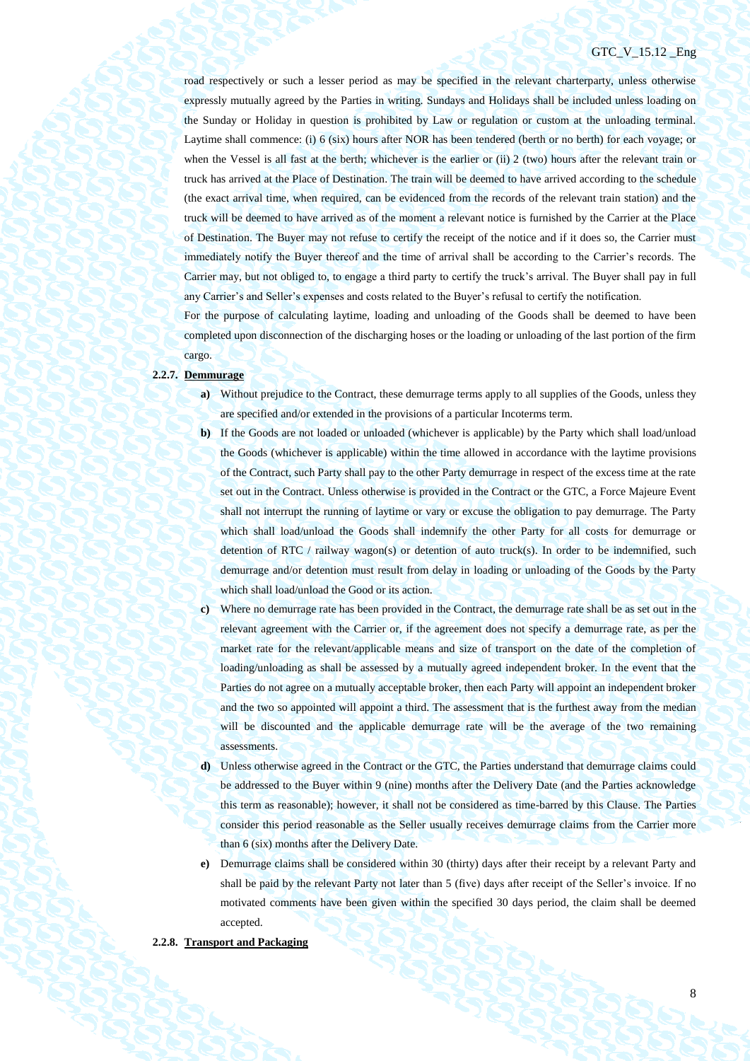## GTC V 15.12 Eng

road respectively or such a lesser period as may be specified in the relevant charterparty, unless otherwise expressly mutually agreed by the Parties in writing. Sundays and Holidays shall be included unless loading on the Sunday or Holiday in question is prohibited by Law or regulation or custom at the unloading terminal. Laytime shall commence: (i) 6 (six) hours after NOR has been tendered (berth or no berth) for each voyage; or when the Vessel is all fast at the berth; whichever is the earlier or (ii) 2 (two) hours after the relevant train or truck has arrived at the Place of Destination. The train will be deemed to have arrived according to the schedule (the exact arrival time, when required, can be evidenced from the records of the relevant train station) and the truck will be deemed to have arrived as of the moment a relevant notice is furnished by the Carrier at the Place of Destination. The Buyer may not refuse to certify the receipt of the notice and if it does so, the Carrier must immediately notify the Buyer thereof and the time of arrival shall be according to the Carrier's records. The Carrier may, but not obliged to, to engage a third party to certify the truck's arrival. The Buyer shall pay in full any Carrier's and Seller's expenses and costs related to the Buyer's refusal to certify the notification.

For the purpose of calculating laytime, loading and unloading of the Goods shall be deemed to have been completed upon disconnection of the discharging hoses or the loading or unloading of the last portion of the firm cargo.

#### **2.2.7. Demmurage**

- **a)** Without prejudice to the Contract, these demurrage terms apply to all supplies of the Goods, unless they are specified and/or extended in the provisions of a particular Incoterms term.
- **b)** If the Goods are not loaded or unloaded (whichever is applicable) by the Party which shall load/unload the Goods (whichever is applicable) within the time allowed in accordance with the laytime provisions of the Contract, such Party shall pay to the other Party demurrage in respect of the excess time at the rate set out in the Contract. Unless otherwise is provided in the Contract or the GTC, a Force Majeure Event shall not interrupt the running of laytime or vary or excuse the obligation to pay demurrage. The Party which shall load/unload the Goods shall indemnify the other Party for all costs for demurrage or detention of RTC / railway wagon(s) or detention of auto truck(s). In order to be indemnified, such demurrage and/or detention must result from delay in loading or unloading of the Goods by the Party which shall load/unload the Good or its action.
- **c)** Where no demurrage rate has been provided in the Contract, the demurrage rate shall be as set out in the relevant agreement with the Carrier or, if the agreement does not specify a demurrage rate, as per the market rate for the relevant/applicable means and size of transport on the date of the completion of loading/unloading as shall be assessed by a mutually agreed independent broker. In the event that the Parties do not agree on a mutually acceptable broker, then each Party will appoint an independent broker and the two so appointed will appoint a third. The assessment that is the furthest away from the median will be discounted and the applicable demurrage rate will be the average of the two remaining assessments.
- **d)** Unless otherwise agreed in the Contract or the GTC, the Parties understand that demurrage claims could be addressed to the Buyer within 9 (nine) months after the Delivery Date (and the Parties acknowledge this term as reasonable); however, it shall not be considered as time-barred by this Clause. The Parties consider this period reasonable as the Seller usually receives demurrage claims from the Carrier more than 6 (six) months after the Delivery Date.
- **e)** Demurrage claims shall be considered within 30 (thirty) days after their receipt by a relevant Party and shall be paid by the relevant Party not later than 5 (five) days after receipt of the Seller's invoice. If no motivated comments have been given within the specified 30 days period, the claim shall be deemed accepted.

## **2.2.8. Transport and Packaging**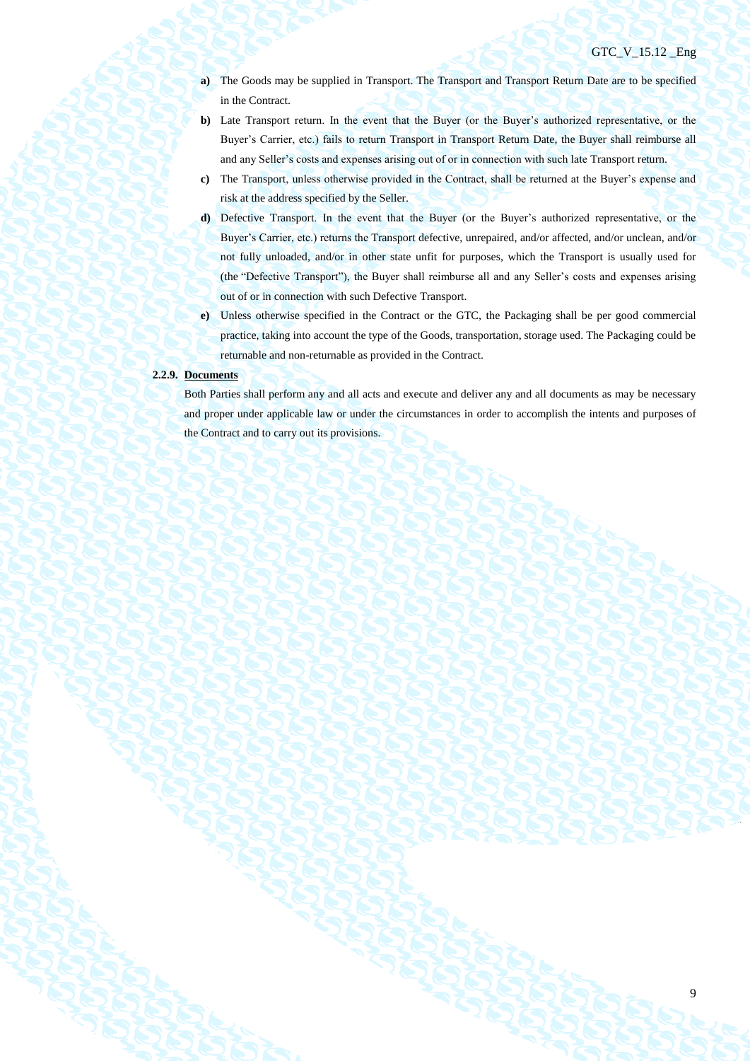- **a)** The Goods may be supplied in Transport. The Transport and Transport Return Date are to be specified in the Contract.
- **b)** Late Transport return. In the event that the Buyer (or the Buyer's authorized representative, or the Buyer's Carrier, etc.) fails to return Transport in Transport Return Date, the Buyer shall reimburse all and any Seller's costs and expenses arising out of or in connection with such late Transport return.
- **c)** The Transport, unless otherwise provided in the Contract, shall be returned at the Buyer's expense and risk at the address specified by the Seller.
- **d)** Defective Transport. In the event that the Buyer (or the Buyer's authorized representative, or the Buyer's Carrier, etc.) returns the Transport defective, unrepaired, and/or affected, and/or unclean, and/or not fully unloaded, and/or in other state unfit for purposes, which the Transport is usually used for (the "Defective Transport"), the Buyer shall reimburse all and any Seller's costs and expenses arising out of or in connection with such Defective Transport.
- **e)** Unless otherwise specified in the Contract or the GTC, the Packaging shall be per good commercial practice, taking into account the type of the Goods, transportation, storage used. The Packaging could be returnable and non-returnable as provided in the Contract.

#### **2.2.9. Documents**

Both Parties shall perform any and all acts and execute and deliver any and all documents as may be necessary and proper under applicable law or under the circumstances in order to accomplish the intents and purposes of the Contract and to carry out its provisions.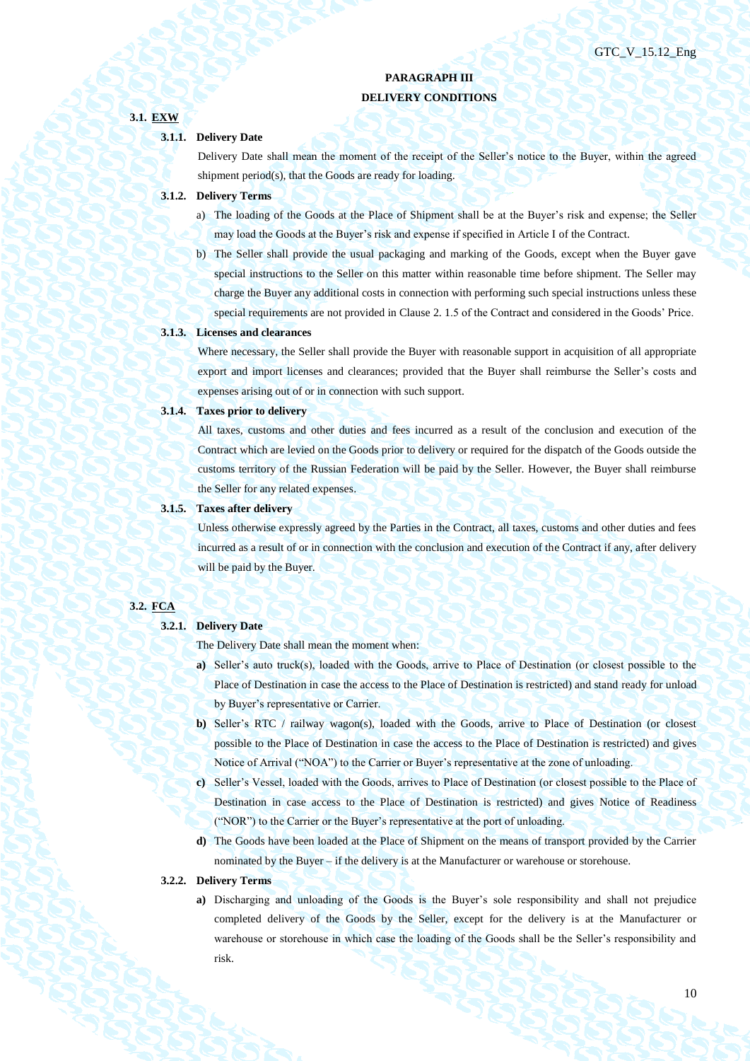# **PARAGRAPH III DELIVERY CONDITIONS**

# **3.1. EXW 3.1.1. Delivery Date** Delivery Date shall mean the moment of the receipt of the Seller's notice to the Buyer, within the agreed shipment period(s), that the Goods are ready for loading. **3.1.2. Delivery Terms**

- a) The loading of the Goods at the Place of Shipment shall be at the Buyer's risk and expense; the Seller may load the Goods at the Buyer's risk and expense if specified in Article I of the Contract.
- b) The Seller shall provide the usual packaging and marking of the Goods, except when the Buyer gave special instructions to the Seller on this matter within reasonable time before shipment. The Seller may charge the Buyer any additional costs in connection with performing such special instructions unless these special requirements are not provided in Clause 2. 1.5 of the Contract and considered in the Goods' Price.

## **3.1.3. Licenses and clearances**

Where necessary, the Seller shall provide the Buyer with reasonable support in acquisition of all appropriate export and import licenses and clearances; provided that the Buyer shall reimburse the Seller's costs and expenses arising out of or in connection with such support.

#### **3.1.4. Taxes prior to delivery**

All taxes, customs and other duties and fees incurred as a result of the conclusion and execution of the Contract which are levied on the Goods prior to delivery or required for the dispatch of the Goods outside the customs territory of the Russian Federation will be paid by the Seller. However, the Buyer shall reimburse the Seller for any related expenses.

## **3.1.5. Taxes after delivery**

Unless otherwise expressly agreed by the Parties in the Contract, all taxes, customs and other duties and fees incurred as a result of or in connection with the conclusion and execution of the Contract if any, after delivery will be paid by the Buyer.

## **3.2. FCA**

## **3.2.1. Delivery Date**

The Delivery Date shall mean the moment when:

- **a)** Seller's auto truck(s), loaded with the Goods, arrive to Place of Destination (or closest possible to the Place of Destination in case the access to the Place of Destination is restricted) and stand ready for unload by Buyer's representative or Carrier.
- **b)** Seller's RTC / railway wagon(s), loaded with the Goods, arrive to Place of Destination (or closest possible to the Place of Destination in case the access to the Place of Destination is restricted) and gives Notice of Arrival ("NOA") to the Carrier or Buyer's representative at the zone of unloading.
- **c)** Seller's Vessel, loaded with the Goods, arrives to Place of Destination (or closest possible to the Place of Destination in case access to the Place of Destination is restricted) and gives Notice of Readiness ("NOR") to the Carrier or the Buyer's representative at the port of unloading.
- **d)** The Goods have been loaded at the Place of Shipment on the means of transport provided by the Carrier nominated by the Buyer – if the delivery is at the Manufacturer or warehouse or storehouse.

### **3.2.2. Delivery Terms**

**a)** Discharging and unloading of the Goods is the Buyer's sole responsibility and shall not prejudice completed delivery of the Goods by the Seller, except for the delivery is at the Manufacturer or warehouse or storehouse in which case the loading of the Goods shall be the Seller's responsibility and risk.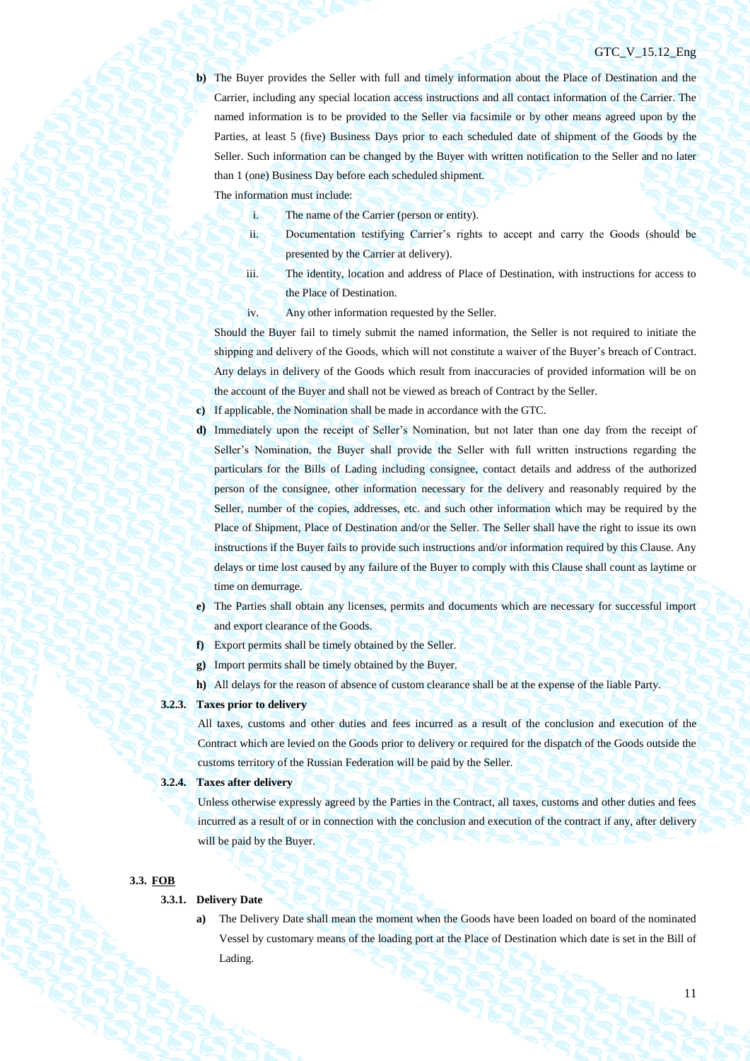**b)** The Buyer provides the Seller with full and timely information about the Place of Destination and the Carrier, including any special location access instructions and all contact information of the Carrier. The named information is to be provided to the Seller via facsimile or by other means agreed upon by the Parties, at least 5 (five) Business Days prior to each scheduled date of shipment of the Goods by the Seller. Such information can be changed by the Buyer with written notification to the Seller and no later than 1 (one) Business Day before each scheduled shipment.

The information must include:

- i. The name of the Carrier (person or entity).
- ii. Documentation testifying Carrier's rights to accept and carry the Goods (should be presented by the Carrier at delivery).
- iii. The identity, location and address of Place of Destination, with instructions for access to the Place of Destination.
- iv. Any other information requested by the Seller.

Should the Buyer fail to timely submit the named information, the Seller is not required to initiate the shipping and delivery of the Goods, which will not constitute a waiver of the Buyer's breach of Contract. Any delays in delivery of the Goods which result from inaccuracies of provided information will be on the account of the Buyer and shall not be viewed as breach of Contract by the Seller.

**c)** If applicable, the Nomination shall be made in accordance with the GTC.

- **d)** Immediately upon the receipt of Seller's Nomination, but not later than one day from the receipt of Seller's Nomination, the Buyer shall provide the Seller with full written instructions regarding the particulars for the Bills of Lading including consignee, contact details and address of the authorized person of the consignee, other information necessary for the delivery and reasonably required by the Seller, number of the copies, addresses, etc. and such other information which may be required by the Place of Shipment, Place of Destination and/or the Seller. The Seller shall have the right to issue its own instructions if the Buyer fails to provide such instructions and/or information required by this Clause. Any delays or time lost caused by any failure of the Buyer to comply with this Clause shall count as laytime or time on demurrage.
- **e)** The Parties shall obtain any licenses, permits and documents which are necessary for successful import and export clearance of the Goods.
- **f)** Export permits shall be timely obtained by the Seller.
- **g)** Import permits shall be timely obtained by the Buyer.
- **h)** All delays for the reason of absence of custom clearance shall be at the expense of the liable Party.

## **3.2.3. Taxes prior to delivery**

All taxes, customs and other duties and fees incurred as a result of the conclusion and execution of the Contract which are levied on the Goods prior to delivery or required for the dispatch of the Goods outside the customs territory of the Russian Federation will be paid by the Seller.

#### **3.2.4. Taxes after delivery**

Unless otherwise expressly agreed by the Parties in the Contract, all taxes, customs and other duties and fees incurred as a result of or in connection with the conclusion and execution of the contract if any, after delivery will be paid by the Buyer.

#### **3.3. FOB**

## **3.3.1. Delivery Date**

**a)** The Delivery Date shall mean the moment when the Goods have been loaded on board of the nominated Vessel by customary means of the loading port at the Place of Destination which date is set in the Bill of Lading.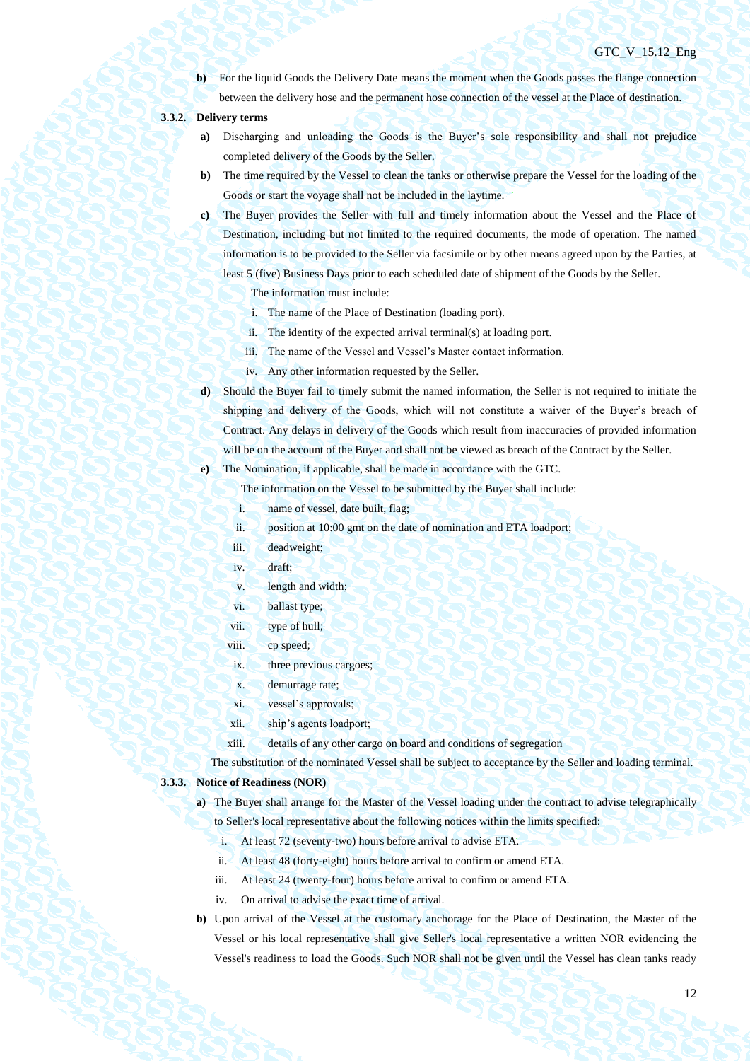**b**) For the liquid Goods the Delivery Date means the moment when the Goods passes the flange connection between the delivery hose and the permanent hose connection of the vessel at the Place of destination.

## **3.3.2. Delivery terms**

- **a)** Discharging and unloading the Goods is the Buyer's sole responsibility and shall not prejudice completed delivery of the Goods by the Seller.
- **b)** The time required by the Vessel to clean the tanks or otherwise prepare the Vessel for the loading of the Goods or start the voyage shall not be included in the laytime.
- **c)** The Buyer provides the Seller with full and timely information about the Vessel and the Place of Destination, including but not limited to the required documents, the mode of operation. The named information is to be provided to the Seller via facsimile or by other means agreed upon by the Parties, at least 5 (five) Business Days prior to each scheduled date of shipment of the Goods by the Seller.

The information must include:

- i. The name of the Place of Destination (loading port).
- ii. The identity of the expected arrival terminal(s) at loading port.
- iii. The name of the Vessel and Vessel's Master contact information.
- iv. Any other information requested by the Seller.
- **d)** Should the Buyer fail to timely submit the named information, the Seller is not required to initiate the shipping and delivery of the Goods, which will not constitute a waiver of the Buyer's breach of Contract. Any delays in delivery of the Goods which result from inaccuracies of provided information will be on the account of the Buyer and shall not be viewed as breach of the Contract by the Seller.

**e)** The Nomination, if applicable, shall be made in accordance with the GTC.

The information on the Vessel to be submitted by the Buyer shall include:

- i. name of vessel, date built, flag;
- ii. position at 10:00 gmt on the date of nomination and ETA loadport;
- iii. deadweight;
- iv. draft;
- v. length and width;
- vi. ballast type;
- vii. type of hull;
- viii. cp speed;
- ix. three previous cargoes;
- x. demurrage rate;
- xi. vessel's approvals;
- xii. ship's agents loadport;
- xiii. details of any other cargo on board and conditions of segregation

The substitution of the nominated Vessel shall be subject to acceptance by the Seller and loading terminal.

## **3.3.3. Notice of Readiness (NOR)**

- **a)** The Buyer shall arrange for the Master of the Vessel loading under the contract to advise telegraphically to Seller's local representative about the following notices within the limits specified:
	- i. At least 72 (seventy-two) hours before arrival to advise ETA.
	- ii. At least 48 (forty-eight) hours before arrival to confirm or amend ETA.
	- iii. At least 24 (twenty-four) hours before arrival to confirm or amend ETA.
	- iv. On arrival to advise the exact time of arrival.
- **b)** Upon arrival of the Vessel at the customary anchorage for the Place of Destination, the Master of the Vessel or his local representative shall give Seller's local representative a written NOR evidencing the Vessel's readiness to load the Goods. Such NOR shall not be given until the Vessel has clean tanks ready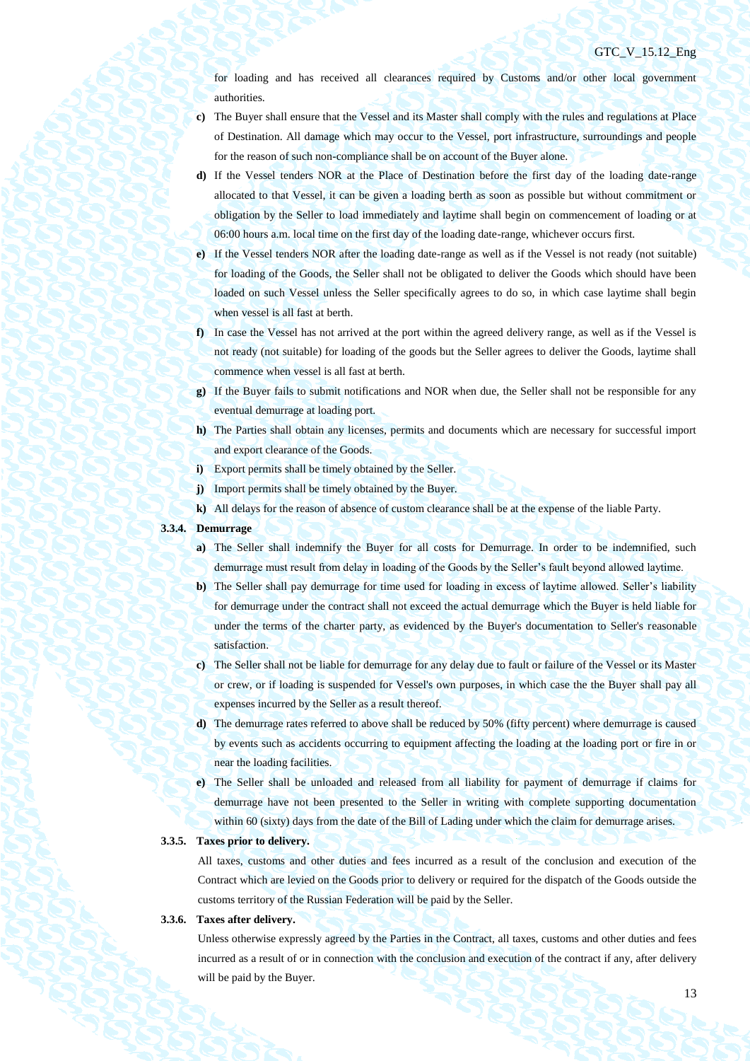for loading and has received all clearances required by Customs and/or other local government authorities.

- **c)** The Buyer shall ensure that the Vessel and its Master shall comply with the rules and regulations at Place of Destination. All damage which may occur to the Vessel, port infrastructure, surroundings and people for the reason of such non-compliance shall be on account of the Buyer alone.
- **d)** If the Vessel tenders NOR at the Place of Destination before the first day of the loading date-range allocated to that Vessel, it can be given a loading berth as soon as possible but without commitment or obligation by the Seller to load immediately and laytime shall begin on commencement of loading or at 06:00 hours a.m. local time on the first day of the loading date-range, whichever occurs first.
- **e)** If the Vessel tenders NOR after the loading date-range as well as if the Vessel is not ready (not suitable) for loading of the Goods, the Seller shall not be obligated to deliver the Goods which should have been loaded on such Vessel unless the Seller specifically agrees to do so, in which case laytime shall begin when vessel is all fast at berth.
- **f)** In case the Vessel has not arrived at the port within the agreed delivery range, as well as if the Vessel is not ready (not suitable) for loading of the goods but the Seller agrees to deliver the Goods, laytime shall commence when vessel is all fast at berth.
- **g)** If the Buyer fails to submit notifications and NOR when due, the Seller shall not be responsible for any eventual demurrage at loading port.
- **h)** The Parties shall obtain any licenses, permits and documents which are necessary for successful import and export clearance of the Goods.
- **i)** Export permits shall be timely obtained by the Seller.
- **j)** Import permits shall be timely obtained by the Buyer.
- **k)** All delays for the reason of absence of custom clearance shall be at the expense of the liable Party.

## **3.3.4. Demurrage**

- **a)** The Seller shall indemnify the Buyer for all costs for Demurrage. In order to be indemnified, such demurrage must result from delay in loading of the Goods by the Seller's fault beyond allowed laytime.
- **b)** The Seller shall pay demurrage for time used for loading in excess of laytime allowed. Seller's liability for demurrage under the contract shall not exceed the actual demurrage which the Buyer is held liable for under the terms of the charter party, as evidenced by the Buyer's documentation to Seller's reasonable satisfaction.
- **c)** The Seller shall not be liable for demurrage for any delay due to fault or failure of the Vessel or its Master or crew, or if loading is suspended for Vessel's own purposes, in which case the the Buyer shall pay all expenses incurred by the Seller as a result thereof.
- **d)** The demurrage rates referred to above shall be reduced by 50% (fifty percent) where demurrage is caused by events such as accidents occurring to equipment affecting the loading at the loading port or fire in or near the loading facilities.
- **e)** The Seller shall be unloaded and released from all liability for payment of demurrage if claims for demurrage have not been presented to the Seller in writing with complete supporting documentation within 60 (sixty) days from the date of the Bill of Lading under which the claim for demurrage arises.

## **3.3.5. Taxes prior to delivery.**

All taxes, customs and other duties and fees incurred as a result of the conclusion and execution of the Contract which are levied on the Goods prior to delivery or required for the dispatch of the Goods outside the customs territory of the Russian Federation will be paid by the Seller.

## **3.3.6. Taxes after delivery.**

Unless otherwise expressly agreed by the Parties in the Contract, all taxes, customs and other duties and fees incurred as a result of or in connection with the conclusion and execution of the contract if any, after delivery will be paid by the Buyer.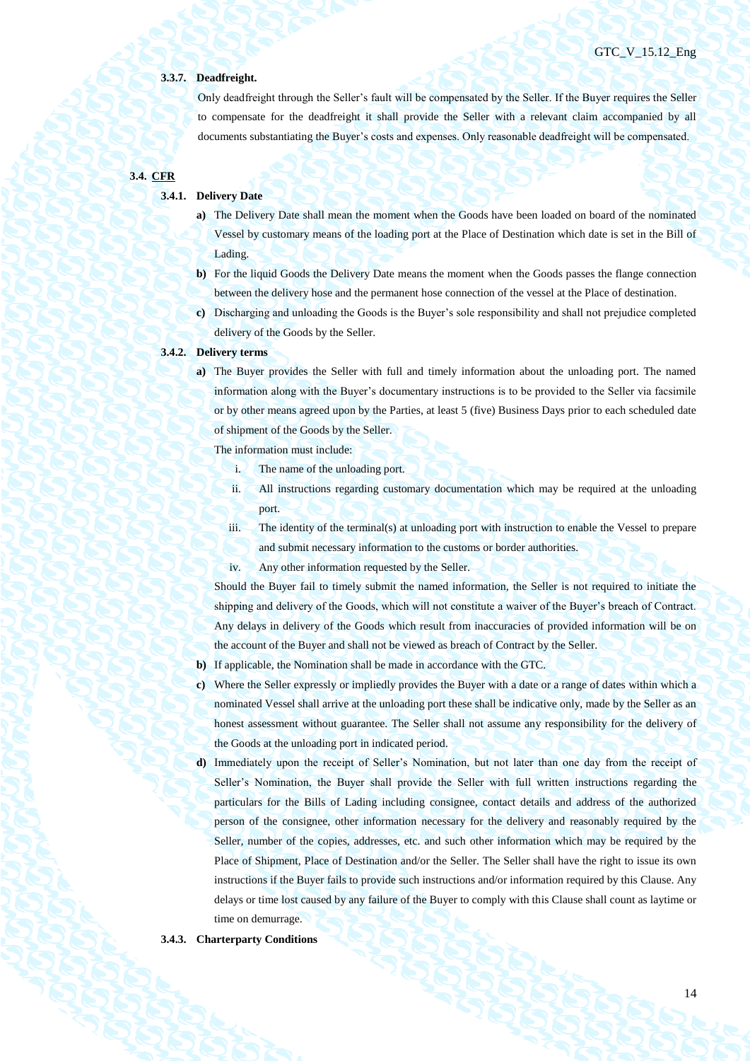#### **3.3.7. Deadfreight.**

Only deadfreight through the Seller's fault will be compensated by the Seller. If the Buyer requires the Seller to compensate for the deadfreight it shall provide the Seller with a relevant claim accompanied by all documents substantiating the Buyer's costs and expenses. Only reasonable deadfreight will be compensated.

# **3.4. CFR**

## **3.4.1. Delivery Date**

- **a)** The Delivery Date shall mean the moment when the Goods have been loaded on board of the nominated Vessel by customary means of the loading port at the Place of Destination which date is set in the Bill of Lading.
- **b)** For the liquid Goods the Delivery Date means the moment when the Goods passes the flange connection between the delivery hose and the permanent hose connection of the vessel at the Place of destination.
- **c)** Discharging and unloading the Goods is the Buyer's sole responsibility and shall not prejudice completed delivery of the Goods by the Seller.

## **3.4.2. Delivery terms**

**a)** The Buyer provides the Seller with full and timely information about the unloading port. The named information along with the Buyer's documentary instructions is to be provided to the Seller via facsimile or by other means agreed upon by the Parties, at least 5 (five) Business Days prior to each scheduled date of shipment of the Goods by the Seller.

The information must include:

- i. The name of the unloading port.
- ii. All instructions regarding customary documentation which may be required at the unloading port.
- iii. The identity of the terminal(s) at unloading port with instruction to enable the Vessel to prepare and submit necessary information to the customs or border authorities.
- iv. Any other information requested by the Seller.

Should the Buyer fail to timely submit the named information, the Seller is not required to initiate the shipping and delivery of the Goods, which will not constitute a waiver of the Buyer's breach of Contract. Any delays in delivery of the Goods which result from inaccuracies of provided information will be on the account of the Buyer and shall not be viewed as breach of Contract by the Seller.

- **b)** If applicable, the Nomination shall be made in accordance with the GTC.
- **c)** Where the Seller expressly or impliedly provides the Buyer with a date or a range of dates within which a nominated Vessel shall arrive at the unloading port these shall be indicative only, made by the Seller as an honest assessment without guarantee. The Seller shall not assume any responsibility for the delivery of the Goods at the unloading port in indicated period.
- **d)** Immediately upon the receipt of Seller's Nomination, but not later than one day from the receipt of Seller's Nomination, the Buyer shall provide the Seller with full written instructions regarding the particulars for the Bills of Lading including consignee, contact details and address of the authorized person of the consignee, other information necessary for the delivery and reasonably required by the Seller, number of the copies, addresses, etc. and such other information which may be required by the Place of Shipment, Place of Destination and/or the Seller. The Seller shall have the right to issue its own instructions if the Buyer fails to provide such instructions and/or information required by this Clause. Any delays or time lost caused by any failure of the Buyer to comply with this Clause shall count as laytime or time on demurrage.

#### **3.4.3. Charterparty Conditions**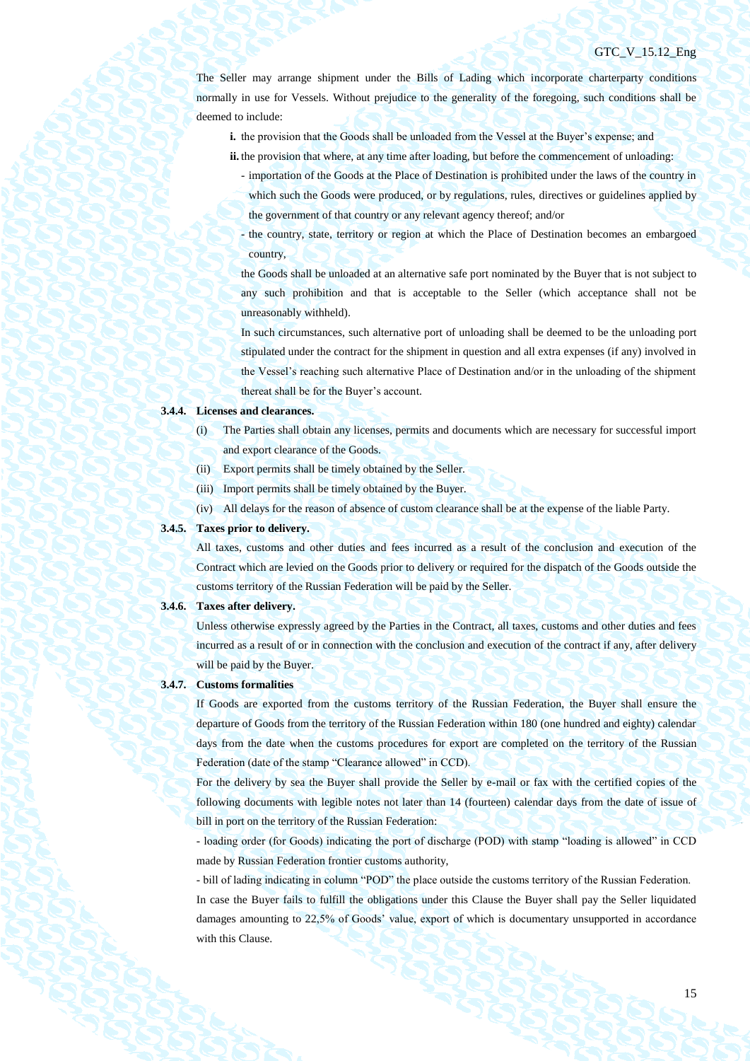The Seller may arrange shipment under the Bills of Lading which incorporate charterparty conditions normally in use for Vessels. Without prejudice to the generality of the foregoing, such conditions shall be deemed to include:

- **i.** the provision that the Goods shall be unloaded from the Vessel at the Buyer's expense; and
- **ii.** the provision that where, at any time after loading, but before the commencement of unloading:
	- importation of the Goods at the Place of Destination is prohibited under the laws of the country in which such the Goods were produced, or by regulations, rules, directives or guidelines applied by the government of that country or any relevant agency thereof; and/or
	- the country, state, territory or region at which the Place of Destination becomes an embargoed country,

the Goods shall be unloaded at an alternative safe port nominated by the Buyer that is not subject to any such prohibition and that is acceptable to the Seller (which acceptance shall not be unreasonably withheld).

In such circumstances, such alternative port of unloading shall be deemed to be the unloading port stipulated under the contract for the shipment in question and all extra expenses (if any) involved in the Vessel's reaching such alternative Place of Destination and/or in the unloading of the shipment thereat shall be for the Buyer's account.

#### **3.4.4. Licenses and clearances.**

- (i) The Parties shall obtain any licenses, permits and documents which are necessary for successful import and export clearance of the Goods.
- (ii) Export permits shall be timely obtained by the Seller.
- (iii) Import permits shall be timely obtained by the Buyer.
- (iv) All delays for the reason of absence of custom clearance shall be at the expense of the liable Party.

## **3.4.5. Taxes prior to delivery.**

All taxes, customs and other duties and fees incurred as a result of the conclusion and execution of the Contract which are levied on the Goods prior to delivery or required for the dispatch of the Goods outside the customs territory of the Russian Federation will be paid by the Seller.

#### **3.4.6. Taxes after delivery.**

Unless otherwise expressly agreed by the Parties in the Contract, all taxes, customs and other duties and fees incurred as a result of or in connection with the conclusion and execution of the contract if any, after delivery will be paid by the Buyer.

## **3.4.7. Customs formalities**

If Goods are exported from the customs territory of the Russian Federation, the Buyer shall ensure the departure of Goods from the territory of the Russian Federation within 180 (one hundred and eighty) calendar days from the date when the customs procedures for export are completed on the territory of the Russian Federation (date of the stamp "Clearance allowed" in CCD).

For the delivery by sea the Buyer shall provide the Seller by e-mail or fax with the certified copies of the following documents with legible notes not later than 14 (fourteen) calendar days from the date of issue of bill in port on the territory of the Russian Federation:

- loading order (for Goods) indicating the port of discharge (POD) with stamp "loading is allowed" in CCD made by Russian Federation frontier customs authority,

- bill of lading indicating in column "POD" the place outside the customs territory of the Russian Federation. In case the Buyer fails to fulfill the obligations under this Clause the Buyer shall pay the Seller liquidated damages amounting to 22,5% of Goods' value, export of which is documentary unsupported in accordance with this Clause.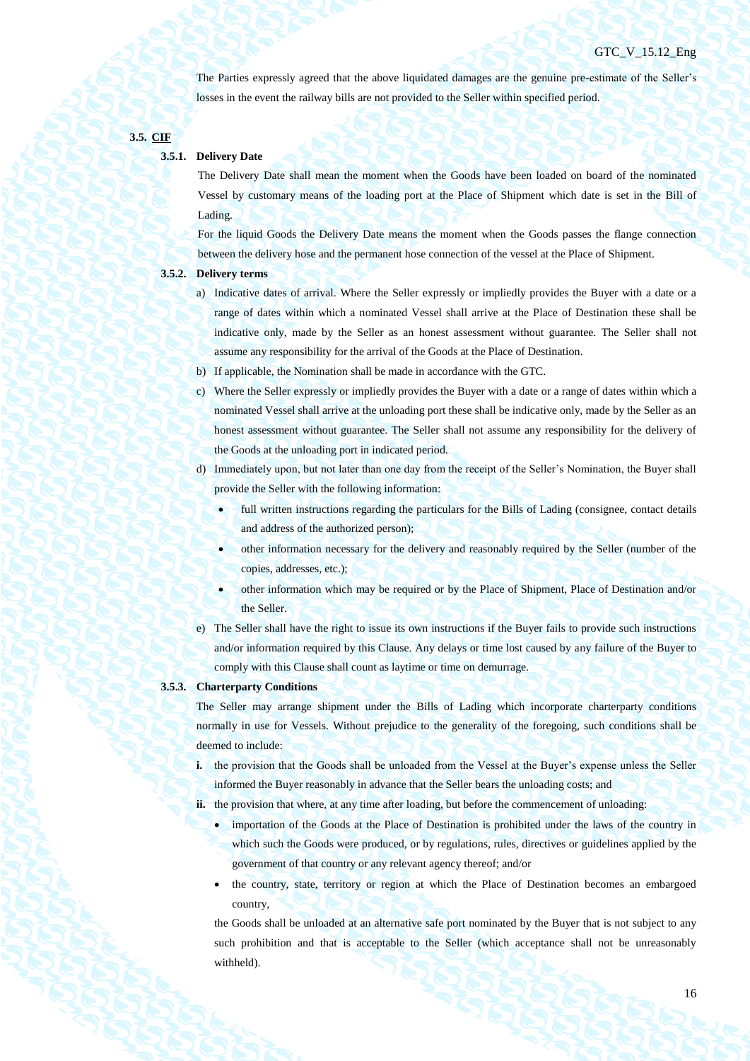The Parties expressly agreed that the above liquidated damages are the genuine pre-estimate of the Seller's losses in the event the railway bills are not provided to the Seller within specified period.

## **3.5. CIF**

## **3.5.1. Delivery Date**

The Delivery Date shall mean the moment when the Goods have been loaded on board of the nominated Vessel by customary means of the loading port at the Place of Shipment which date is set in the Bill of Lading.

For the liquid Goods the Delivery Date means the moment when the Goods passes the flange connection between the delivery hose and the permanent hose connection of the vessel at the Place of Shipment.

## **3.5.2. Delivery terms**

- a) Indicative dates of arrival. Where the Seller expressly or impliedly provides the Buyer with a date or a range of dates within which a nominated Vessel shall arrive at the Place of Destination these shall be indicative only, made by the Seller as an honest assessment without guarantee. The Seller shall not assume any responsibility for the arrival of the Goods at the Place of Destination.
- b) If applicable, the Nomination shall be made in accordance with the GTC.
- c) Where the Seller expressly or impliedly provides the Buyer with a date or a range of dates within which a nominated Vessel shall arrive at the unloading port these shall be indicative only, made by the Seller as an honest assessment without guarantee. The Seller shall not assume any responsibility for the delivery of the Goods at the unloading port in indicated period.
- d) Immediately upon, but not later than one day from the receipt of the Seller's Nomination, the Buyer shall provide the Seller with the following information:
	- full written instructions regarding the particulars for the Bills of Lading (consignee, contact details and address of the authorized person);
		- other information necessary for the delivery and reasonably required by the Seller (number of the copies, addresses, etc.);
	- other information which may be required or by the Place of Shipment, Place of Destination and/or the Seller.
- e) The Seller shall have the right to issue its own instructions if the Buyer fails to provide such instructions and/or information required by this Clause. Any delays or time lost caused by any failure of the Buyer to comply with this Clause shall count as laytime or time on demurrage.

## **3.5.3. Charterparty Conditions**

The Seller may arrange shipment under the Bills of Lading which incorporate charterparty conditions normally in use for Vessels. Without prejudice to the generality of the foregoing, such conditions shall be deemed to include:

**i.** the provision that the Goods shall be unloaded from the Vessel at the Buyer's expense unless the Seller informed the Buyer reasonably in advance that the Seller bears the unloading costs; and

ii. the provision that where, at any time after loading, but before the commencement of unloading:

- importation of the Goods at the Place of Destination is prohibited under the laws of the country in which such the Goods were produced, or by regulations, rules, directives or guidelines applied by the government of that country or any relevant agency thereof; and/or
- the country, state, territory or region at which the Place of Destination becomes an embargoed country,

the Goods shall be unloaded at an alternative safe port nominated by the Buyer that is not subject to any such prohibition and that is acceptable to the Seller (which acceptance shall not be unreasonably withheld).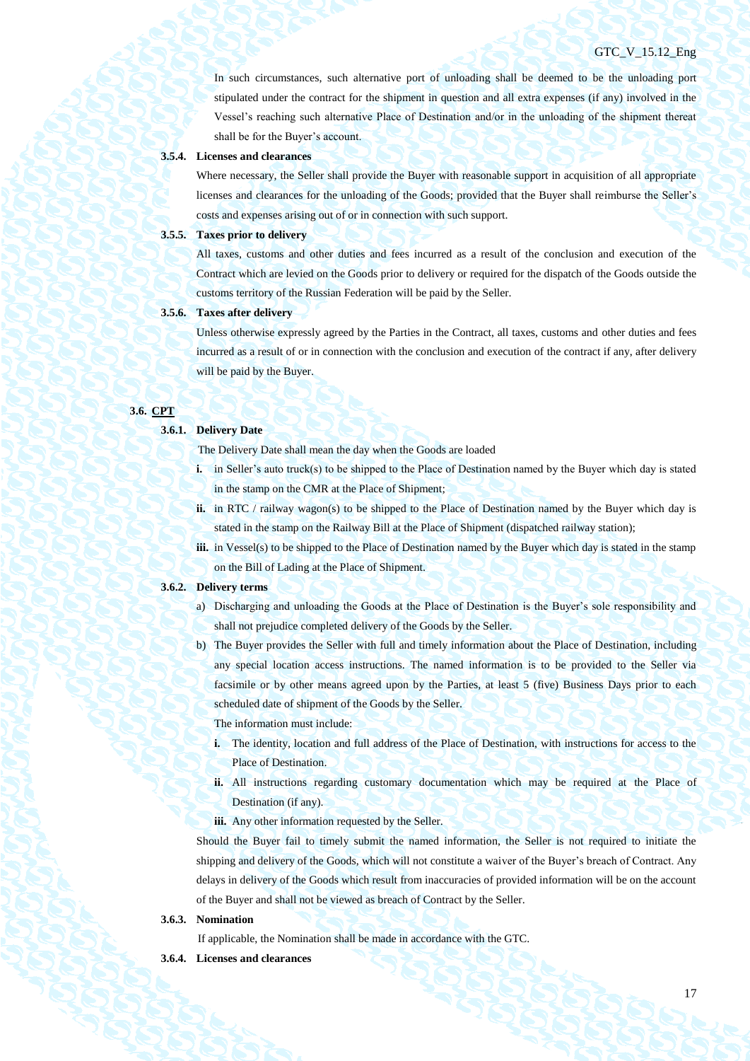In such circumstances, such alternative port of unloading shall be deemed to be the unloading port stipulated under the contract for the shipment in question and all extra expenses (if any) involved in the Vessel's reaching such alternative Place of Destination and/or in the unloading of the shipment thereat shall be for the Buyer's account.

## **3.5.4. Licenses and clearances**

Where necessary, the Seller shall provide the Buyer with reasonable support in acquisition of all appropriate licenses and clearances for the unloading of the Goods; provided that the Buyer shall reimburse the Seller's costs and expenses arising out of or in connection with such support.

#### **3.5.5. Taxes prior to delivery**

All taxes, customs and other duties and fees incurred as a result of the conclusion and execution of the Contract which are levied on the Goods prior to delivery or required for the dispatch of the Goods outside the customs territory of the Russian Federation will be paid by the Seller.

## **3.5.6. Taxes after delivery**

Unless otherwise expressly agreed by the Parties in the Contract, all taxes, customs and other duties and fees incurred as a result of or in connection with the conclusion and execution of the contract if any, after delivery will be paid by the Buyer.

## **3.6. CPT**

#### **3.6.1. Delivery Date**

The Delivery Date shall mean the day when the Goods are loaded

- **i.** in Seller's auto truck(s) to be shipped to the Place of Destination named by the Buyer which day is stated in the stamp on the CMR at the Place of Shipment;
- **ii.** in RTC / railway wagon(s) to be shipped to the Place of Destination named by the Buyer which day is stated in the stamp on the Railway Bill at the Place of Shipment (dispatched railway station);
- **iii.** in Vessel(s) to be shipped to the Place of Destination named by the Buyer which day is stated in the stamp on the Bill of Lading at the Place of Shipment.

## **3.6.2. Delivery terms**

- a) Discharging and unloading the Goods at the Place of Destination is the Buyer's sole responsibility and shall not prejudice completed delivery of the Goods by the Seller.
- b) The Buyer provides the Seller with full and timely information about the Place of Destination, including any special location access instructions. The named information is to be provided to the Seller via facsimile or by other means agreed upon by the Parties, at least 5 (five) Business Days prior to each scheduled date of shipment of the Goods by the Seller.

The information must include:

- **i.** The identity, location and full address of the Place of Destination, with instructions for access to the Place of Destination.
- **ii.** All instructions regarding customary documentation which may be required at the Place of Destination (if any).
- iii. Any other information requested by the Seller.

Should the Buyer fail to timely submit the named information, the Seller is not required to initiate the shipping and delivery of the Goods, which will not constitute a waiver of the Buyer's breach of Contract. Any delays in delivery of the Goods which result from inaccuracies of provided information will be on the account of the Buyer and shall not be viewed as breach of Contract by the Seller.

## **3.6.3. Nomination**

If applicable, the Nomination shall be made in accordance with the GTC.

**3.6.4. Licenses and clearances**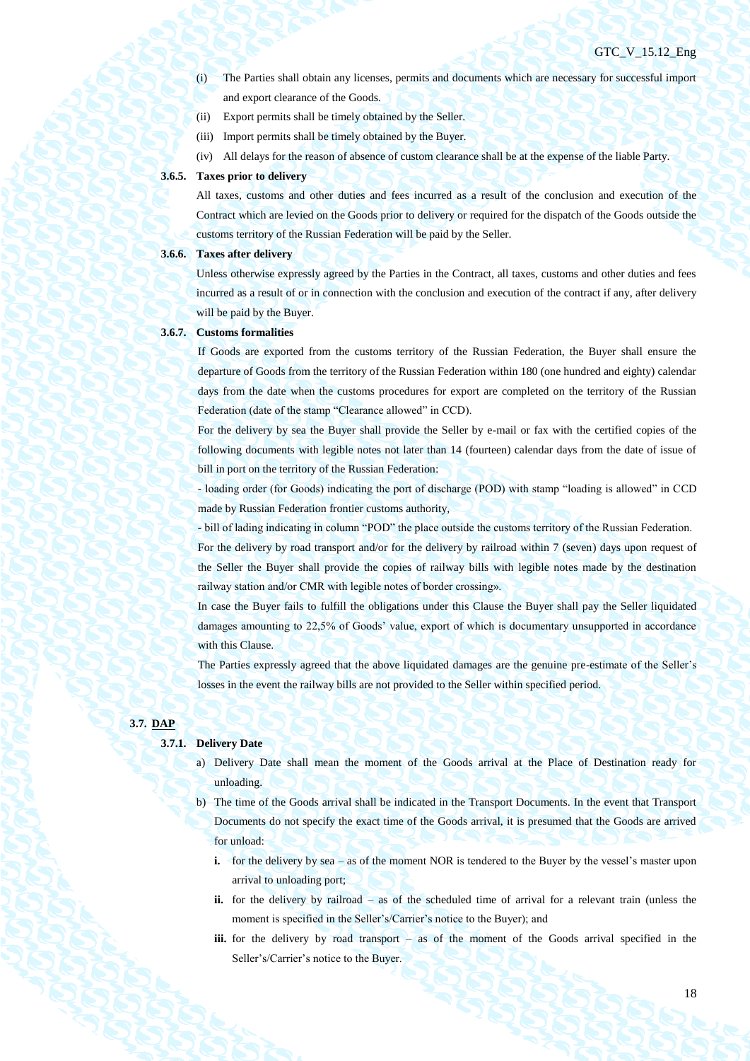- (i) The Parties shall obtain any licenses, permits and documents which are necessary for successful import and export clearance of the Goods.
- (ii) Export permits shall be timely obtained by the Seller.
- (iii) Import permits shall be timely obtained by the Buyer.
- (iv) All delays for the reason of absence of custom clearance shall be at the expense of the liable Party.

## **3.6.5. Taxes prior to delivery**

All taxes, customs and other duties and fees incurred as a result of the conclusion and execution of the Contract which are levied on the Goods prior to delivery or required for the dispatch of the Goods outside the customs territory of the Russian Federation will be paid by the Seller.

## **3.6.6. Taxes after delivery**

Unless otherwise expressly agreed by the Parties in the Contract, all taxes, customs and other duties and fees incurred as a result of or in connection with the conclusion and execution of the contract if any, after delivery will be paid by the Buyer.

#### **3.6.7. Customs formalities**

If Goods are exported from the customs territory of the Russian Federation, the Buyer shall ensure the departure of Goods from the territory of the Russian Federation within 180 (one hundred and eighty) calendar days from the date when the customs procedures for export are completed on the territory of the Russian Federation (date of the stamp "Clearance allowed" in CCD).

For the delivery by sea the Buyer shall provide the Seller by e-mail or fax with the certified copies of the following documents with legible notes not later than 14 (fourteen) calendar days from the date of issue of bill in port on the territory of the Russian Federation:

- loading order (for Goods) indicating the port of discharge (POD) with stamp "loading is allowed" in CCD made by Russian Federation frontier customs authority,

- bill of lading indicating in column "POD" the place outside the customs territory of the Russian Federation. For the delivery by road transport and/or for the delivery by railroad within 7 (seven) days upon request of the Seller the Buyer shall provide the copies of railway bills with legible notes made by the destination railway station and/or CMR with legible notes of border crossing».

In case the Buyer fails to fulfill the obligations under this Clause the Buyer shall pay the Seller liquidated damages amounting to 22,5% of Goods' value, export of which is documentary unsupported in accordance with this Clause.

The Parties expressly agreed that the above liquidated damages are the genuine pre-estimate of the Seller's losses in the event the railway bills are not provided to the Seller within specified period.

## **3.7. DAP**

## **3.7.1. Delivery Date**

- a) Delivery Date shall mean the moment of the Goods arrival at the Place of Destination ready for unloading.
- b) The time of the Goods arrival shall be indicated in the Transport Documents. In the event that Transport Documents do not specify the exact time of the Goods arrival, it is presumed that the Goods are arrived for unload:
	- **i.** for the delivery by sea as of the moment NOR is tendered to the Buyer by the vessel's master upon arrival to unloading port;
	- **ii.** for the delivery by railroad as of the scheduled time of arrival for a relevant train (unless the moment is specified in the Seller's/Carrier's notice to the Buyer); and
	- **iii.** for the delivery by road transport as of the moment of the Goods arrival specified in the Seller's/Carrier's notice to the Buyer.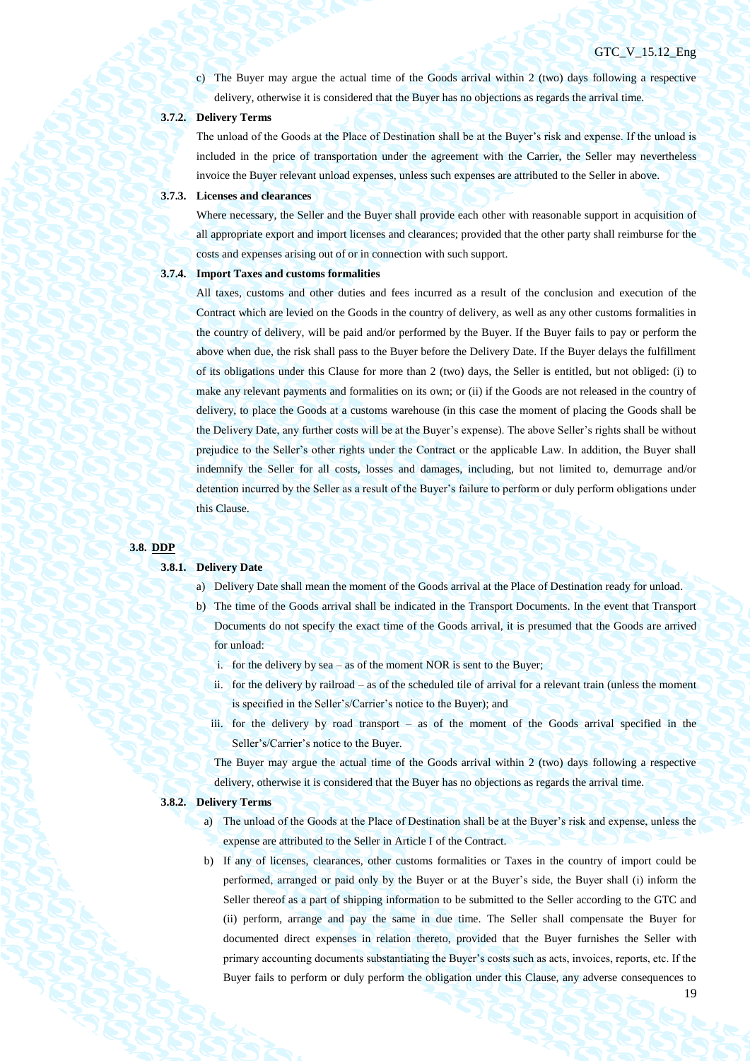19

c) The Buyer may argue the actual time of the Goods arrival within 2 (two) days following a respective delivery, otherwise it is considered that the Buyer has no objections as regards the arrival time.

## **3.7.2. Delivery Terms**

The unload of the Goods at the Place of Destination shall be at the Buyer's risk and expense. If the unload is included in the price of transportation under the agreement with the Carrier, the Seller may nevertheless invoice the Buyer relevant unload expenses, unless such expenses are attributed to the Seller in above.

#### **3.7.3. Licenses and clearances**

Where necessary, the Seller and the Buyer shall provide each other with reasonable support in acquisition of all appropriate export and import licenses and clearances; provided that the other party shall reimburse for the costs and expenses arising out of or in connection with such support.

## **3.7.4. Import Taxes and customs formalities**

All taxes, customs and other duties and fees incurred as a result of the conclusion and execution of the Contract which are levied on the Goods in the country of delivery, as well as any other customs formalities in the country of delivery, will be paid and/or performed by the Buyer. If the Buyer fails to pay or perform the above when due, the risk shall pass to the Buyer before the Delivery Date. If the Buyer delays the fulfillment of its obligations under this Clause for more than 2 (two) days, the Seller is entitled, but not obliged: (i) to make any relevant payments and formalities on its own; or (ii) if the Goods are not released in the country of delivery, to place the Goods at a customs warehouse (in this case the moment of placing the Goods shall be the Delivery Date, any further costs will be at the Buyer's expense). The above Seller's rights shall be without prejudice to the Seller's other rights under the Contract or the applicable Law. In addition, the Buyer shall indemnify the Seller for all costs, losses and damages, including, but not limited to, demurrage and/or detention incurred by the Seller as a result of the Buyer's failure to perform or duly perform obligations under this Clause.

#### **3.8. DDP**

#### **3.8.1. Delivery Date**

- a) Delivery Date shall mean the moment of the Goods arrival at the Place of Destination ready for unload.
- b) The time of the Goods arrival shall be indicated in the Transport Documents. In the event that Transport Documents do not specify the exact time of the Goods arrival, it is presumed that the Goods are arrived for unload:
	- i. for the delivery by sea as of the moment NOR is sent to the Buyer;
	- ii. for the delivery by railroad as of the scheduled tile of arrival for a relevant train (unless the moment is specified in the Seller's/Carrier's notice to the Buyer); and
	- iii. for the delivery by road transport as of the moment of the Goods arrival specified in the Seller's/Carrier's notice to the Buyer.

The Buyer may argue the actual time of the Goods arrival within 2 (two) days following a respective delivery, otherwise it is considered that the Buyer has no objections as regards the arrival time.

#### **3.8.2. Delivery Terms**

- a) The unload of the Goods at the Place of Destination shall be at the Buyer's risk and expense, unless the expense are attributed to the Seller in Article I of the Contract.
- b) If any of licenses, clearances, other customs formalities or Taxes in the country of import could be performed, arranged or paid only by the Buyer or at the Buyer's side, the Buyer shall (i) inform the Seller thereof as a part of shipping information to be submitted to the Seller according to the GTC and (ii) perform, arrange and pay the same in due time. The Seller shall compensate the Buyer for documented direct expenses in relation thereto, provided that the Buyer furnishes the Seller with primary accounting documents substantiating the Buyer's costs such as acts, invoices, reports, etc. If the Buyer fails to perform or duly perform the obligation under this Clause, any adverse consequences to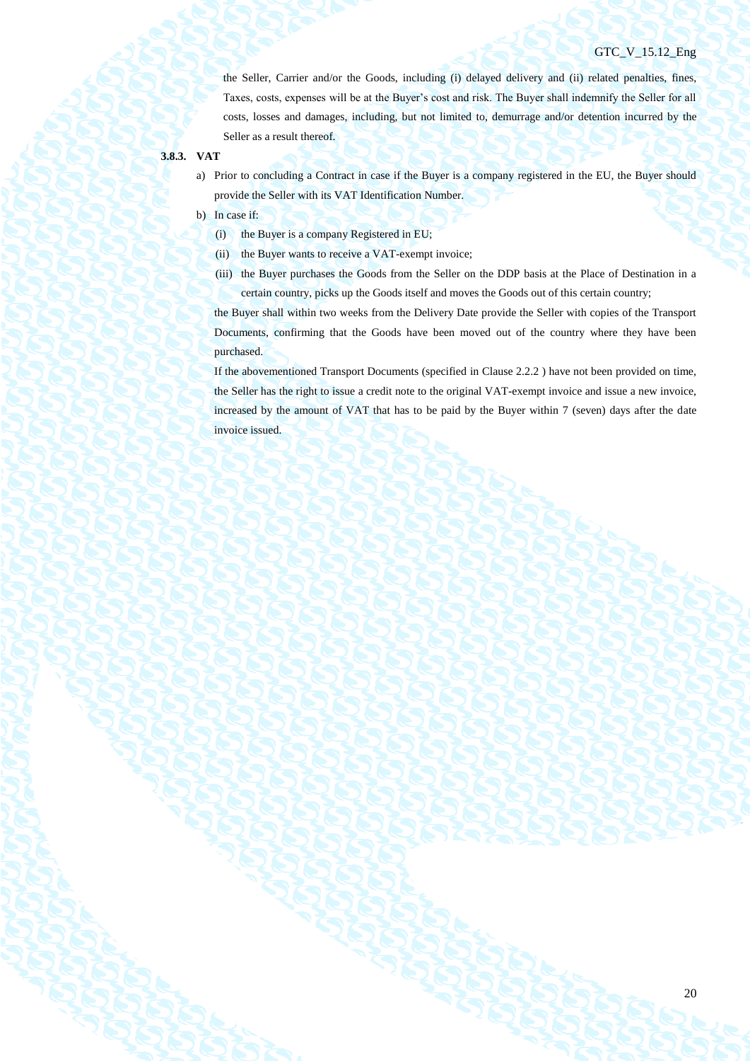the Seller, Carrier and/or the Goods, including (i) delayed delivery and (ii) related penalties, fines, Taxes, costs, expenses will be at the Buyer's cost and risk. The Buyer shall indemnify the Seller for all costs, losses and damages, including, but not limited to, demurrage and/or detention incurred by the Seller as a result thereof.

## **3.8.3. VAT**

- a) Prior to concluding a Contract in case if the Buyer is a company registered in the EU, the Buyer should provide the Seller with its VAT Identification Number.
- b) In case if:
	- (i) the Buyer is a company Registered in EU;
	- (ii) the Buyer wants to receive a VAT-exempt invoice;
	- (iii) the Buyer purchases the Goods from the Seller on the DDP basis at the Place of Destination in a certain country, picks up the Goods itself and moves the Goods out of this certain country;

the Buyer shall within two weeks from the Delivery Date provide the Seller with copies of the Transport Documents, confirming that the Goods have been moved out of the country where they have been purchased.

If the abovementioned Transport Documents (specified in Clause 2.2.2 ) have not been provided on time, the Seller has the right to issue a credit note to the original VAT-exempt invoice and issue a new invoice, increased by the amount of VAT that has to be paid by the Buyer within 7 (seven) days after the date invoice issued.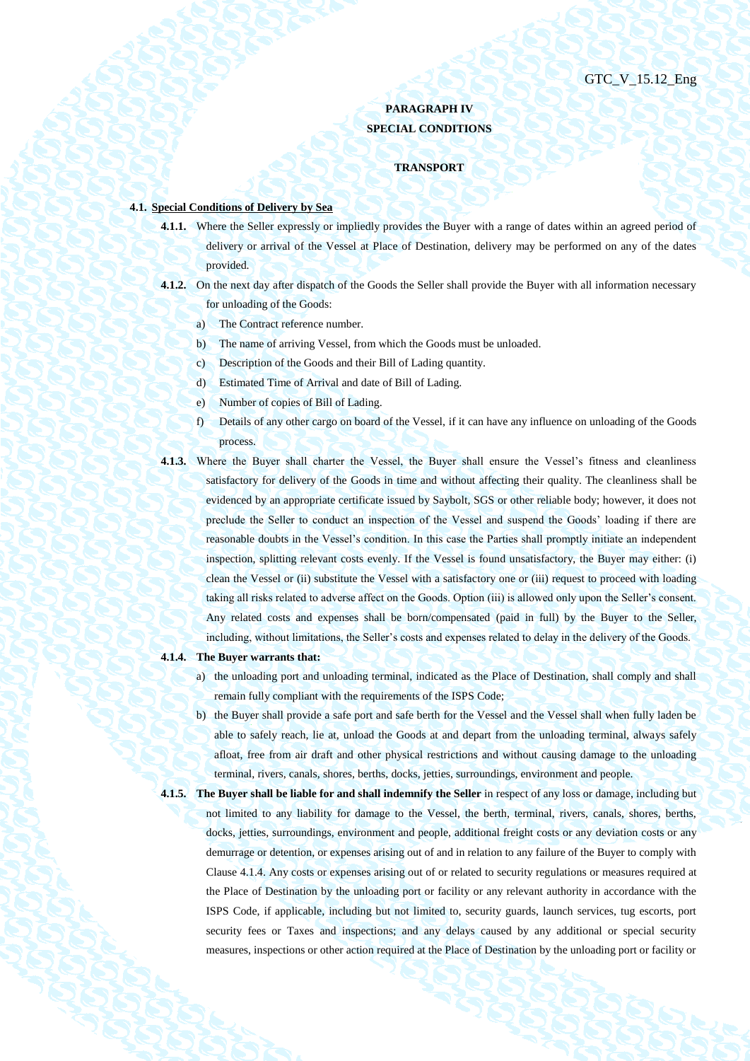# **PARAGRAPH IV SPECIAL CONDITIONS**

#### **TRANSPORT**

## **4.1. Special Conditions of Delivery by Sea**

- **4.1.1.** Where the Seller expressly or impliedly provides the Buyer with a range of dates within an agreed period of delivery or arrival of the Vessel at Place of Destination, delivery may be performed on any of the dates provided.
- **4.1.2.** On the next day after dispatch of the Goods the Seller shall provide the Buyer with all information necessary for unloading of the Goods:
	- a) The Contract reference number.
	- b) The name of arriving Vessel, from which the Goods must be unloaded.
	- c) Description of the Goods and their Bill of Lading quantity.
	- d) Estimated Time of Arrival and date of Bill of Lading.
	- e) Number of copies of Bill of Lading.
	- f) Details of any other cargo on board of the Vessel, if it can have any influence on unloading of the Goods process.
- **4.1.3.** Where the Buyer shall charter the Vessel, the Buyer shall ensure the Vessel's fitness and cleanliness satisfactory for delivery of the Goods in time and without affecting their quality. The cleanliness shall be evidenced by an appropriate certificate issued by Saybolt, SGS or other reliable body; however, it does not preclude the Seller to conduct an inspection of the Vessel and suspend the Goods' loading if there are reasonable doubts in the Vessel's condition. In this case the Parties shall promptly initiate an independent inspection, splitting relevant costs evenly. If the Vessel is found unsatisfactory, the Buyer may either: (i) clean the Vessel or (ii) substitute the Vessel with a satisfactory one or (iii) request to proceed with loading taking all risks related to adverse affect on the Goods. Option (iii) is allowed only upon the Seller's consent. Any related costs and expenses shall be born/compensated (paid in full) by the Buyer to the Seller, including, without limitations, the Seller's costs and expenses related to delay in the delivery of the Goods.

#### <span id="page-20-0"></span>**4.1.4. The Buyer warrants that:**

- a) the unloading port and unloading terminal, indicated as the Place of Destination, shall comply and shall remain fully compliant with the requirements of the ISPS Code;
- b) the Buyer shall provide a safe port and safe berth for the Vessel and the Vessel shall when fully laden be able to safely reach, lie at, unload the Goods at and depart from the unloading terminal, always safely afloat, free from air draft and other physical restrictions and without causing damage to the unloading terminal, rivers, canals, shores, berths, docks, jetties, surroundings, environment and people.
- **4.1.5. The Buyer shall be liable for and shall indemnify the Seller** in respect of any loss or damage, including but not limited to any liability for damage to the Vessel, the berth, terminal, rivers, canals, shores, berths, docks, jetties, surroundings, environment and people, additional freight costs or any deviation costs or any demurrage or detention, or expenses arising out of and in relation to any failure of the Buyer to comply with Claus[e 4.1.4.](#page-20-0) Any costs or expenses arising out of or related to security regulations or measures required at the Place of Destination by the unloading port or facility or any relevant authority in accordance with the ISPS Code, if applicable, including but not limited to, security guards, launch services, tug escorts, port security fees or Taxes and inspections; and any delays caused by any additional or special security measures, inspections or other action required at the Place of Destination by the unloading port or facility or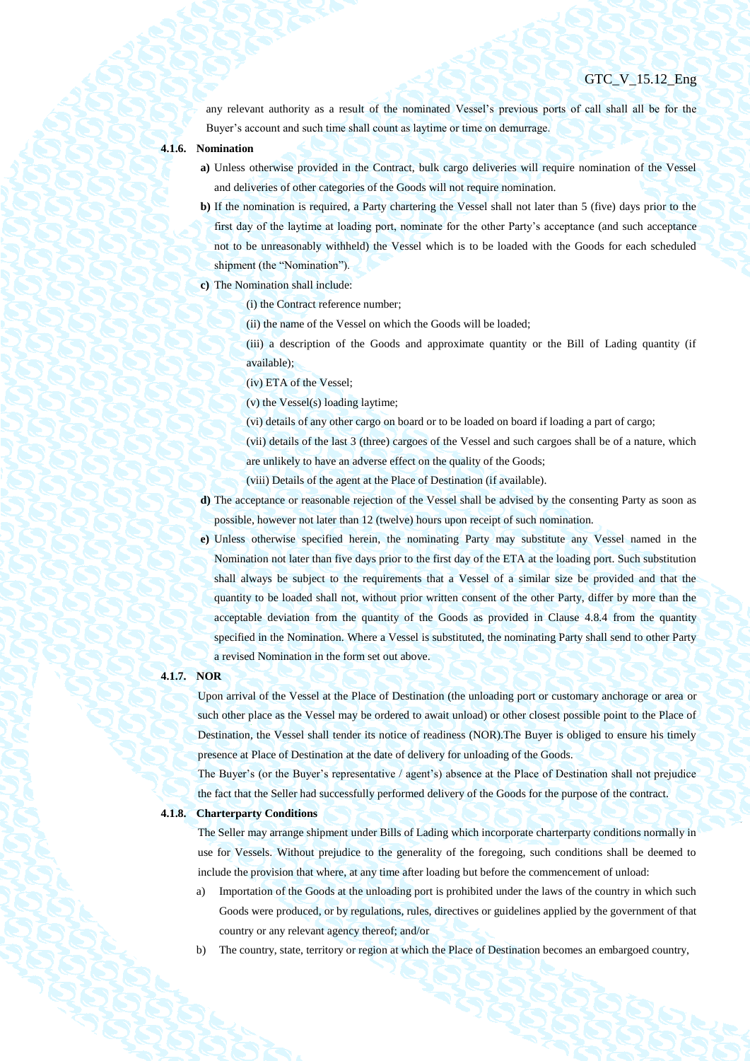any relevant authority as a result of the nominated Vessel's previous ports of call shall all be for the Buyer's account and such time shall count as laytime or time on demurrage.

- **4.1.6. Nomination**
	- **a)** Unless otherwise provided in the Contract, bulk cargo deliveries will require nomination of the Vessel and deliveries of other categories of the Goods will not require nomination.
	- **b)** If the nomination is required, a Party chartering the Vessel shall not later than 5 (five) days prior to the first day of the laytime at loading port, nominate for the other Party's acceptance (and such acceptance not to be unreasonably withheld) the Vessel which is to be loaded with the Goods for each scheduled shipment (the "Nomination").
	- **c)** The Nomination shall include:
		- (i) the Contract reference number;
			- (ii) the name of the Vessel on which the Goods will be loaded;
		- (iii) a description of the Goods and approximate quantity or the Bill of Lading quantity (if available);
			- (iv) ETA of the Vessel;
			- (v) the Vessel(s) loading laytime;
			- (vi) details of any other cargo on board or to be loaded on board if loading a part of cargo;
		- (vii) details of the last 3 (three) cargoes of the Vessel and such cargoes shall be of a nature, which
		- are unlikely to have an adverse effect on the quality of the Goods;
		- (viii) Details of the agent at the Place of Destination (if available).
	- **d)** The acceptance or reasonable rejection of the Vessel shall be advised by the consenting Party as soon as possible, however not later than 12 (twelve) hours upon receipt of such nomination.
	- **e)** Unless otherwise specified herein, the nominating Party may substitute any Vessel named in the Nomination not later than five days prior to the first day of the ETA at the loading port. Such substitution shall always be subject to the requirements that a Vessel of a similar size be provided and that the quantity to be loaded shall not, without prior written consent of the other Party, differ by more than the acceptable deviation from the quantity of the Goods as provided in Clause [4.8.4](#page-36-0) from the quantity specified in the Nomination. Where a Vessel is substituted, the nominating Party shall send to other Party a revised Nomination in the form set out above.

## **4.1.7. NOR**

Upon arrival of the Vessel at the Place of Destination (the unloading port or customary anchorage or area or such other place as the Vessel may be ordered to await unload) or other closest possible point to the Place of Destination, the Vessel shall tender its notice of readiness (NOR).The Buyer is obliged to ensure his timely presence at Place of Destination at the date of delivery for unloading of the Goods.

The Buyer's (or the Buyer's representative / agent's) absence at the Place of Destination shall not prejudice the fact that the Seller had successfully performed delivery of the Goods for the purpose of the contract.

## **4.1.8. Charterparty Conditions**

The Seller may arrange shipment under Bills of Lading which incorporate charterparty conditions normally in use for Vessels. Without prejudice to the generality of the foregoing, such conditions shall be deemed to include the provision that where, at any time after loading but before the commencement of unload:

- a) Importation of the Goods at the unloading port is prohibited under the laws of the country in which such Goods were produced, or by regulations, rules, directives or guidelines applied by the government of that country or any relevant agency thereof; and/or
- b) The country, state, territory or region at which the Place of Destination becomes an embargoed country,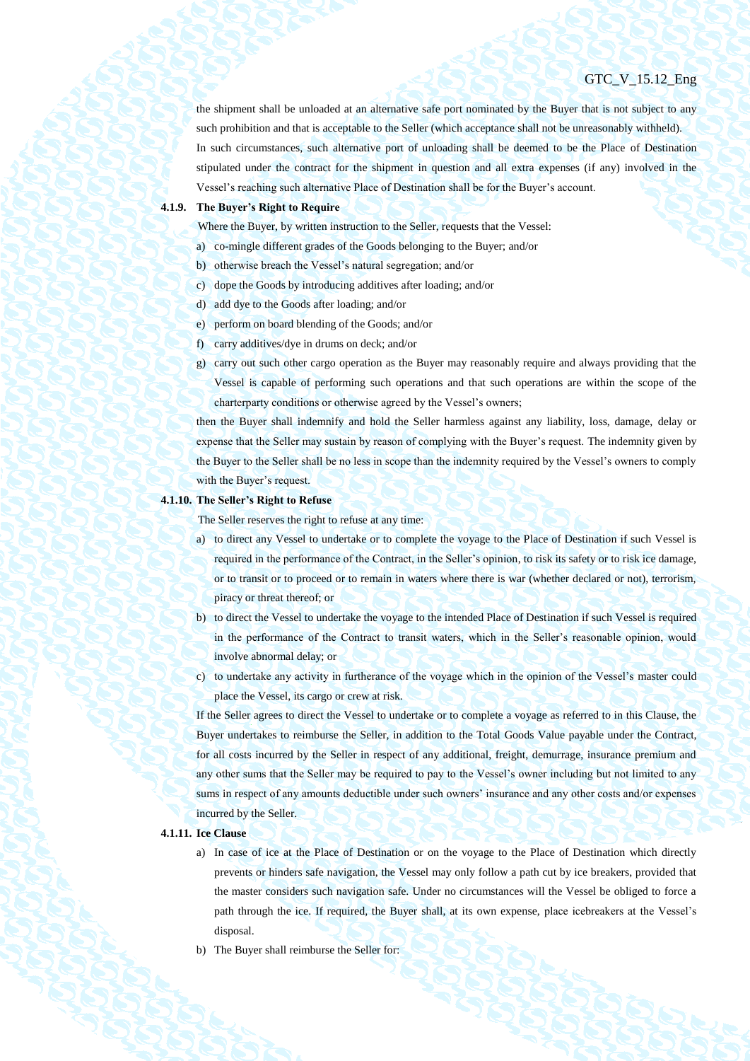the shipment shall be unloaded at an alternative safe port nominated by the Buyer that is not subject to any such prohibition and that is acceptable to the Seller (which acceptance shall not be unreasonably withheld). In such circumstances, such alternative port of unloading shall be deemed to be the Place of Destination stipulated under the contract for the shipment in question and all extra expenses (if any) involved in the Vessel's reaching such alternative Place of Destination shall be for the Buyer's account.

## **4.1.9. The Buyer's Right to Require**

Where the Buyer, by written instruction to the Seller, requests that the Vessel:

- a) co-mingle different grades of the Goods belonging to the Buyer; and/or
- b) otherwise breach the Vessel's natural segregation; and/or
- c) dope the Goods by introducing additives after loading; and/or
- d) add dye to the Goods after loading; and/or
- e) perform on board blending of the Goods; and/or
- f) carry additives/dye in drums on deck; and/or
- g) carry out such other cargo operation as the Buyer may reasonably require and always providing that the Vessel is capable of performing such operations and that such operations are within the scope of the charterparty conditions or otherwise agreed by the Vessel's owners;

then the Buyer shall indemnify and hold the Seller harmless against any liability, loss, damage, delay or expense that the Seller may sustain by reason of complying with the Buyer's request. The indemnity given by the Buyer to the Seller shall be no less in scope than the indemnity required by the Vessel's owners to comply with the Buyer's request.

#### **4.1.10. The Seller's Right to Refuse**

The Seller reserves the right to refuse at any time:

- a) to direct any Vessel to undertake or to complete the voyage to the Place of Destination if such Vessel is required in the performance of the Contract, in the Seller's opinion, to risk its safety or to risk ice damage, or to transit or to proceed or to remain in waters where there is war (whether declared or not), terrorism, piracy or threat thereof; or
- b) to direct the Vessel to undertake the voyage to the intended Place of Destination if such Vessel is required in the performance of the Contract to transit waters, which in the Seller's reasonable opinion, would involve abnormal delay; or
- c) to undertake any activity in furtherance of the voyage which in the opinion of the Vessel's master could place the Vessel, its cargo or crew at risk.

If the Seller agrees to direct the Vessel to undertake or to complete a voyage as referred to in this Clause, the Buyer undertakes to reimburse the Seller, in addition to the Total Goods Value payable under the Contract, for all costs incurred by the Seller in respect of any additional, freight, demurrage, insurance premium and any other sums that the Seller may be required to pay to the Vessel's owner including but not limited to any sums in respect of any amounts deductible under such owners' insurance and any other costs and/or expenses incurred by the Seller.

## **4.1.11. Ice Clause**

- a) In case of ice at the Place of Destination or on the voyage to the Place of Destination which directly prevents or hinders safe navigation, the Vessel may only follow a path cut by ice breakers, provided that the master considers such navigation safe. Under no circumstances will the Vessel be obliged to force a path through the ice. If required, the Buyer shall, at its own expense, place icebreakers at the Vessel's disposal.
- b) The Buyer shall reimburse the Seller for: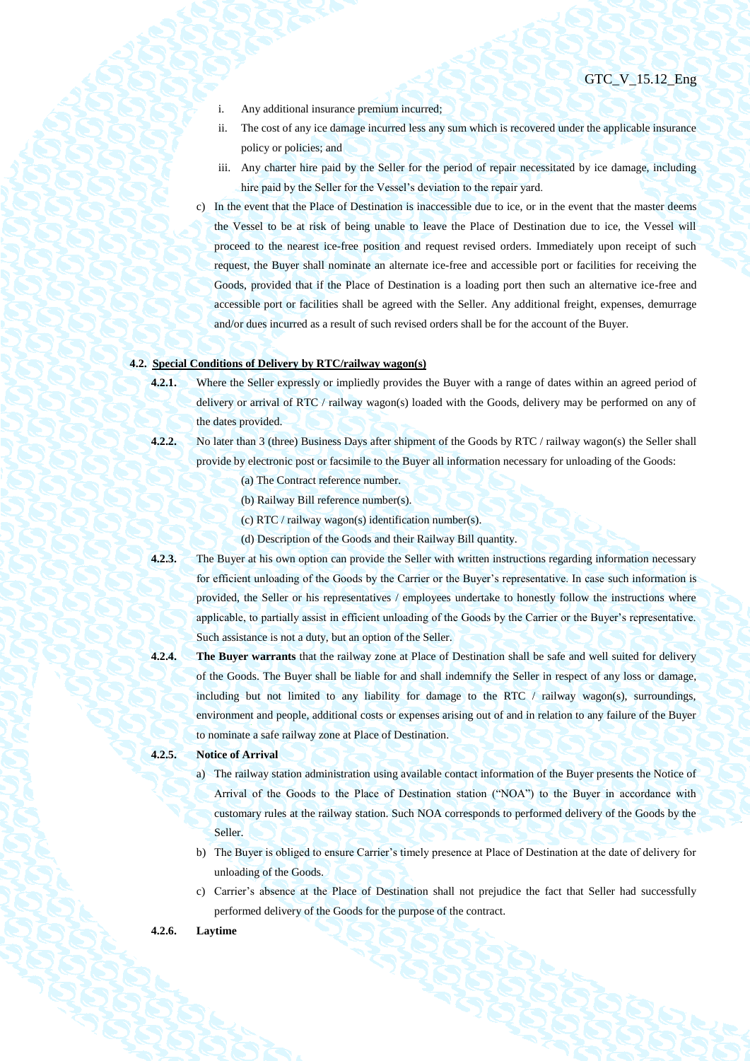- i. Any additional insurance premium incurred;
- ii. The cost of any ice damage incurred less any sum which is recovered under the applicable insurance policy or policies; and
- iii. Any charter hire paid by the Seller for the period of repair necessitated by ice damage, including hire paid by the Seller for the Vessel's deviation to the repair yard.
- c) In the event that the Place of Destination is inaccessible due to ice, or in the event that the master deems the Vessel to be at risk of being unable to leave the Place of Destination due to ice, the Vessel will proceed to the nearest ice-free position and request revised orders. Immediately upon receipt of such request, the Buyer shall nominate an alternate ice-free and accessible port or facilities for receiving the Goods, provided that if the Place of Destination is a loading port then such an alternative ice-free and accessible port or facilities shall be agreed with the Seller. Any additional freight, expenses, demurrage and/or dues incurred as a result of such revised orders shall be for the account of the Buyer.

## **4.2. Special Conditions of Delivery by RTC/railway wagon(s)**

- **4.2.1.** Where the Seller expressly or impliedly provides the Buyer with a range of dates within an agreed period of delivery or arrival of RTC / railway wagon(s) loaded with the Goods, delivery may be performed on any of the dates provided.
- **4.2.2.** No later than 3 (three) Business Days after shipment of the Goods by RTC / railway wagon(s) the Seller shall provide by electronic post or facsimile to the Buyer all information necessary for unloading of the Goods:
	- (a) The Contract reference number.
	- (b) Railway Bill reference number(s).
	- (c) RTC / railway wagon(s) identification number(s).
	- (d) Description of the Goods and their Railway Bill quantity.
- **4.2.3.** The Buyer at his own option can provide the Seller with written instructions regarding information necessary for efficient unloading of the Goods by the Carrier or the Buyer's representative. In case such information is provided, the Seller or his representatives / employees undertake to honestly follow the instructions where applicable, to partially assist in efficient unloading of the Goods by the Carrier or the Buyer's representative. Such assistance is not a duty, but an option of the Seller.
- **4.2.4. The Buyer warrants** that the railway zone at Place of Destination shall be safe and well suited for delivery of the Goods. The Buyer shall be liable for and shall indemnify the Seller in respect of any loss or damage, including but not limited to any liability for damage to the RTC  $/$  railway wagon(s), surroundings, environment and people, additional costs or expenses arising out of and in relation to any failure of the Buyer to nominate a safe railway zone at Place of Destination.

## **4.2.5. Notice of Arrival**

- a) The railway station administration using available contact information of the Buyer presents the Notice of Arrival of the Goods to the Place of Destination station ("NOA") to the Buyer in accordance with customary rules at the railway station. Such NOA corresponds to performed delivery of the Goods by the Seller.
- b) The Buyer is obliged to ensure Carrier's timely presence at Place of Destination at the date of delivery for unloading of the Goods.
- c) Carrier's absence at the Place of Destination shall not prejudice the fact that Seller had successfully performed delivery of the Goods for the purpose of the contract.

## **4.2.6. Laytime**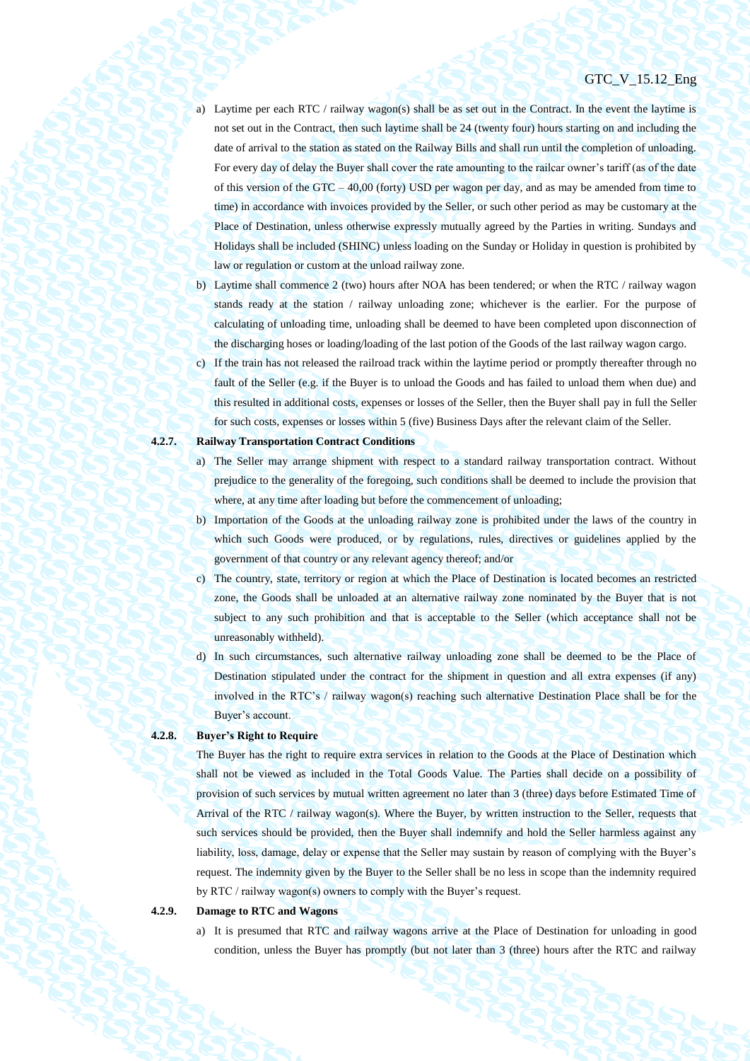- a) Laytime per each RTC / railway wagon(s) shall be as set out in the Contract. In the event the laytime is not set out in the Contract, then such laytime shall be 24 (twenty four) hours starting on and including the date of arrival to the station as stated on the Railway Bills and shall run until the completion of unloading. For every day of delay the Buyer shall cover the rate amounting to the railcar owner's tariff (as of the date of this version of the GTC – 40,00 (forty) USD per wagon per day, and as may be amended from time to time) in accordance with invoices provided by the Seller, or such other period as may be customary at the Place of Destination, unless otherwise expressly mutually agreed by the Parties in writing. Sundays and Holidays shall be included (SHINC) unless loading on the Sunday or Holiday in question is prohibited by law or regulation or custom at the unload railway zone.
- b) Laytime shall commence 2 (two) hours after NOA has been tendered; or when the RTC / railway wagon stands ready at the station / railway unloading zone; whichever is the earlier. For the purpose of calculating of unloading time, unloading shall be deemed to have been completed upon disconnection of the discharging hoses or loading/loading of the last potion of the Goods of the last railway wagon cargo.
- c) If the train has not released the railroad track within the laytime period or promptly thereafter through no fault of the Seller (e.g. if the Buyer is to unload the Goods and has failed to unload them when due) and this resulted in additional costs, expenses or losses of the Seller, then the Buyer shall pay in full the Seller for such costs, expenses or losses within 5 (five) Business Days after the relevant claim of the Seller.

## **4.2.7. Railway Transportation Contract Conditions**

- a) The Seller may arrange shipment with respect to a standard railway transportation contract. Without prejudice to the generality of the foregoing, such conditions shall be deemed to include the provision that where, at any time after loading but before the commencement of unloading;
- b) Importation of the Goods at the unloading railway zone is prohibited under the laws of the country in which such Goods were produced, or by regulations, rules, directives or guidelines applied by the government of that country or any relevant agency thereof; and/or
- c) The country, state, territory or region at which the Place of Destination is located becomes an restricted zone, the Goods shall be unloaded at an alternative railway zone nominated by the Buyer that is not subject to any such prohibition and that is acceptable to the Seller (which acceptance shall not be unreasonably withheld).
- d) In such circumstances, such alternative railway unloading zone shall be deemed to be the Place of Destination stipulated under the contract for the shipment in question and all extra expenses (if any) involved in the RTC's / railway wagon(s) reaching such alternative Destination Place shall be for the Buyer's account.

## **4.2.8. Buyer's Right to Require**

The Buyer has the right to require extra services in relation to the Goods at the Place of Destination which shall not be viewed as included in the Total Goods Value. The Parties shall decide on a possibility of provision of such services by mutual written agreement no later than 3 (three) days before Estimated Time of Arrival of the RTC / railway wagon(s). Where the Buyer, by written instruction to the Seller, requests that such services should be provided, then the Buyer shall indemnify and hold the Seller harmless against any liability, loss, damage, delay or expense that the Seller may sustain by reason of complying with the Buyer's request. The indemnity given by the Buyer to the Seller shall be no less in scope than the indemnity required by RTC / railway wagon(s) owners to comply with the Buyer's request.

#### **4.2.9. Damage to RTC and Wagons**

a) It is presumed that RTC and railway wagons arrive at the Place of Destination for unloading in good condition, unless the Buyer has promptly (but not later than 3 (three) hours after the RTC and railway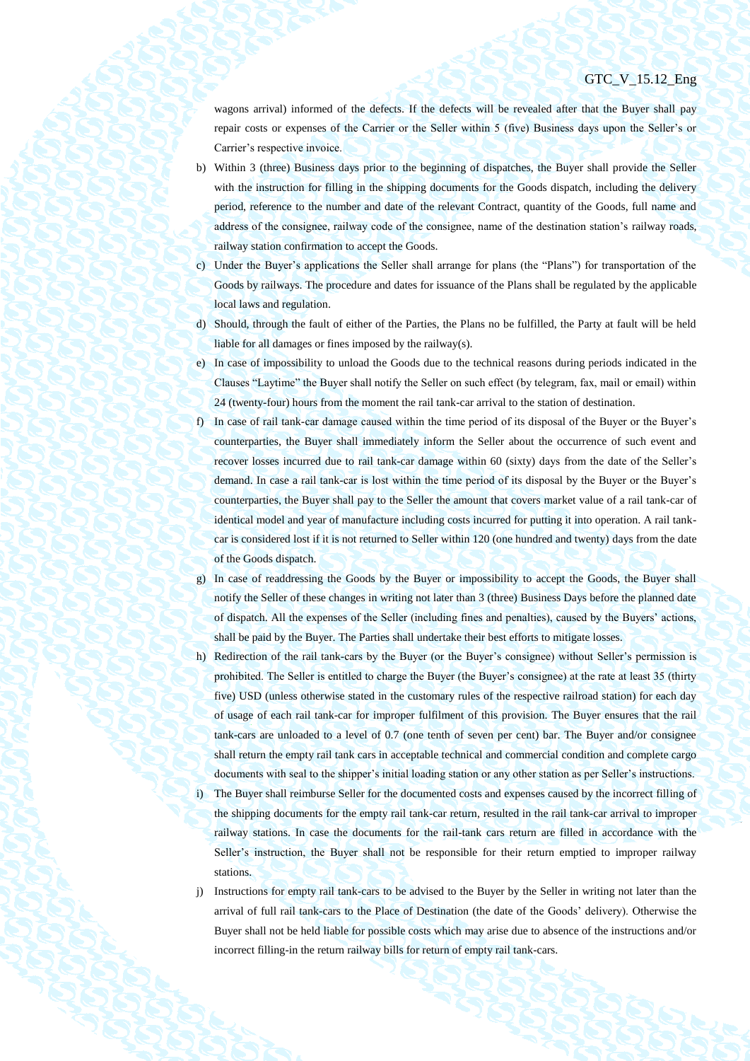wagons arrival) informed of the defects. If the defects will be revealed after that the Buyer shall pay repair costs or expenses of the Carrier or the Seller within 5 (five) Business days upon the Seller's or Carrier's respective invoice.

- b) Within 3 (three) Business days prior to the beginning of dispatches, the Buyer shall provide the Seller with the instruction for filling in the shipping documents for the Goods dispatch, including the delivery period, reference to the number and date of the relevant Contract, quantity of the Goods, full name and address of the consignee, railway code of the consignee, name of the destination station's railway roads, railway station confirmation to accept the Goods.
- c) Under the Buyer's applications the Seller shall arrange for plans (the "Plans") for transportation of the Goods by railways. The procedure and dates for issuance of the Plans shall be regulated by the applicable local laws and regulation.
- d) Should, through the fault of either of the Parties, the Plans no be fulfilled, the Party at fault will be held liable for all damages or fines imposed by the railway(s).
- e) In case of impossibility to unload the Goods due to the technical reasons during periods indicated in the Clauses "Laytime" the Buyer shall notify the Seller on such effect (by telegram, fax, mail or email) within 24 (twenty-four) hours from the moment the rail tank-car arrival to the station of destination.
- f) In case of rail tank-car damage caused within the time period of its disposal of the Buyer or the Buyer's counterparties, the Buyer shall immediately inform the Seller about the occurrence of such event and recover losses incurred due to rail tank-car damage within 60 (sixty) days from the date of the Seller's demand. In case a rail tank-car is lost within the time period of its disposal by the Buyer or the Buyer's counterparties, the Buyer shall pay to the Seller the amount that covers market value of a rail tank-car of identical model and year of manufacture including costs incurred for putting it into operation. A rail tankcar is considered lost if it is not returned to Seller within 120 (one hundred and twenty) days from the date of the Goods dispatch.
- g) In case of readdressing the Goods by the Buyer or impossibility to accept the Goods, the Buyer shall notify the Seller of these changes in writing not later than 3 (three) Business Days before the planned date of dispatch. All the expenses of the Seller (including fines and penalties), caused by the Buyers' actions, shall be paid by the Buyer. The Parties shall undertake their best efforts to mitigate losses.
- h) Redirection of the rail tank-cars by the Buyer (or the Buyer's consignee) without Seller's permission is prohibited. The Seller is entitled to charge the Buyer (the Buyer's consignee) at the rate at least 35 (thirty five) USD (unless otherwise stated in the customary rules of the respective railroad station) for each day of usage of each rail tank-car for improper fulfilment of this provision. The Buyer ensures that the rail tank-cars are unloaded to a level of 0.7 (one tenth of seven per cent) bar. The Buyer and/or consignee shall return the empty rail tank cars in acceptable technical and commercial condition and complete cargo documents with seal to the shipper's initial loading station or any other station as per Seller's instructions. i) The Buyer shall reimburse Seller for the documented costs and expenses caused by the incorrect filling of the shipping documents for the empty rail tank-car return, resulted in the rail tank-car arrival to improper railway stations. In case the documents for the rail-tank cars return are filled in accordance with the Seller's instruction, the Buyer shall not be responsible for their return emptied to improper railway stations.
- j) Instructions for empty rail tank-cars to be advised to the Buyer by the Seller in writing not later than the arrival of full rail tank-cars to the Place of Destination (the date of the Goods' delivery). Otherwise the Buyer shall not be held liable for possible costs which may arise due to absence of the instructions and/or incorrect filling-in the return railway bills for return of empty rail tank-cars.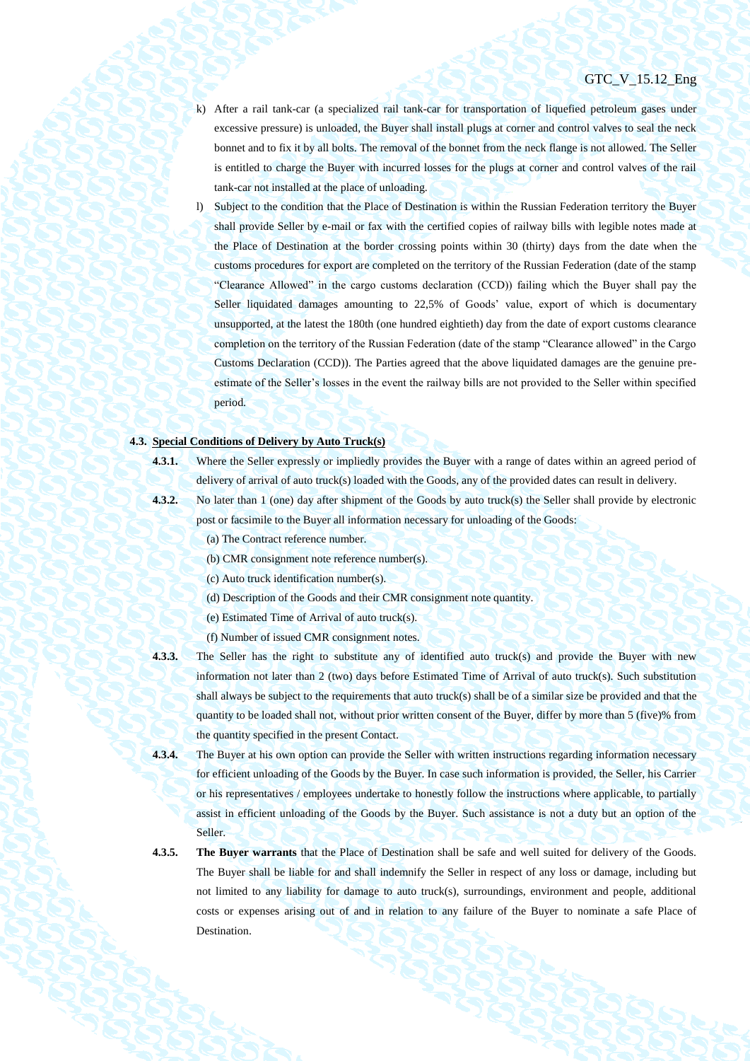- k) After a rail tank-car (a specialized rail tank-car for transportation of liquefied petroleum gases under excessive pressure) is unloaded, the Buyer shall install plugs at corner and control valves to seal the neck bonnet and to fix it by all bolts. The removal of the bonnet from the neck flange is not allowed. The Seller is entitled to charge the Buyer with incurred losses for the plugs at corner and control valves of the rail tank-car not installed at the place of unloading.
- l) Subject to the condition that the Place of Destination is within the Russian Federation territory the Buyer shall provide Seller by e-mail or fax with the certified copies of railway bills with legible notes made at the Place of Destination at the border crossing points within 30 (thirty) days from the date when the customs procedures for export are completed on the territory of the Russian Federation (date of the stamp "Clearance Allowed" in the cargo customs declaration (CCD)) failing which the Buyer shall pay the Seller liquidated damages amounting to 22,5% of Goods' value, export of which is documentary unsupported, at the latest the 180th (one hundred eightieth) day from the date of export customs clearance completion on the territory of the Russian Federation (date of the stamp "Clearance allowed" in the Cargo Customs Declaration (CCD)). The Parties agreed that the above liquidated damages are the genuine preestimate of the Seller's losses in the event the railway bills are not provided to the Seller within specified period.

## **4.3. Special Conditions of Delivery by Auto Truck(s)**

- 
- **4.3.1.** Where the Seller expressly or impliedly provides the Buyer with a range of dates within an agreed period of delivery of arrival of auto truck(s) loaded with the Goods, any of the provided dates can result in delivery.
- **4.3.2.** No later than 1 (one) day after shipment of the Goods by auto truck(s) the Seller shall provide by electronic post or facsimile to the Buyer all information necessary for unloading of the Goods:
	- (a) The Contract reference number.
	- (b) CMR consignment note reference number(s).
	- (c) Auto truck identification number(s).
	- (d) Description of the Goods and their CMR consignment note quantity.
	- (e) Estimated Time of Arrival of auto truck(s).
	- (f) Number of issued CMR consignment notes.
- **4.3.3.** The Seller has the right to substitute any of identified auto truck(s) and provide the Buyer with new information not later than 2 (two) days before Estimated Time of Arrival of auto truck(s). Such substitution shall always be subject to the requirements that auto truck(s) shall be of a similar size be provided and that the quantity to be loaded shall not, without prior written consent of the Buyer, differ by more than 5 (five)% from the quantity specified in the present Contact.
- **4.3.4.** The Buyer at his own option can provide the Seller with written instructions regarding information necessary for efficient unloading of the Goods by the Buyer. In case such information is provided, the Seller, his Carrier or his representatives / employees undertake to honestly follow the instructions where applicable, to partially assist in efficient unloading of the Goods by the Buyer. Such assistance is not a duty but an option of the Seller.
- **4.3.5. The Buyer warrants** that the Place of Destination shall be safe and well suited for delivery of the Goods. The Buyer shall be liable for and shall indemnify the Seller in respect of any loss or damage, including but not limited to any liability for damage to auto truck(s), surroundings, environment and people, additional costs or expenses arising out of and in relation to any failure of the Buyer to nominate a safe Place of Destination.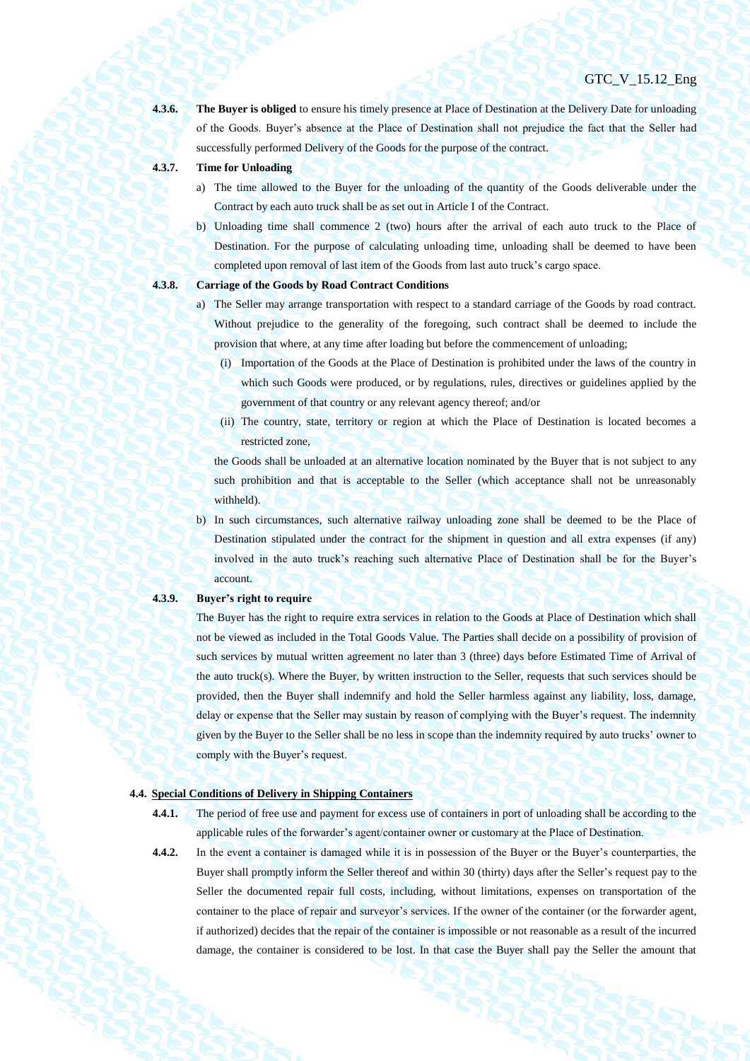**4.3.6. The Buyer is obliged** to ensure his timely presence at Place of Destination at the Delivery Date for unloading of the Goods. Buyer's absence at the Place of Destination shall not prejudice the fact that the Seller had successfully performed Delivery of the Goods for the purpose of the contract.

- 
- **4.3.7. Time for Unloading**
	- a) The time allowed to the Buyer for the unloading of the quantity of the Goods deliverable under the Contract by each auto truck shall be as set out in Article I of the Contract.
	- b) Unloading time shall commence 2 (two) hours after the arrival of each auto truck to the Place of Destination. For the purpose of calculating unloading time, unloading shall be deemed to have been completed upon removal of last item of the Goods from last auto truck's cargo space.

- **4.3.8. Carriage of the Goods by Road Contract Conditions**
	- a) The Seller may arrange transportation with respect to a standard carriage of the Goods by road contract. Without prejudice to the generality of the foregoing, such contract shall be deemed to include the provision that where, at any time after loading but before the commencement of unloading;
		- (i) Importation of the Goods at the Place of Destination is prohibited under the laws of the country in which such Goods were produced, or by regulations, rules, directives or guidelines applied by the government of that country or any relevant agency thereof; and/or
		- (ii) The country, state, territory or region at which the Place of Destination is located becomes a restricted zone,

the Goods shall be unloaded at an alternative location nominated by the Buyer that is not subject to any such prohibition and that is acceptable to the Seller (which acceptance shall not be unreasonably withheld).

b) In such circumstances, such alternative railway unloading zone shall be deemed to be the Place of Destination stipulated under the contract for the shipment in question and all extra expenses (if any) involved in the auto truck's reaching such alternative Place of Destination shall be for the Buyer's account.

#### **4.3.9. Buyer's right to require**

The Buyer has the right to require extra services in relation to the Goods at Place of Destination which shall not be viewed as included in the Total Goods Value. The Parties shall decide on a possibility of provision of such services by mutual written agreement no later than 3 (three) days before Estimated Time of Arrival of the auto truck(s). Where the Buyer, by written instruction to the Seller, requests that such services should be provided, then the Buyer shall indemnify and hold the Seller harmless against any liability, loss, damage, delay or expense that the Seller may sustain by reason of complying with the Buyer's request. The indemnity given by the Buyer to the Seller shall be no less in scope than the indemnity required by auto trucks' owner to comply with the Buyer's request.

## <span id="page-27-0"></span>**4.4. Special Conditions of Delivery in Shipping Containers**

- **4.4.1.** The period of free use and payment for excess use of containers in port of unloading shall be according to the applicable rules of the forwarder's agent/container owner or customary at the Place of Destination.
- **4.4.2.** In the event a container is damaged while it is in possession of the Buyer or the Buyer's counterparties, the Buyer shall promptly inform the Seller thereof and within 30 (thirty) days after the Seller's request pay to the Seller the documented repair full costs, including, without limitations, expenses on transportation of the container to the place of repair and surveyor's services. If the owner of the container (or the forwarder agent, if authorized) decides that the repair of the container is impossible or not reasonable as a result of the incurred damage, the container is considered to be lost. In that case the Buyer shall pay the Seller the amount that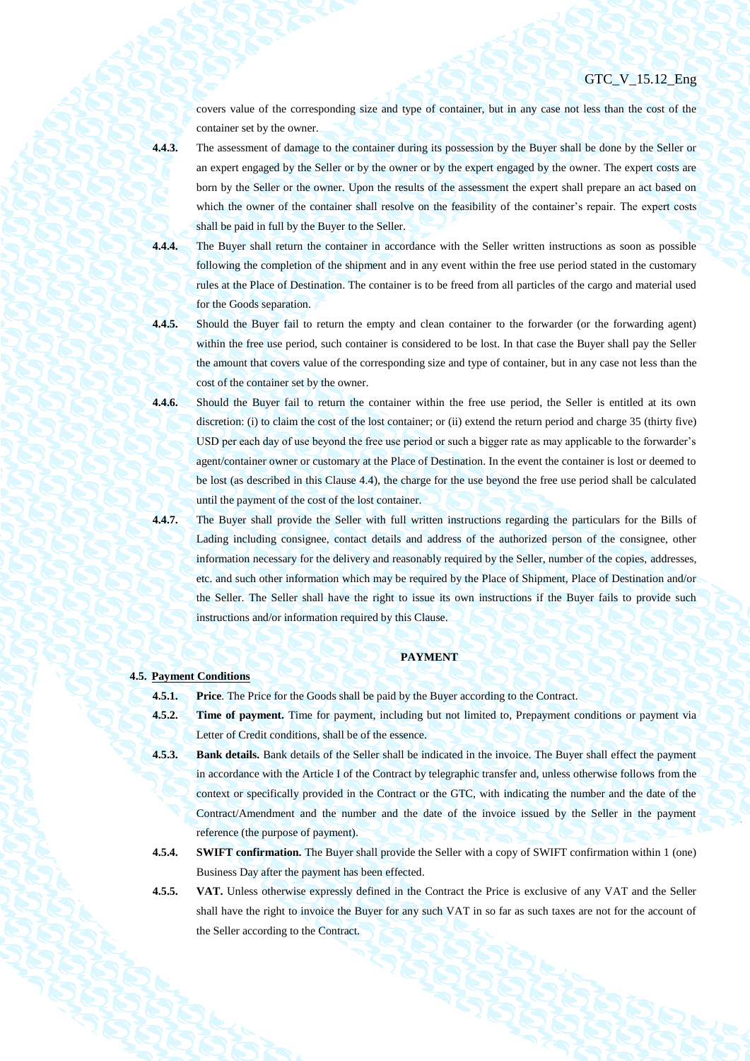covers value of the corresponding size and type of container, but in any case not less than the cost of the container set by the owner.

**4.4.3.** The assessment of damage to the container during its possession by the Buyer shall be done by the Seller or an expert engaged by the Seller or by the owner or by the expert engaged by the owner. The expert costs are born by the Seller or the owner. Upon the results of the assessment the expert shall prepare an act based on which the owner of the container shall resolve on the feasibility of the container's repair. The expert costs shall be paid in full by the Buyer to the Seller.

- **4.4.4.** The Buyer shall return the container in accordance with the Seller written instructions as soon as possible following the completion of the shipment and in any event within the free use period stated in the customary rules at the Place of Destination. The container is to be freed from all particles of the cargo and material used for the Goods separation.
- 

**4.4.5.** Should the Buyer fail to return the empty and clean container to the forwarder (or the forwarding agent) within the free use period, such container is considered to be lost. In that case the Buyer shall pay the Seller the amount that covers value of the corresponding size and type of container, but in any case not less than the cost of the container set by the owner.

- **4.4.6.** Should the Buyer fail to return the container within the free use period, the Seller is entitled at its own discretion: (i) to claim the cost of the lost container; or (ii) extend the return period and charge 35 (thirty five) USD per each day of use beyond the free use period or such a bigger rate as may applicable to the forwarder's agent/container owner or customary at the Place of Destination. In the event the container is lost or deemed to be lost (as described in this Clause [4.4\)](#page-27-0), the charge for the use beyond the free use period shall be calculated until the payment of the cost of the lost container.
- **4.4.7.** The Buyer shall provide the Seller with full written instructions regarding the particulars for the Bills of Lading including consignee, contact details and address of the authorized person of the consignee, other information necessary for the delivery and reasonably required by the Seller, number of the copies, addresses, etc. and such other information which may be required by the Place of Shipment, Place of Destination and/or the Seller. The Seller shall have the right to issue its own instructions if the Buyer fails to provide such instructions and/or information required by this Clause.

## **PAYMENT**

## **4.5. Payment Conditions**

**4.5.1. Price**. The Price for the Goods shall be paid by the Buyer according to the Contract.

- **4.5.2. Time of payment.** Time for payment, including but not limited to, Prepayment conditions or payment via Letter of Credit conditions, shall be of the essence.
- **4.5.3. Bank details.** Bank details of the Seller shall be indicated in the invoice. The Buyer shall effect the payment in accordance with the Article I of the Contract by telegraphic transfer and, unless otherwise follows from the context or specifically provided in the Contract or the GTC, with indicating the number and the date of the Contract/Amendment and the number and the date of the invoice issued by the Seller in the payment reference (the purpose of payment).
- **4.5.4. SWIFT confirmation.** The Buyer shall provide the Seller with a copy of SWIFT confirmation within 1 (one) Business Day after the payment has been effected.
- **4.5.5. VAT.** Unless otherwise expressly defined in the Contract the Price is exclusive of any VAT and the Seller shall have the right to invoice the Buyer for any such VAT in so far as such taxes are not for the account of the Seller according to the Contract.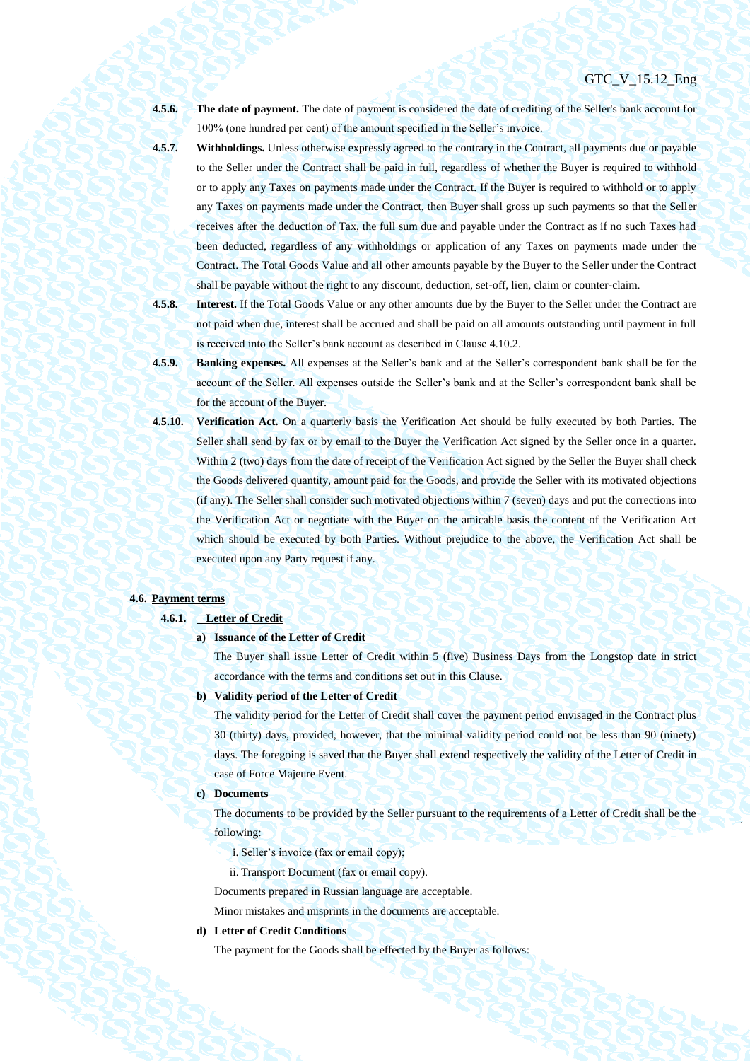**4.5.6. The date of payment.** The date of payment is considered the date of crediting of the Seller's bank account for 100% (one hundred per cent) of the amount specified in the Seller's invoice.

**4.5.7. Withholdings.** Unless otherwise expressly agreed to the contrary in the Contract, all payments due or payable to the Seller under the Contract shall be paid in full, regardless of whether the Buyer is required to withhold or to apply any Taxes on payments made under the Contract. If the Buyer is required to withhold or to apply any Taxes on payments made under the Contract, then Buyer shall gross up such payments so that the Seller receives after the deduction of Tax, the full sum due and payable under the Contract as if no such Taxes had been deducted, regardless of any withholdings or application of any Taxes on payments made under the Contract. The Total Goods Value and all other amounts payable by the Buyer to the Seller under the Contract shall be payable without the right to any discount, deduction, set-off, lien, claim or counter-claim.

**4.5.8. Interest.** If the Total Goods Value or any other amounts due by the Buyer to the Seller under the Contract are not paid when due, interest shall be accrued and shall be paid on all amounts outstanding until payment in full is received into the Seller's bank account as described in Clause 4.10.2.

- **4.5.9. Banking expenses.** All expenses at the Seller's bank and at the Seller's correspondent bank shall be for the account of the Seller. All expenses outside the Seller's bank and at the Seller's correspondent bank shall be for the account of the Buyer.
- <span id="page-29-0"></span>**4.5.10. Verification Act.** On a quarterly basis the Verification Act should be fully executed by both Parties. The Seller shall send by fax or by email to the Buyer the Verification Act signed by the Seller once in a quarter. Within 2 (two) days from the date of receipt of the Verification Act signed by the Seller the Buyer shall check the Goods delivered quantity, amount paid for the Goods, and provide the Seller with its motivated objections (if any). The Seller shall consider such motivated objections within 7 (seven) days and put the corrections into the Verification Act or negotiate with the Buyer on the amicable basis the content of the Verification Act which should be executed by both Parties. Without prejudice to the above, the Verification Act shall be executed upon any Party request if any.

## <span id="page-29-1"></span>**4.6. Payment terms**

#### **4.6.1. Letter of Credit**

#### **a) Issuance of the Letter of Credit**

The Buyer shall issue Letter of Credit within 5 (five) Business Days from the Longstop date in strict accordance with the terms and conditions set out in this Clause.

#### **b) Validity period of the Letter of Credit**

The validity period for the Letter of Credit shall cover the payment period envisaged in the Contract plus 30 (thirty) days, provided, however, that the minimal validity period could not be less than 90 (ninety) days. The foregoing is saved that the Buyer shall extend respectively the validity of the Letter of Credit in case of Force Majeure Event.

#### **c) Documents**

The documents to be provided by the Seller pursuant to the requirements of a Letter of Credit shall be the following:

- i. Seller's invoice (fax or email copy);
- ii. Transport Document (fax or email copy).

Documents prepared in Russian language are acceptable.

Minor mistakes and misprints in the documents are acceptable.

## **d) Letter of Credit Conditions**

The payment for the Goods shall be effected by the Buyer as follows: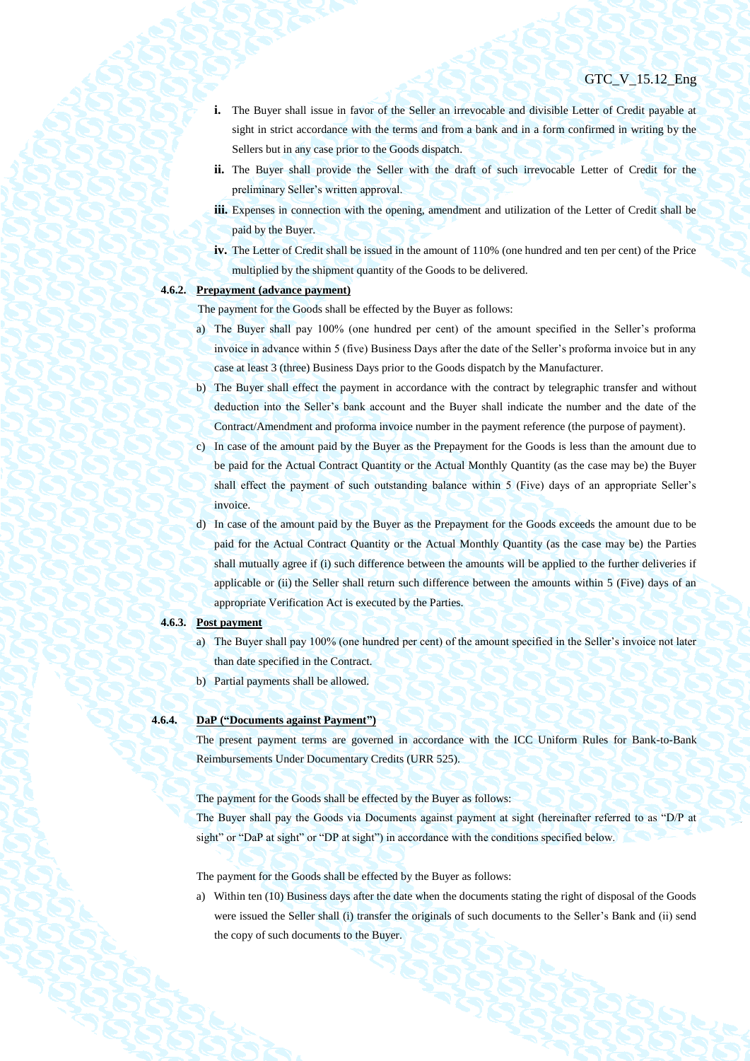- **i.** The Buyer shall issue in favor of the Seller an irrevocable and divisible Letter of Credit payable at sight in strict accordance with the terms and from a bank and in a form confirmed in writing by the Sellers but in any case prior to the Goods dispatch.
- **ii.** The Buyer shall provide the Seller with the draft of such irrevocable Letter of Credit for the preliminary Seller's written approval.
- **iii.** Expenses in connection with the opening, amendment and utilization of the Letter of Credit shall be paid by the Buyer.
- **iv.** The Letter of Credit shall be issued in the amount of 110% (one hundred and ten per cent) of the Price multiplied by the shipment quantity of the Goods to be delivered.

## <span id="page-30-0"></span>**4.6.2. Prepayment (advance payment)**

The payment for the Goods shall be effected by the Buyer as follows:

- a) The Buyer shall pay 100% (one hundred per cent) of the amount specified in the Seller's proforma invoice in advance within 5 (five) Business Days after the date of the Seller's proforma invoice but in any case at least 3 (three) Business Days prior to the Goods dispatch by the Manufacturer.
- b) The Buyer shall effect the payment in accordance with the contract by telegraphic transfer and without deduction into the Seller's bank account and the Buyer shall indicate the number and the date of the Contract/Amendment and proforma invoice number in the payment reference (the purpose of payment).
- c) In case of the amount paid by the Buyer as the Prepayment for the Goods is less than the amount due to be paid for the Actual Contract Quantity or the Actual Monthly Quantity (as the case may be) the Buyer shall effect the payment of such outstanding balance within 5 (Five) days of an appropriate Seller's invoice.
- d) In case of the amount paid by the Buyer as the Prepayment for the Goods exceeds the amount due to be paid for the Actual Contract Quantity or the Actual Monthly Quantity (as the case may be) the Parties shall mutually agree if (i) such difference between the amounts will be applied to the further deliveries if applicable or (ii) the Seller shall return such difference between the amounts within 5 (Five) days of an appropriate Verification Act is executed by the Parties.

#### **4.6.3. Post payment**

- a) The Buyer shall pay 100% (one hundred per cent) of the amount specified in the Seller's invoice not later than date specified in the Contract.
- b) Partial payments shall be allowed.

## **4.6.4. DaP ("Documents against Payment")**

The present payment terms are governed in accordance with the ICC Uniform Rules for Bank-to-Bank Reimbursements Under Documentary Credits (URR 525).

The payment for the Goods shall be effected by the Buyer as follows:

The Buyer shall pay the Goods via Documents against payment at sight (hereinafter referred to as "D/P at sight" or "DaP at sight" or "DP at sight") in accordance with the conditions specified below.

The payment for the Goods shall be effected by the Buyer as follows:

a) Within ten (10) Business days after the date when the documents stating the right of disposal of the Goods were issued the Seller shall (i) transfer the originals of such documents to the Seller's Bank and (ii) send the copy of such documents to the Buyer.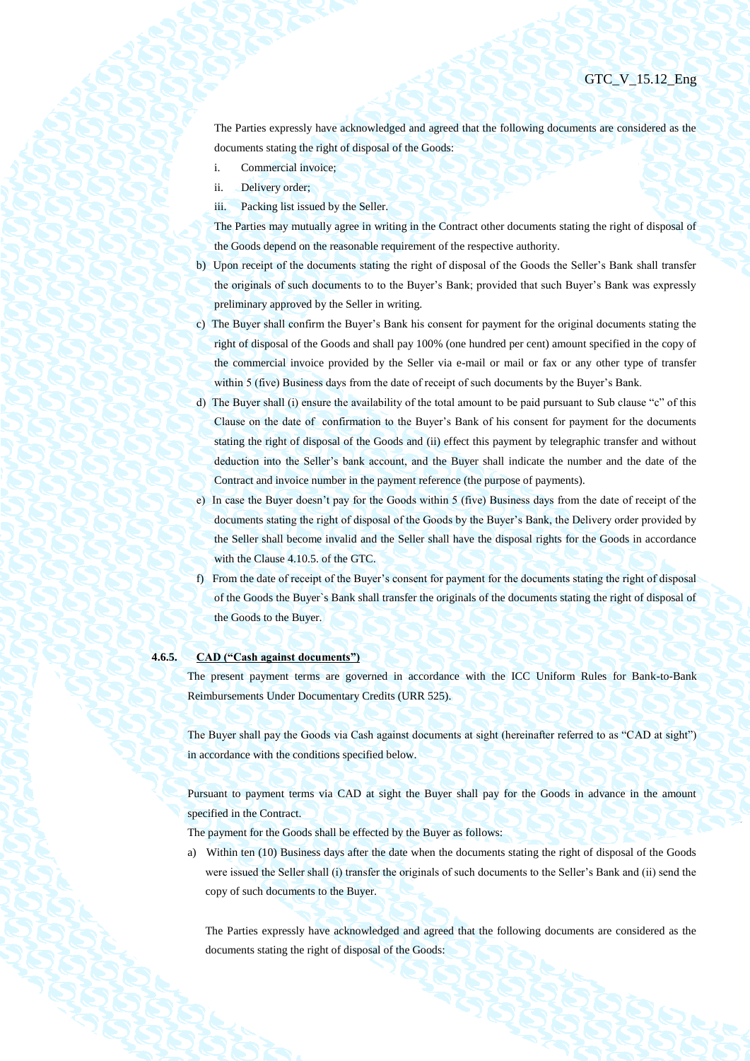The Parties expressly have acknowledged and agreed that the following documents are considered as the documents stating the right of disposal of the Goods:

- i. Commercial invoice;
- ii. Delivery order;
- iii. Packing list issued by the Seller.

The Parties may mutually agree in writing in the Contract other documents stating the right of disposal of the Goods depend on the reasonable requirement of the respective authority.

- b) Upon receipt of the documents stating the right of disposal of the Goods the Seller's Bank shall transfer the originals of such documents to to the Buyer's Bank; provided that such Buyer's Bank was expressly preliminary approved by the Seller in writing.
- c) The Buyer shall confirm the Buyer's Bank his consent for payment for the original documents stating the right of disposal of the Goods and shall pay 100% (one hundred per cent) amount specified in the copy of the commercial invoice provided by the Seller via e-mail or mail or fax or any other type of transfer within 5 (five) Business days from the date of receipt of such documents by the Buyer's Bank.
- d) The Buyer shall (i) ensure the availability of the total amount to be paid pursuant to Sub clause "c" of this Clause on the date of confirmation to the Buyer's Bank of his consent for payment for the documents stating the right of disposal of the Goods and (ii) effect this payment by telegraphic transfer and without deduction into the Seller's bank account, and the Buyer shall indicate the number and the date of the Contract and invoice number in the payment reference (the purpose of payments).
- e) In case the Buyer doesn't pay for the Goods within 5 (five) Business days from the date of receipt of the documents stating the right of disposal of the Goods by the Buyer's Bank, the Delivery order provided by the Seller shall become invalid and the Seller shall have the disposal rights for the Goods in accordance with the Clause 4.10.5. of the GTC.
- f) From the date of receipt of the Buyer's consent for payment for the documents stating the right of disposal of the Goods the Buyer`s Bank shall transfer the originals of the documents stating the right of disposal of the Goods to the Buyer.

## **4.6.5. CAD ("Cash against documents")**

The present payment terms are governed in accordance with the ICC Uniform Rules for Bank-to-Bank Reimbursements Under Documentary Credits (URR 525).

The Buyer shall pay the Goods via Cash against documents at sight (hereinafter referred to as "CAD at sight") in accordance with the conditions specified below.

Pursuant to payment terms via CAD at sight the Buyer shall pay for the Goods in advance in the amount specified in the Contract.

The payment for the Goods shall be effected by the Buyer as follows:

a) Within ten (10) Business days after the date when the documents stating the right of disposal of the Goods were issued the Seller shall (i) transfer the originals of such documents to the Seller's Bank and (ii) send the copy of such documents to the Buyer.

The Parties expressly have acknowledged and agreed that the following documents are considered as the documents stating the right of disposal of the Goods: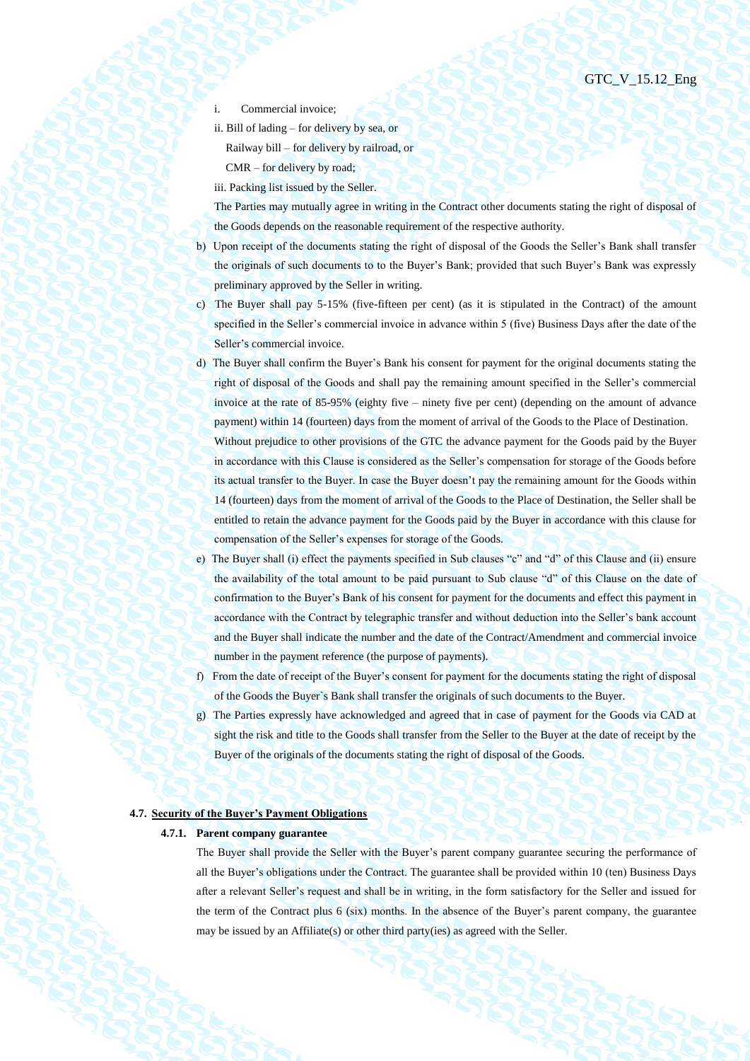- Commercial invoice:
- ii. Bill of lading for delivery by sea, or Railway bill – for delivery by railroad, or CMR – for delivery by road;
- iii. Packing list issued by the Seller.

The Parties may mutually agree in writing in the Contract other documents stating the right of disposal of the Goods depends on the reasonable requirement of the respective authority.

- b) Upon receipt of the documents stating the right of disposal of the Goods the Seller's Bank shall transfer the originals of such documents to to the Buyer's Bank; provided that such Buyer's Bank was expressly preliminary approved by the Seller in writing.
- c) The Buyer shall pay 5-15% (five-fifteen per cent) (as it is stipulated in the Contract) of the amount specified in the Seller's commercial invoice in advance within 5 (five) Business Days after the date of the Seller's commercial invoice.
- d) The Buyer shall confirm the Buyer's Bank his consent for payment for the original documents stating the right of disposal of the Goods and shall pay the remaining amount specified in the Seller's commercial invoice at the rate of 85-95% (eighty five – ninety five per cent) (depending on the amount of advance payment) within 14 (fourteen) days from the moment of arrival of the Goods to the Place of Destination. Without prejudice to other provisions of the GTC the advance payment for the Goods paid by the Buyer in accordance with this Clause is considered as the Seller's compensation for storage of the Goods before its actual transfer to the Buyer. In case the Buyer doesn't pay the remaining amount for the Goods within 14 (fourteen) days from the moment of arrival of the Goods to the Place of Destination, the Seller shall be entitled to retain the advance payment for the Goods paid by the Buyer in accordance with this clause for compensation of the Seller's expenses for storage of the Goods.
- e) The Buyer shall (i) effect the payments specified in Sub clauses "c" and "d" of this Clause and (ii) ensure the availability of the total amount to be paid pursuant to Sub clause "d" of this Clause on the date of confirmation to the Buyer's Bank of his consent for payment for the documents and effect this payment in accordance with the Contract by telegraphic transfer and without deduction into the Seller's bank account and the Buyer shall indicate the number and the date of the Contract/Amendment and commercial invoice number in the payment reference (the purpose of payments).
- f) From the date of receipt of the Buyer's consent for payment for the documents stating the right of disposal of the Goods the Buyer`s Bank shall transfer the originals of such documents to the Buyer.
- g) The Parties expressly have acknowledged and agreed that in case of payment for the Goods via CAD at sight the risk and title to the Goods shall transfer from the Seller to the Buyer at the date of receipt by the Buyer of the originals of the documents stating the right of disposal of the Goods.

## **4.7. Security of the Buyer's Payment Obligations**

## **4.7.1. Parent company guarantee**

The Buyer shall provide the Seller with the Buyer's parent company guarantee securing the performance of all the Buyer's obligations under the Contract. The guarantee shall be provided within 10 (ten) Business Days after a relevant Seller's request and shall be in writing, in the form satisfactory for the Seller and issued for the term of the Contract plus 6 (six) months. In the absence of the Buyer's parent company, the guarantee may be issued by an Affiliate(s) or other third party(ies) as agreed with the Seller.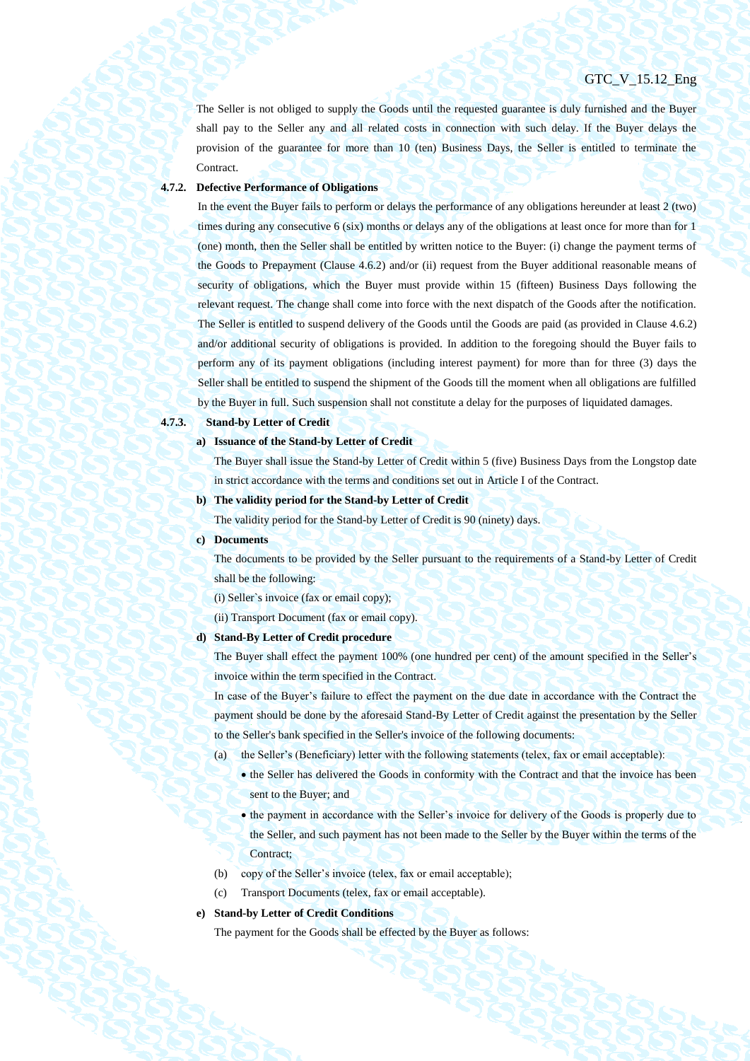The Seller is not obliged to supply the Goods until the requested guarantee is duly furnished and the Buyer shall pay to the Seller any and all related costs in connection with such delay. If the Buyer delays the provision of the guarantee for more than 10 (ten) Business Days, the Seller is entitled to terminate the Contract.

## **4.7.2. Defective Performance of Obligations**

In the event the Buyer fails to perform or delays the performance of any obligations hereunder at least 2 (two) times during any consecutive 6 (six) months or delays any of the obligations at least once for more than for 1 (one) month, then the Seller shall be entitled by written notice to the Buyer: (i) change the payment terms of the Goods to Prepayment (Clause [4.6.2\)](#page-30-0) and/or (ii) request from the Buyer additional reasonable means of security of obligations, which the Buyer must provide within 15 (fifteen) Business Days following the relevant request. The change shall come into force with the next dispatch of the Goods after the notification. The Seller is entitled to suspend delivery of the Goods until the Goods are paid (as provided in Clause [4.6.2\)](#page-30-0) and/or additional security of obligations is provided. In addition to the foregoing should the Buyer fails to perform any of its payment obligations (including interest payment) for more than for three (3) days the Seller shall be entitled to suspend the shipment of the Goods till the moment when all obligations are fulfilled by the Buyer in full. Such suspension shall not constitute a delay for the purposes of liquidated damages.

# **4.7.3. Stand-by Letter of Credit**

**a) Issuance of the Stand-by Letter of Credit**

The Buyer shall issue the Stand-by Letter of Credit within 5 (five) Business Days from the Longstop date in strict accordance with the terms and conditions set out in Article I of the Contract.

**b) The validity period for the Stand-by Letter of Credit**

The validity period for the Stand-by Letter of Credit is 90 (ninety) days.

**c) Documents**

The documents to be provided by the Seller pursuant to the requirements of a Stand-by Letter of Credit shall be the following:

(i) Seller`s invoice (fax or email copy);

(ii) Transport Document (fax or email copy).

#### **d) Stand-By Letter of Credit procedure**

The Buyer shall effect the payment 100% (one hundred per cent) of the amount specified in the Seller's invoice within the term specified in the Contract.

In case of the Buyer's failure to effect the payment on the due date in accordance with the Contract the payment should be done by the aforesaid Stand-By Letter of Credit against the presentation by the Seller to the Seller's bank specified in the Seller's invoice of the following documents:

- (a) the Seller's (Beneficiary) letter with the following statements (telex, fax or email acceptable):
	- the Seller has delivered the Goods in conformity with the Contract and that the invoice has been sent to the Buyer; and
	- the payment in accordance with the Seller's invoice for delivery of the Goods is properly due to the Seller, and such payment has not been made to the Seller by the Buyer within the terms of the Contract;
- (b) copy of the Seller's invoice (telex, fax or email acceptable);
- (c) Transport Documents (telex, fax or email acceptable).

## **e) Stand-by Letter of Credit Conditions**

The payment for the Goods shall be effected by the Buyer as follows: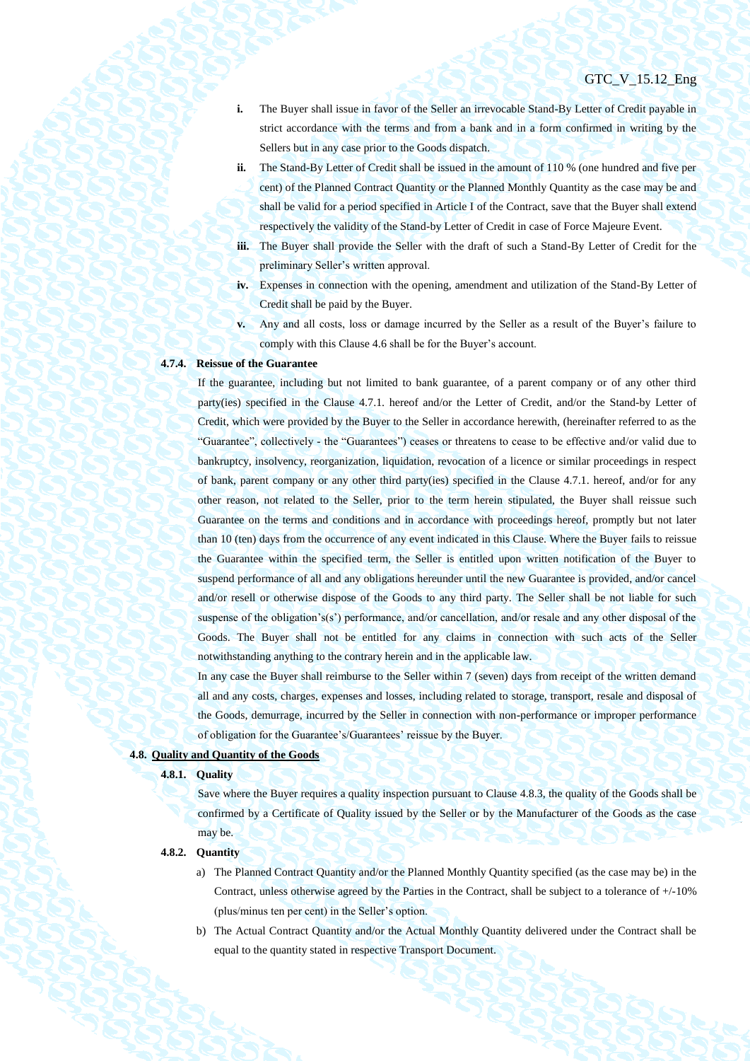- **i.** The Buyer shall issue in favor of the Seller an irrevocable Stand-By Letter of Credit payable in strict accordance with the terms and from a bank and in a form confirmed in writing by the Sellers but in any case prior to the Goods dispatch.
- **ii.** The Stand-By Letter of Credit shall be issued in the amount of 110 % (one hundred and five per cent) of the Planned Contract Quantity or the Planned Monthly Quantity as the case may be and shall be valid for a period specified in Article I of the Contract, save that the Buyer shall extend respectively the validity of the Stand-by Letter of Credit in case of Force Majeure Event.
- **iii.** The Buyer shall provide the Seller with the draft of such a Stand-By Letter of Credit for the preliminary Seller's written approval.
- **iv.** Expenses in connection with the opening, amendment and utilization of the Stand-By Letter of Credit shall be paid by the Buyer.
- **v.** Any and all costs, loss or damage incurred by the Seller as a result of the Buyer's failure to comply with this Claus[e 4.6](#page-29-1) shall be for the Buyer's account.

## **4.7.4. Reissue of the Guarantee**

If the guarantee, including but not limited to bank guarantee, of a parent company or of any other third party(ies) specified in the Clause 4.7.1. hereof and/or the Letter of Credit, and/or the Stand-by Letter of Credit, which were provided by the Buyer to the Seller in accordance herewith, (hereinafter referred to as the "Guarantee", collectively - the "Guarantees") ceases or threatens to cease to be effective and/or valid due to bankruptcy, insolvency, reorganization, liquidation, revocation of a licence or similar proceedings in respect of bank, parent company or any other third party(ies) specified in the Clause 4.7.1. hereof, and/or for any other reason, not related to the Seller, prior to the term herein stipulated, the Buyer shall reissue such Guarantee on the terms and conditions and in accordance with proceedings hereof, promptly but not later than 10 (ten) days from the occurrence of any event indicated in this Clause. Where the Buyer fails to reissue the Guarantee within the specified term, the Seller is entitled upon written notification of the Buyer to suspend performance of all and any obligations hereunder until the new Guarantee is provided, and/or cancel and/or resell or otherwise dispose of the Goods to any third party. The Seller shall be not liable for such suspense of the obligation's(s') performance, and/or cancellation, and/or resale and any other disposal of the Goods. The Buyer shall not be entitled for any claims in connection with such acts of the Seller notwithstanding anything to the contrary herein and in the applicable law.

In any case the Buyer shall reimburse to the Seller within 7 (seven) days from receipt of the written demand all and any costs, charges, expenses and losses, including related to storage, transport, resale and disposal of the Goods, demurrage, incurred by the Seller in connection with non-performance or improper performance of obligation for the Guarantee's/Guarantees' reissue by the Buyer.

## **4.8. Quality and Quantity of the Goods**

## **4.8.1. Quality**

Save where the Buyer requires a quality inspection pursuant to Clause [4.8.3,](#page-35-0) the quality of the Goods shall be confirmed by a Certificate of Quality issued by the Seller or by the Manufacturer of the Goods as the case may be.

## **4.8.2. Quantity**

- a) The Planned Contract Quantity and/or the Planned Monthly Quantity specified (as the case may be) in the Contract, unless otherwise agreed by the Parties in the Contract, shall be subject to a tolerance of +/-10% (plus/minus ten per cent) in the Seller's option.
- b) The Actual Contract Quantity and/or the Actual Monthly Quantity delivered under the Contract shall be equal to the quantity stated in respective Transport Document.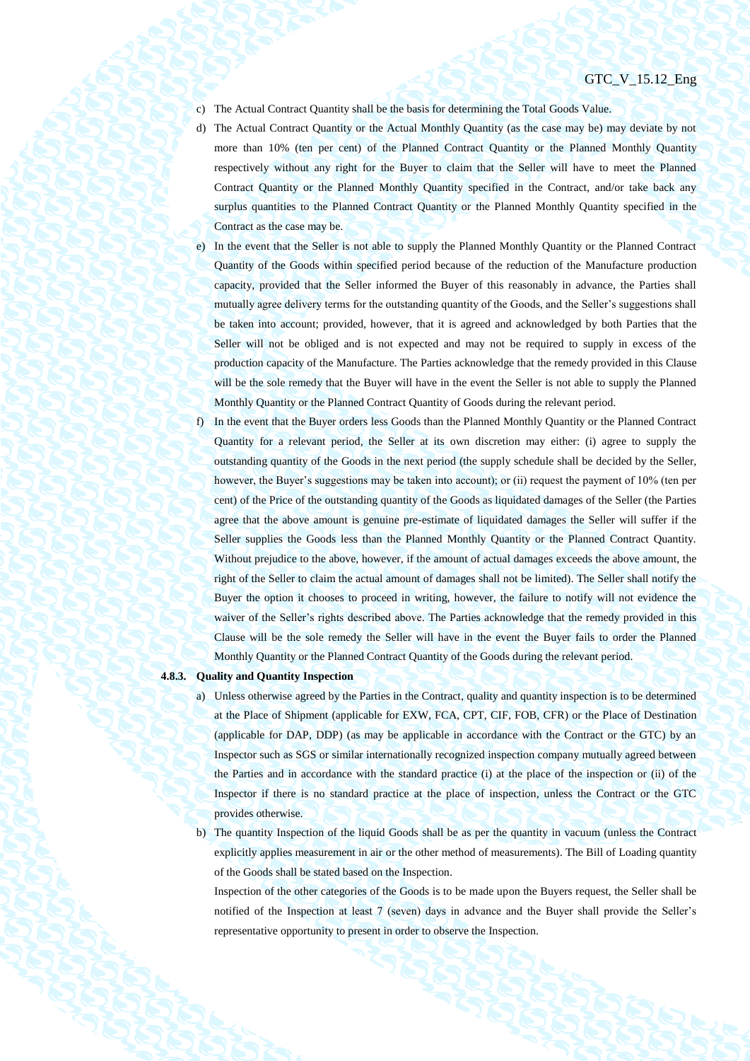- c) The Actual Contract Quantity shall be the basis for determining the Total Goods Value.
- d) The Actual Contract Quantity or the Actual Monthly Quantity (as the case may be) may deviate by not more than 10% (ten per cent) of the Planned Contract Quantity or the Planned Monthly Quantity respectively without any right for the Buyer to claim that the Seller will have to meet the Planned Contract Quantity or the Planned Monthly Quantity specified in the Contract, and/or take back any surplus quantities to the Planned Contract Quantity or the Planned Monthly Quantity specified in the Contract as the case may be.
- e) In the event that the Seller is not able to supply the Planned Monthly Quantity or the Planned Contract Quantity of the Goods within specified period because of the reduction of the Manufacture production capacity, provided that the Seller informed the Buyer of this reasonably in advance, the Parties shall mutually agree delivery terms for the outstanding quantity of the Goods, and the Seller's suggestions shall be taken into account; provided, however, that it is agreed and acknowledged by both Parties that the Seller will not be obliged and is not expected and may not be required to supply in excess of the production capacity of the Manufacture. The Parties acknowledge that the remedy provided in this Clause will be the sole remedy that the Buyer will have in the event the Seller is not able to supply the Planned Monthly Quantity or the Planned Contract Quantity of Goods during the relevant period.
- f) In the event that the Buyer orders less Goods than the Planned Monthly Quantity or the Planned Contract Quantity for a relevant period, the Seller at its own discretion may either: (i) agree to supply the outstanding quantity of the Goods in the next period (the supply schedule shall be decided by the Seller, however, the Buyer's suggestions may be taken into account); or (ii) request the payment of 10% (ten per cent) of the Price of the outstanding quantity of the Goods as liquidated damages of the Seller (the Parties agree that the above amount is genuine pre-estimate of liquidated damages the Seller will suffer if the Seller supplies the Goods less than the Planned Monthly Quantity or the Planned Contract Quantity. Without prejudice to the above, however, if the amount of actual damages exceeds the above amount, the right of the Seller to claim the actual amount of damages shall not be limited). The Seller shall notify the Buyer the option it chooses to proceed in writing, however, the failure to notify will not evidence the waiver of the Seller's rights described above. The Parties acknowledge that the remedy provided in this Clause will be the sole remedy the Seller will have in the event the Buyer fails to order the Planned Monthly Quantity or the Planned Contract Quantity of the Goods during the relevant period.

## <span id="page-35-1"></span><span id="page-35-0"></span>**4.8.3. Quality and Quantity Inspection**

- a) Unless otherwise agreed by the Parties in the Contract, quality and quantity inspection is to be determined at the Place of Shipment (applicable for EXW, FCA, CPT, CIF, FOB, CFR) or the Place of Destination (applicable for DAP, DDP) (as may be applicable in accordance with the Contract or the GTC) by an Inspector such as SGS or similar internationally recognized inspection company mutually agreed between the Parties and in accordance with the standard practice (i) at the place of the inspection or (ii) of the Inspector if there is no standard practice at the place of inspection, unless the Contract or the GTC provides otherwise.
- <span id="page-35-2"></span>b) The quantity Inspection of the liquid Goods shall be as per the quantity in vacuum (unless the Contract explicitly applies measurement in air or the other method of measurements). The Bill of Loading quantity of the Goods shall be stated based on the Inspection.

Inspection of the other categories of the Goods is to be made upon the Buyers request, the Seller shall be notified of the Inspection at least 7 (seven) days in advance and the Buyer shall provide the Seller's representative opportunity to present in order to observe the Inspection.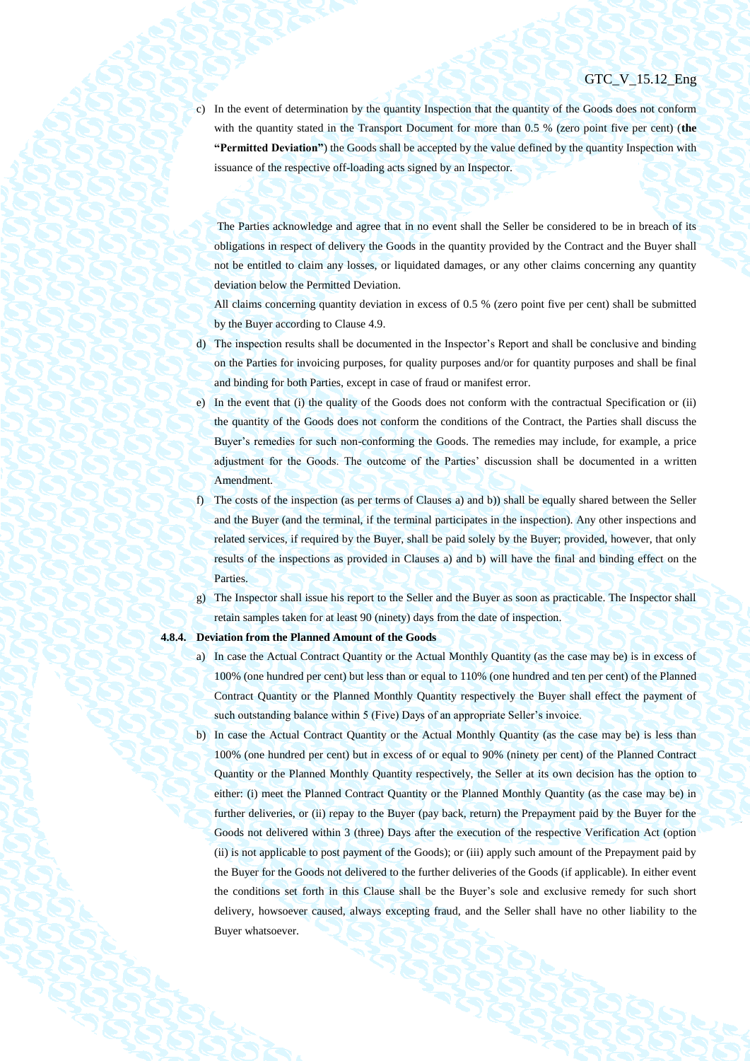c) In the event of determination by the quantity Inspection that the quantity of the Goods does not conform with the quantity stated in the Transport Document for more than 0.5 % (zero point five per cent) (**the "Permitted Deviation"**) the Goods shall be accepted by the value defined by the quantity Inspection with issuance of the respective off-loading acts signed by an Inspector.

The Parties acknowledge and agree that in no event shall the Seller be considered to be in breach of its obligations in respect of delivery the Goods in the quantity provided by the Contract and the Buyer shall not be entitled to claim any losses, or liquidated damages, or any other claims concerning any quantity deviation below the Permitted Deviation.

All claims concerning quantity deviation in excess of 0.5 % (zero point five per cent) shall be submitted by the Buyer according to Clause 4.9.

- d) The inspection results shall be documented in the Inspector's Report and shall be conclusive and binding on the Parties for invoicing purposes, for quality purposes and/or for quantity purposes and shall be final and binding for both Parties, except in case of fraud or manifest error.
- e) In the event that (i) the quality of the Goods does not conform with the contractual Specification or (ii) the quantity of the Goods does not conform the conditions of the Contract, the Parties shall discuss the Buyer's remedies for such non-conforming the Goods. The remedies may include, for example, a price adjustment for the Goods. The outcome of the Parties' discussion shall be documented in a written Amendment.
- f) The costs of the inspection (as per terms of Clauses [a\)](#page-35-1) an[d b\)\)](#page-35-2) shall be equally shared between the Seller and the Buyer (and the terminal, if the terminal participates in the inspection). Any other inspections and related services, if required by the Buyer, shall be paid solely by the Buyer; provided, however, that only results of the inspections as provided in Clauses [a\)](#page-35-1) and [b\)](#page-35-2) will have the final and binding effect on the Parties.
- g) The Inspector shall issue his report to the Seller and the Buyer as soon as practicable. The Inspector shall retain samples taken for at least 90 (ninety) days from the date of inspection.

#### <span id="page-36-0"></span>**4.8.4. Deviation from the Planned Amount of the Goods**

- a) In case the Actual Contract Quantity or the Actual Monthly Quantity (as the case may be) is in excess of 100% (one hundred per cent) but less than or equal to 110% (one hundred and ten per cent) of the Planned Contract Quantity or the Planned Monthly Quantity respectively the Buyer shall effect the payment of such outstanding balance within 5 (Five) Days of an appropriate Seller's invoice.
- b) In case the Actual Contract Quantity or the Actual Monthly Quantity (as the case may be) is less than 100% (one hundred per cent) but in excess of or equal to 90% (ninety per cent) of the Planned Contract Quantity or the Planned Monthly Quantity respectively, the Seller at its own decision has the option to either: (i) meet the Planned Contract Quantity or the Planned Monthly Quantity (as the case may be) in further deliveries, or (ii) repay to the Buyer (pay back, return) the Prepayment paid by the Buyer for the Goods not delivered within 3 (three) Days after the execution of the respective Verification Act (option (ii) is not applicable to post payment of the Goods); or (iii) apply such amount of the Prepayment paid by the Buyer for the Goods not delivered to the further deliveries of the Goods (if applicable). In either event the conditions set forth in this Clause shall be the Buyer's sole and exclusive remedy for such short delivery, howsoever caused, always excepting fraud, and the Seller shall have no other liability to the Buyer whatsoever.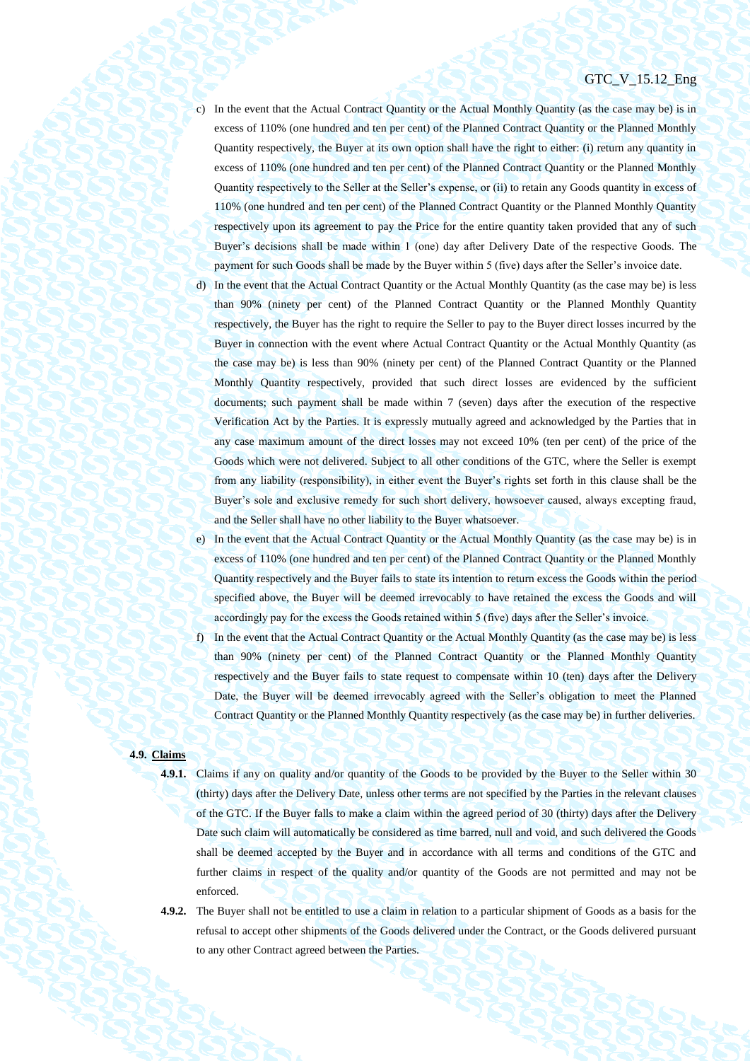- c) In the event that the Actual Contract Quantity or the Actual Monthly Quantity (as the case may be) is in excess of 110% (one hundred and ten per cent) of the Planned Contract Quantity or the Planned Monthly Quantity respectively, the Buyer at its own option shall have the right to either: (i) return any quantity in excess of 110% (one hundred and ten per cent) of the Planned Contract Quantity or the Planned Monthly Quantity respectively to the Seller at the Seller's expense, or (ii) to retain any Goods quantity in excess of 110% (one hundred and ten per cent) of the Planned Contract Quantity or the Planned Monthly Quantity respectively upon its agreement to pay the Price for the entire quantity taken provided that any of such Buyer's decisions shall be made within 1 (one) day after Delivery Date of the respective Goods. The payment for such Goods shall be made by the Buyer within 5 (five) days after the Seller's invoice date.
- d) In the event that the Actual Contract Quantity or the Actual Monthly Quantity (as the case may be) is less than 90% (ninety per cent) of the Planned Contract Quantity or the Planned Monthly Quantity respectively, the Buyer has the right to require the Seller to pay to the Buyer direct losses incurred by the Buyer in connection with the event where Actual Contract Quantity or the Actual Monthly Quantity (as the case may be) is less than 90% (ninety per cent) of the Planned Contract Quantity or the Planned Monthly Quantity respectively, provided that such direct losses are evidenced by the sufficient documents; such payment shall be made within 7 (seven) days after the execution of the respective Verification Act by the Parties. It is expressly mutually agreed and acknowledged by the Parties that in any case maximum amount of the direct losses may not exceed 10% (ten per cent) of the price of the Goods which were not delivered. Subject to all other conditions of the GTC, where the Seller is exempt from any liability (responsibility), in either event the Buyer's rights set forth in this clause shall be the Buyer's sole and exclusive remedy for such short delivery, howsoever caused, always excepting fraud, and the Seller shall have no other liability to the Buyer whatsoever.
- e) In the event that the Actual Contract Quantity or the Actual Monthly Quantity (as the case may be) is in excess of 110% (one hundred and ten per cent) of the Planned Contract Quantity or the Planned Monthly Quantity respectively and the Buyer fails to state its intention to return excess the Goods within the period specified above, the Buyer will be deemed irrevocably to have retained the excess the Goods and will accordingly pay for the excess the Goods retained within 5 (five) days after the Seller's invoice.
- f) In the event that the Actual Contract Quantity or the Actual Monthly Quantity (as the case may be) is less than 90% (ninety per cent) of the Planned Contract Quantity or the Planned Monthly Quantity respectively and the Buyer fails to state request to compensate within 10 (ten) days after the Delivery Date, the Buyer will be deemed irrevocably agreed with the Seller's obligation to meet the Planned Contract Quantity or the Planned Monthly Quantity respectively (as the case may be) in further deliveries.

# **4.9. Claims**

- <span id="page-37-0"></span>**4.9.1.** Claims if any on quality and/or quantity of the Goods to be provided by the Buyer to the Seller within 30 (thirty) days after the Delivery Date, unless other terms are not specified by the Parties in the relevant clauses of the GTC. If the Buyer falls to make a claim within the agreed period of 30 (thirty) days after the Delivery Date such claim will automatically be considered as time barred, null and void, and such delivered the Goods shall be deemed accepted by the Buyer and in accordance with all terms and conditions of the GTC and further claims in respect of the quality and/or quantity of the Goods are not permitted and may not be enforced.
- **4.9.2.** The Buyer shall not be entitled to use a claim in relation to a particular shipment of Goods as a basis for the refusal to accept other shipments of the Goods delivered under the Contract, or the Goods delivered pursuant to any other Contract agreed between the Parties.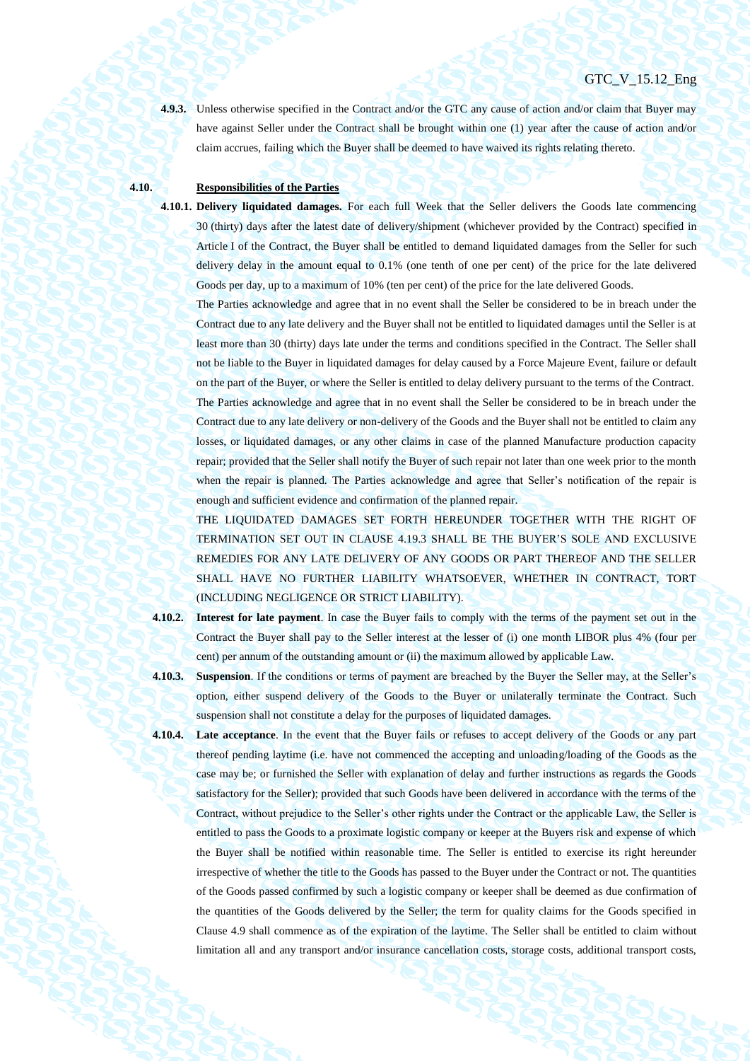**4.9.3.** Unless otherwise specified in the Contract and/or the GTC any cause of action and/or claim that Buyer may have against Seller under the Contract shall be brought within one (1) year after the cause of action and/or claim accrues, failing which the Buyer shall be deemed to have waived its rights relating thereto.

# **4.10. Responsibilities of the Parties**

**4.10.1. Delivery liquidated damages.** For each full Week that the Seller delivers the Goods late commencing 30 (thirty) days after the latest date of delivery/shipment (whichever provided by the Contract) specified in Article I of the Contract, the Buyer shall be entitled to demand liquidated damages from the Seller for such delivery delay in the amount equal to 0.1% (one tenth of one per cent) of the price for the late delivered Goods per day, up to a maximum of 10% (ten per cent) of the price for the late delivered Goods.

The Parties acknowledge and agree that in no event shall the Seller be considered to be in breach under the Contract due to any late delivery and the Buyer shall not be entitled to liquidated damages until the Seller is at least more than 30 (thirty) days late under the terms and conditions specified in the Contract. The Seller shall not be liable to the Buyer in liquidated damages for delay caused by a Force Majeure Event, failure or default on the part of the Buyer, or where the Seller is entitled to delay delivery pursuant to the terms of the Contract. The Parties acknowledge and agree that in no event shall the Seller be considered to be in breach under the Contract due to any late delivery or non-delivery of the Goods and the Buyer shall not be entitled to claim any losses, or liquidated damages, or any other claims in case of the planned Manufacture production capacity

repair; provided that the Seller shall notify the Buyer of such repair not later than one week prior to the month when the repair is planned. The Parties acknowledge and agree that Seller's notification of the repair is enough and sufficient evidence and confirmation of the planned repair.

THE LIQUIDATED DAMAGES SET FORTH HEREUNDER TOGETHER WITH THE RIGHT OF TERMINATION SET OUT IN CLAUSE [4.19.3](#page-44-0) SHALL BE THE BUYER'S SOLE AND EXCLUSIVE REMEDIES FOR ANY LATE DELIVERY OF ANY GOODS OR PART THEREOF AND THE SELLER SHALL HAVE NO FURTHER LIABILITY WHATSOEVER, WHETHER IN CONTRACT, TORT (INCLUDING NEGLIGENCE OR STRICT LIABILITY).

**4.10.2. Interest for late payment**. In case the Buyer fails to comply with the terms of the payment set out in the Contract the Buyer shall pay to the Seller interest at the lesser of (i) one month LIBOR plus 4% (four per cent) per annum of the outstanding amount or (ii) the maximum allowed by applicable Law.

**4.10.3. Suspension**. If the conditions or terms of payment are breached by the Buyer the Seller may, at the Seller's option, either suspend delivery of the Goods to the Buyer or unilaterally terminate the Contract. Such suspension shall not constitute a delay for the purposes of liquidated damages.

**4.10.4. Late acceptance**. In the event that the Buyer fails or refuses to accept delivery of the Goods or any part thereof pending laytime (i.e. have not commenced the accepting and unloading/loading of the Goods as the case may be; or furnished the Seller with explanation of delay and further instructions as regards the Goods satisfactory for the Seller); provided that such Goods have been delivered in accordance with the terms of the Contract, without prejudice to the Seller's other rights under the Contract or the applicable Law, the Seller is entitled to pass the Goods to a proximate logistic company or keeper at the Buyers risk and expense of which the Buyer shall be notified within reasonable time. The Seller is entitled to exercise its right hereunder irrespective of whether the title to the Goods has passed to the Buyer under the Contract or not. The quantities of the Goods passed confirmed by such a logistic company or keeper shall be deemed as due confirmation of the quantities of the Goods delivered by the Seller; the term for quality claims for the Goods specified in Clause [4.9](#page-37-0) shall commence as of the expiration of the laytime. The Seller shall be entitled to claim without limitation all and any transport and/or insurance cancellation costs, storage costs, additional transport costs,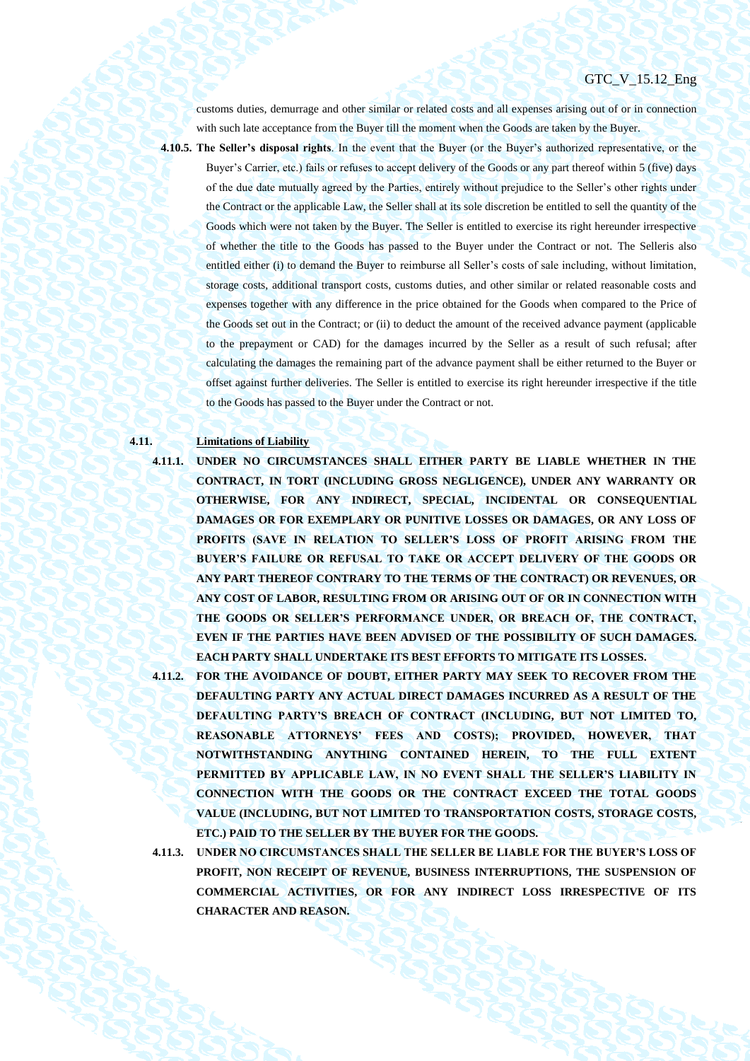# GTC V 15.12 Eng

customs duties, demurrage and other similar or related costs and all expenses arising out of or in connection with such late acceptance from the Buyer till the moment when the Goods are taken by the Buyer.

**4.10.5. The Seller's disposal rights**. In the event that the Buyer (or the Buyer's authorized representative, or the

Buyer's Carrier, etc.) fails or refuses to accept delivery of the Goods or any part thereof within 5 (five) days of the due date mutually agreed by the Parties, entirely without prejudice to the Seller's other rights under the Contract or the applicable Law, the Seller shall at its sole discretion be entitled to sell the quantity of the Goods which were not taken by the Buyer. The Seller is entitled to exercise its right hereunder irrespective of whether the title to the Goods has passed to the Buyer under the Contract or not. The Selleris also entitled either (i) to demand the Buyer to reimburse all Seller's costs of sale including, without limitation, storage costs, additional transport costs, customs duties, and other similar or related reasonable costs and expenses together with any difference in the price obtained for the Goods when compared to the Price of the Goods set out in the Contract; or (ii) to deduct the amount of the received advance payment (applicable to the prepayment or CAD) for the damages incurred by the Seller as a result of such refusal; after calculating the damages the remaining part of the advance payment shall be either returned to the Buyer or offset against further deliveries. The Seller is entitled to exercise its right hereunder irrespective if the title to the Goods has passed to the Buyer under the Contract or not.

## **4.11. Limitations of Liability**

**4.11.1. UNDER NO CIRCUMSTANCES SHALL EITHER PARTY BE LIABLE WHETHER IN THE CONTRACT, IN TORT (INCLUDING GROSS NEGLIGENCE), UNDER ANY WARRANTY OR OTHERWISE, FOR ANY INDIRECT, SPECIAL, INCIDENTAL OR CONSEQUENTIAL DAMAGES OR FOR EXEMPLARY OR PUNITIVE LOSSES OR DAMAGES, OR ANY LOSS OF PROFITS (SAVE IN RELATION TO SELLER'S LOSS OF PROFIT ARISING FROM THE BUYER'S FAILURE OR REFUSAL TO TAKE OR ACCEPT DELIVERY OF THE GOODS OR ANY PART THEREOF CONTRARY TO THE TERMS OF THE CONTRACT) OR REVENUES, OR ANY COST OF LABOR, RESULTING FROM OR ARISING OUT OF OR IN CONNECTION WITH THE GOODS OR SELLER'S PERFORMANCE UNDER, OR BREACH OF, THE CONTRACT, EVEN IF THE PARTIES HAVE BEEN ADVISED OF THE POSSIBILITY OF SUCH DAMAGES. EACH PARTY SHALL UNDERTAKE ITS BEST EFFORTS TO MITIGATE ITS LOSSES.**

**4.11.2. FOR THE AVOIDANCE OF DOUBT, EITHER PARTY MAY SEEK TO RECOVER FROM THE DEFAULTING PARTY ANY ACTUAL DIRECT DAMAGES INCURRED AS A RESULT OF THE DEFAULTING PARTY'S BREACH OF CONTRACT (INCLUDING, BUT NOT LIMITED TO, REASONABLE ATTORNEYS' FEES AND COSTS); PROVIDED, HOWEVER, THAT NOTWITHSTANDING ANYTHING CONTAINED HEREIN, TO THE FULL EXTENT**  PERMITTED BY APPLICABLE LAW, IN NO EVENT SHALL THE SELLER'S LIABILITY IN **CONNECTION WITH THE GOODS OR THE CONTRACT EXCEED THE TOTAL GOODS VALUE (INCLUDING, BUT NOT LIMITED TO TRANSPORTATION COSTS, STORAGE COSTS, ETC.) PAID TO THE SELLER BY THE BUYER FOR THE GOODS.**

**4.11.3. UNDER NO CIRCUMSTANCES SHALL THE SELLER BE LIABLE FOR THE BUYER'S LOSS OF PROFIT, NON RECEIPT OF REVENUE, BUSINESS INTERRUPTIONS, THE SUSPENSION OF COMMERCIAL ACTIVITIES, OR FOR ANY INDIRECT LOSS IRRESPECTIVE OF ITS CHARACTER AND REASON.**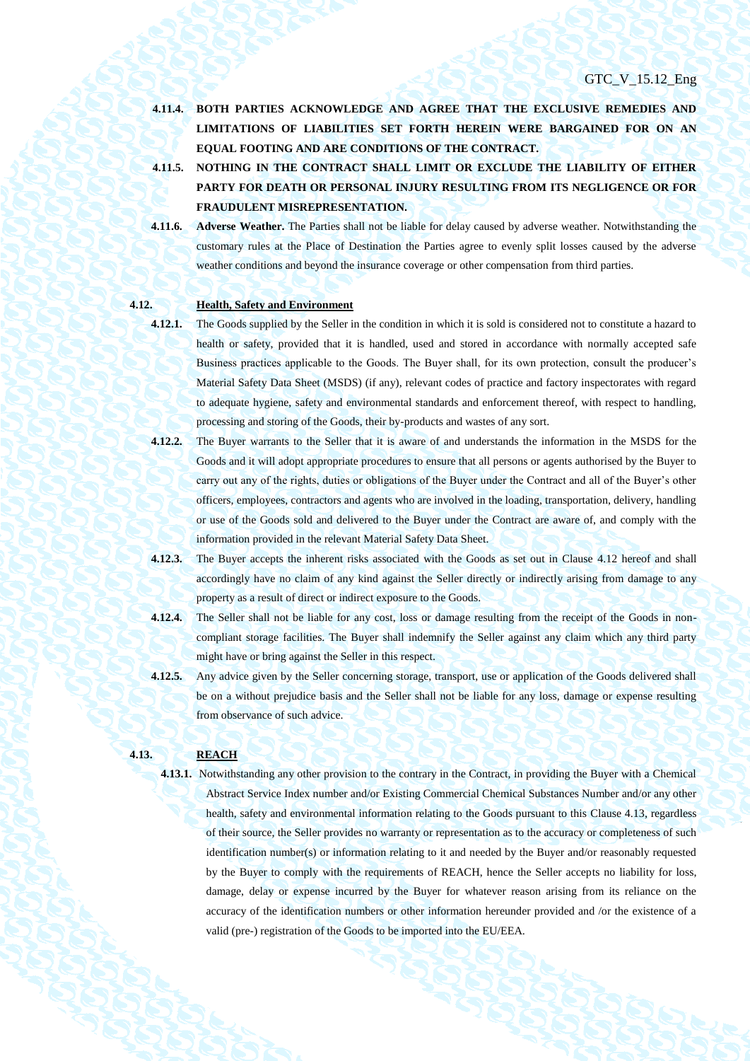- **4.11.4. BOTH PARTIES ACKNOWLEDGE AND AGREE THAT THE EXCLUSIVE REMEDIES AND LIMITATIONS OF LIABILITIES SET FORTH HEREIN WERE BARGAINED FOR ON AN EQUAL FOOTING AND ARE CONDITIONS OF THE CONTRACT.**
- **4.11.5. NOTHING IN THE CONTRACT SHALL LIMIT OR EXCLUDE THE LIABILITY OF EITHER PARTY FOR DEATH OR PERSONAL INJURY RESULTING FROM ITS NEGLIGENCE OR FOR FRAUDULENT MISREPRESENTATION.**
- **4.11.6. Adverse Weather.** The Parties shall not be liable for delay caused by adverse weather. Notwithstanding the customary rules at the Place of Destination the Parties agree to evenly split losses caused by the adverse weather conditions and beyond the insurance coverage or other compensation from third parties.

## **4.12. Health, Safety and Environment**

- <span id="page-40-0"></span>
	- **4.12.1.** The Goods supplied by the Seller in the condition in which it is sold is considered not to constitute a hazard to health or safety, provided that it is handled, used and stored in accordance with normally accepted safe Business practices applicable to the Goods. The Buyer shall, for its own protection, consult the producer's Material Safety Data Sheet (MSDS) (if any), relevant codes of practice and factory inspectorates with regard to adequate hygiene, safety and environmental standards and enforcement thereof, with respect to handling, processing and storing of the Goods, their by-products and wastes of any sort.
	- **4.12.2.** The Buyer warrants to the Seller that it is aware of and understands the information in the MSDS for the Goods and it will adopt appropriate procedures to ensure that all persons or agents authorised by the Buyer to carry out any of the rights, duties or obligations of the Buyer under the Contract and all of the Buyer's other officers, employees, contractors and agents who are involved in the loading, transportation, delivery, handling or use of the Goods sold and delivered to the Buyer under the Contract are aware of, and comply with the information provided in the relevant Material Safety Data Sheet.
- **4.12.3.** The Buyer accepts the inherent risks associated with the Goods as set out in Clause [4.12](#page-40-0) hereof and shall accordingly have no claim of any kind against the Seller directly or indirectly arising from damage to any property as a result of direct or indirect exposure to the Goods.
- **4.12.4.** The Seller shall not be liable for any cost, loss or damage resulting from the receipt of the Goods in noncompliant storage facilities. The Buyer shall indemnify the Seller against any claim which any third party might have or bring against the Seller in this respect.
- **4.12.5.** Any advice given by the Seller concerning storage, transport, use or application of the Goods delivered shall be on a without prejudice basis and the Seller shall not be liable for any loss, damage or expense resulting from observance of such advice.

# <span id="page-40-1"></span>**4.13. REACH**

**4.13.1.** Notwithstanding any other provision to the contrary in the Contract, in providing the Buyer with a Chemical Abstract Service Index number and/or Existing Commercial Chemical Substances Number and/or any other health, safety and environmental information relating to the Goods pursuant to this Clause [4.13,](#page-40-1) regardless of their source, the Seller provides no warranty or representation as to the accuracy or completeness of such identification number(s) or information relating to it and needed by the Buyer and/or reasonably requested by the Buyer to comply with the requirements of REACH, hence the Seller accepts no liability for loss, damage, delay or expense incurred by the Buyer for whatever reason arising from its reliance on the accuracy of the identification numbers or other information hereunder provided and /or the existence of a valid (pre-) registration of the Goods to be imported into the EU/EEA.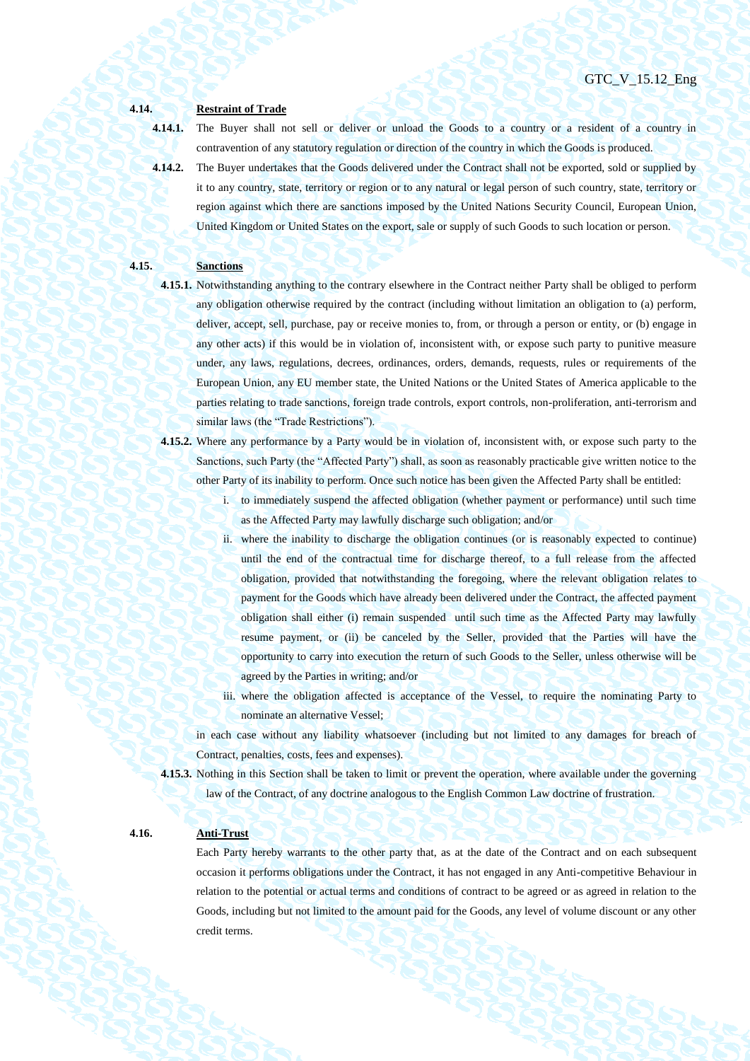# **4.14. Restraint of Trade**

**4.14.1.** The Buyer shall not sell or deliver or unload the Goods to a country or a resident of a country in contravention of any statutory regulation or direction of the country in which the Goods is produced.

**4.14.2.** The Buyer undertakes that the Goods delivered under the Contract shall not be exported, sold or supplied by it to any country, state, territory or region or to any natural or legal person of such country, state, territory or region against which there are sanctions imposed by the United Nations Security Council, European Union, United Kingdom or United States on the export, sale or supply of such Goods to such location or person.

## **4.15. Sanctions**

- **4.15.1.** Notwithstanding anything to the contrary elsewhere in the Contract neither Party shall be obliged to perform any obligation otherwise required by the contract (including without limitation an obligation to (a) perform, deliver, accept, sell, purchase, pay or receive monies to, from, or through a person or entity, or (b) engage in any other acts) if this would be in violation of, inconsistent with, or expose such party to punitive measure under, any laws, regulations, decrees, ordinances, orders, demands, requests, rules or requirements of the European Union, any EU member state, the United Nations or the United States of America applicable to the parties relating to trade sanctions, foreign trade controls, export controls, non-proliferation, anti-terrorism and similar laws (the "Trade Restrictions").
- **4.15.2.** Where any performance by a Party would be in violation of, inconsistent with, or expose such party to the Sanctions, such Party (the "Affected Party") shall, as soon as reasonably practicable give written notice to the other Party of its inability to perform. Once such notice has been given the Affected Party shall be entitled:
	- i. to immediately suspend the affected obligation (whether payment or performance) until such time as the Affected Party may lawfully discharge such obligation; and/or
	- ii. where the inability to discharge the obligation continues (or is reasonably expected to continue) until the end of the contractual time for discharge thereof, to a full release from the affected obligation, provided that notwithstanding the foregoing, where the relevant obligation relates to payment for the Goods which have already been delivered under the Contract, the affected payment obligation shall either (i) remain suspended until such time as the Affected Party may lawfully resume payment, or (ii) be canceled by the Seller, provided that the Parties will have the opportunity to carry into execution the return of such Goods to the Seller, unless otherwise will be agreed by the Parties in writing; and/or
	- iii. where the obligation affected is acceptance of the Vessel, to require the nominating Party to nominate an alternative Vessel;

in each case without any liability whatsoever (including but not limited to any damages for breach of Contract, penalties, costs, fees and expenses).

**4.15.3.** Nothing in this Section shall be taken to limit or prevent the operation, where available under the governing law of the Contract, of any doctrine analogous to the English Common Law doctrine of frustration.

## **4.16. Anti-Trust**

Each Party hereby warrants to the other party that, as at the date of the Contract and on each subsequent occasion it performs obligations under the Contract, it has not engaged in any Anti-competitive Behaviour in relation to the potential or actual terms and conditions of contract to be agreed or as agreed in relation to the Goods, including but not limited to the amount paid for the Goods, any level of volume discount or any other credit terms.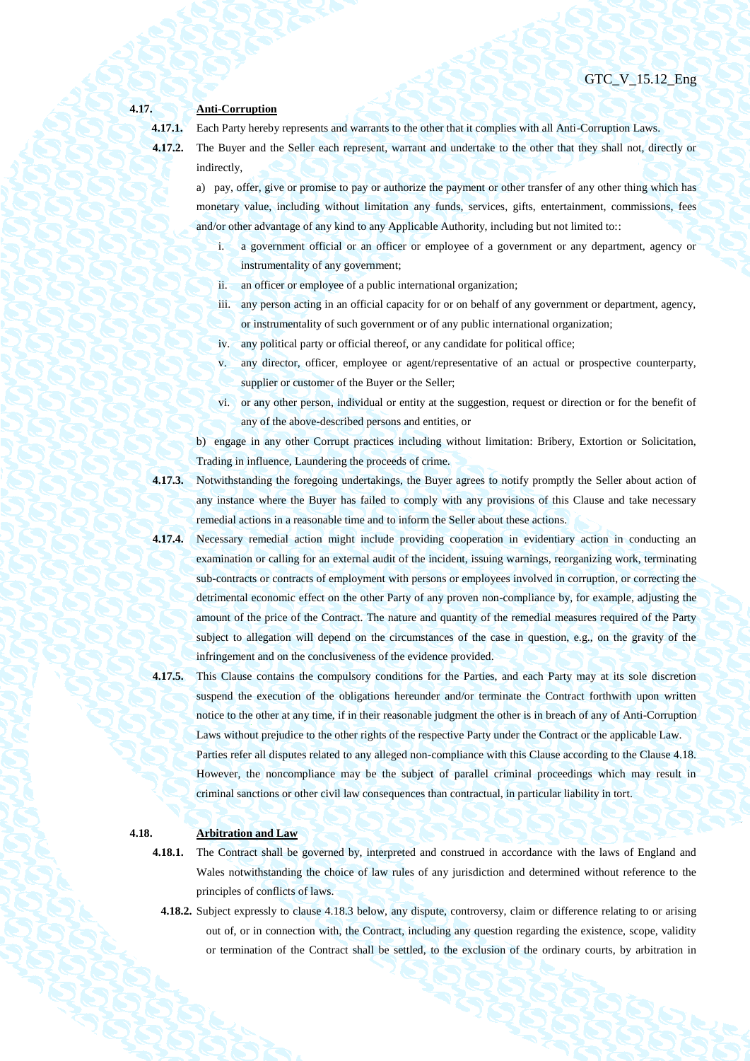## **4.17. Anti-Corruption**

**4.17.1.** Each Party hereby represents and warrants to the other that it complies with all Anti-Corruption Laws.

**4.17.2.** The Buyer and the Seller each represent, warrant and undertake to the other that they shall not, directly or indirectly,

a) pay, offer, give or promise to pay or authorize the payment or other transfer of any other thing which has monetary value, including without limitation any funds, services, gifts, entertainment, commissions, fees and/or other advantage of any kind to any Applicable Authority, including but not limited to::

- i. a government official or an officer or employee of a government or any department, agency or instrumentality of any government;
- ii. an officer or employee of a public international organization;
- iii. any person acting in an official capacity for or on behalf of any government or department, agency, or instrumentality of such government or of any public international organization;
- iv. any political party or official thereof, or any candidate for political office;
- v. any director, officer, employee or agent/representative of an actual or prospective counterparty, supplier or customer of the Buyer or the Seller;
- vi. or any other person, individual or entity at the suggestion, request or direction or for the benefit of any of the above-described persons and entities, or

b) engage in any other Corrupt practices including without limitation: Bribery, Extortion or Solicitation, Trading in influence, Laundering the proceeds of crime.

- **4.17.3.** Notwithstanding the foregoing undertakings, the Buyer agrees to notify promptly the Seller about action of any instance where the Buyer has failed to comply with any provisions of this Clause and take necessary remedial actions in a reasonable time and to inform the Seller about these actions.
- **4.17.4.** Necessary remedial action might include providing cooperation in evidentiary action in conducting an examination or calling for an external audit of the incident, issuing warnings, reorganizing work, terminating sub-contracts or contracts of employment with persons or employees involved in corruption, or correcting the detrimental economic effect on the other Party of any proven non-compliance by, for example, adjusting the amount of the price of the Contract. The nature and quantity of the remedial measures required of the Party subject to allegation will depend on the circumstances of the case in question, e.g., on the gravity of the infringement and on the conclusiveness of the evidence provided.
- **4.17.5.** This Clause contains the compulsory conditions for the Parties, and each Party may at its sole discretion suspend the execution of the obligations hereunder and/or terminate the Contract forthwith upon written notice to the other at any time, if in their reasonable judgment the other is in breach of any of Anti-Corruption Laws without prejudice to the other rights of the respective Party under the Contract or the applicable Law. Parties refer all disputes related to any alleged non-compliance with this Clause according to the Clause 4.18. However, the noncompliance may be the subject of parallel criminal proceedings which may result in criminal sanctions or other civil law consequences than contractual, in particular liability in tort.

## **4.18. Arbitration and Law**

- **4.18.1.** The Contract shall be governed by, interpreted and construed in accordance with the laws of England and Wales notwithstanding the choice of law rules of any jurisdiction and determined without reference to the principles of conflicts of laws.
- **4.18.2.** Subject expressly to clause 4.18.3 below, any dispute, controversy, claim or difference relating to or arising out of, or in connection with, the Contract, including any question regarding the existence, scope, validity or termination of the Contract shall be settled, to the exclusion of the ordinary courts, by arbitration in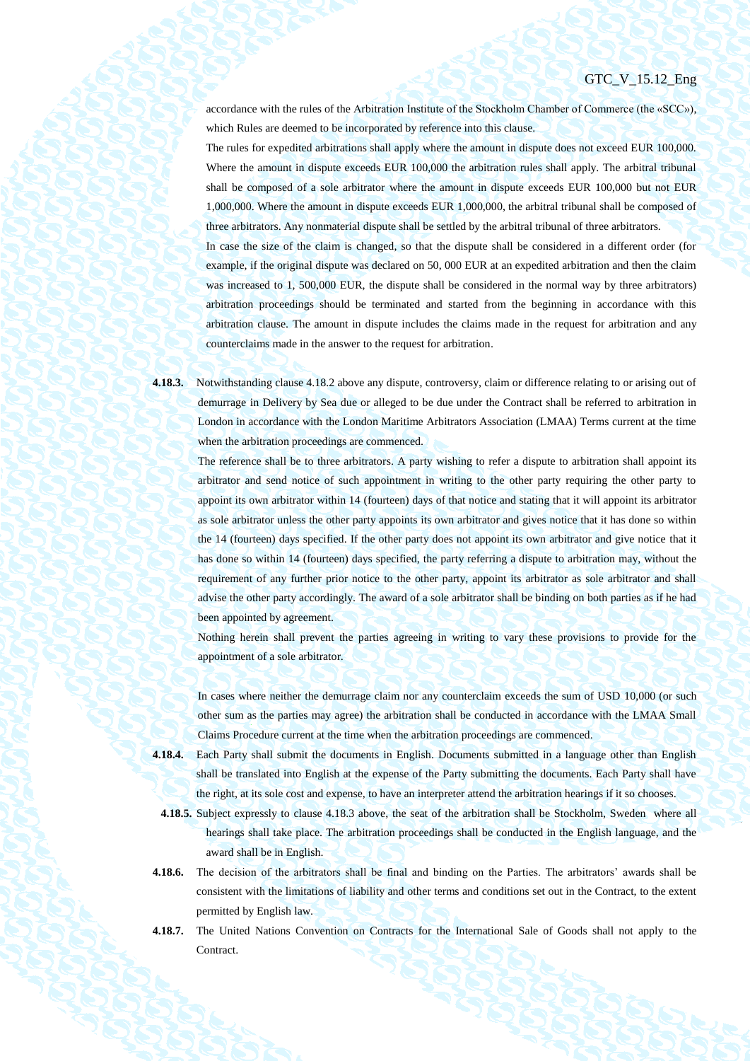accordance with the rules of the Arbitration Institute of the Stockholm Chamber of Commerce (the «SCC»), which Rules are deemed to be incorporated by reference into this clause.

The rules for expedited arbitrations shall apply where the amount in dispute does not exceed EUR 100,000. Where the amount in dispute exceeds EUR 100,000 the arbitration rules shall apply. The arbitral tribunal shall be composed of a sole arbitrator where the amount in dispute exceeds EUR 100,000 but not EUR 1,000,000. Where the amount in dispute exceeds EUR 1,000,000, the arbitral tribunal shall be composed of three arbitrators. Any nonmaterial dispute shall be settled by the arbitral tribunal of three arbitrators.

In case the size of the claim is changed, so that the dispute shall be considered in a different order (for example, if the original dispute was declared on 50, 000 EUR at an expedited arbitration and then the claim was increased to 1, 500,000 EUR, the dispute shall be considered in the normal way by three arbitrators) arbitration proceedings should be terminated and started from the beginning in accordance with this arbitration clause. The amount in dispute includes the claims made in the request for arbitration and any counterclaims made in the answer to the request for arbitration.

**4.18.3.** Notwithstanding clause 4.18.2 above any dispute, controversy, claim or difference relating to or arising out of demurrage in Delivery by Sea due or alleged to be due under the Contract shall be referred to arbitration in London in accordance with the London Maritime Arbitrators Association (LMAA) Terms current at the time when the arbitration proceedings are commenced.

The reference shall be to three arbitrators. A party wishing to refer a dispute to arbitration shall appoint its arbitrator and send notice of such appointment in writing to the other party requiring the other party to appoint its own arbitrator within 14 (fourteen) days of that notice and stating that it will appoint its arbitrator as sole arbitrator unless the other party appoints its own arbitrator and gives notice that it has done so within the 14 (fourteen) days specified. If the other party does not appoint its own arbitrator and give notice that it has done so within 14 (fourteen) days specified, the party referring a dispute to arbitration may, without the requirement of any further prior notice to the other party, appoint its arbitrator as sole arbitrator and shall advise the other party accordingly. The award of a sole arbitrator shall be binding on both parties as if he had been appointed by agreement.

Nothing herein shall prevent the parties agreeing in writing to vary these provisions to provide for the appointment of a sole arbitrator.

In cases where neither the demurrage claim nor any counterclaim exceeds the sum of USD 10,000 (or such other sum as the parties may agree) the arbitration shall be conducted in accordance with the LMAA Small Claims Procedure current at the time when the arbitration proceedings are commenced.

- **4.18.4.** Each Party shall submit the documents in English. Documents submitted in a language other than English shall be translated into English at the expense of the Party submitting the documents. Each Party shall have the right, at its sole cost and expense, to have an interpreter attend the arbitration hearings if it so chooses.
	- **4.18.5.** Subject expressly to clause 4.18.3 above, the seat of the arbitration shall be Stockholm, Sweden where all hearings shall take place. The arbitration proceedings shall be conducted in the English language, and the award shall be in English.
- **4.18.6.** The decision of the arbitrators shall be final and binding on the Parties. The arbitrators' awards shall be consistent with the limitations of liability and other terms and conditions set out in the Contract, to the extent permitted by English law.
- **4.18.7.** The United Nations Convention on Contracts for the International Sale of Goods shall not apply to the **Contract.**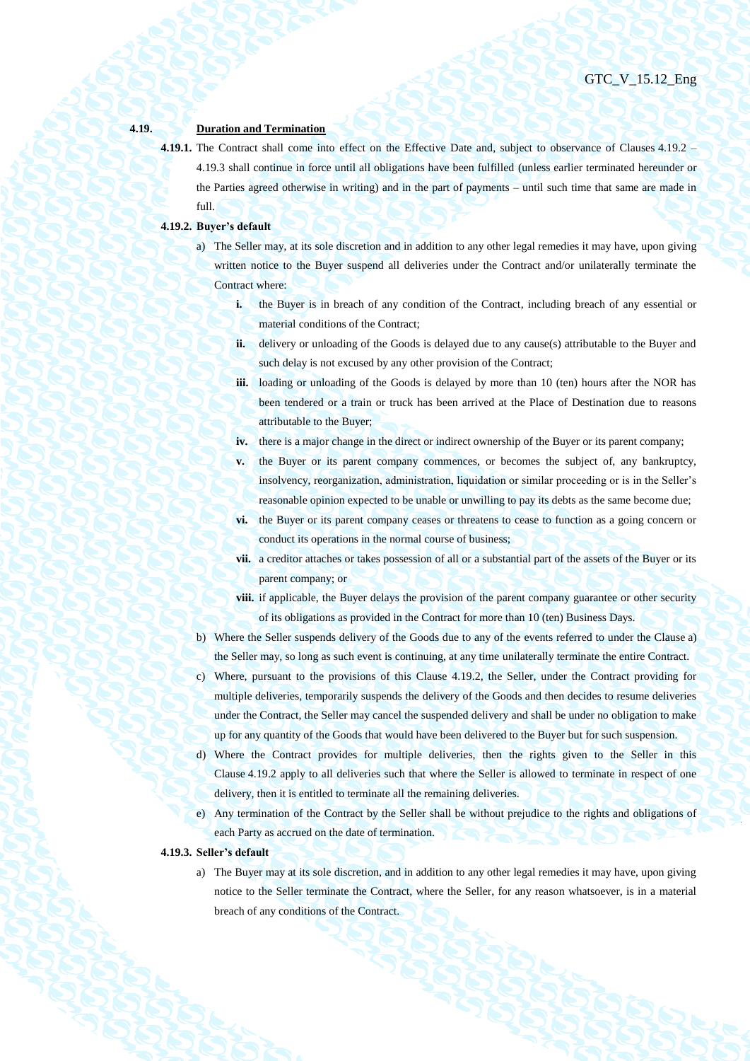## **4.19. Duration and Termination**

**4.19.1.** The Contract shall come into effect on the Effective Date and, subject to observance of Clauses [4.19.2](#page-44-1) – [4.19.3](#page-44-0) shall continue in force until all obligations have been fulfilled (unless earlier terminated hereunder or the Parties agreed otherwise in writing) and in the part of payments – until such time that same are made in full.

## <span id="page-44-2"></span><span id="page-44-1"></span>**4.19.2. Buyer's default**

- a) The Seller may, at its sole discretion and in addition to any other legal remedies it may have, upon giving written notice to the Buyer suspend all deliveries under the Contract and/or unilaterally terminate the Contract where:
	- **i.** the Buyer is in breach of any condition of the Contract, including breach of any essential or material conditions of the Contract;
	- **ii.** delivery or unloading of the Goods is delayed due to any cause(s) attributable to the Buyer and such delay is not excused by any other provision of the Contract;
	- **iii.** loading or unloading of the Goods is delayed by more than 10 (ten) hours after the NOR has been tendered or a train or truck has been arrived at the Place of Destination due to reasons attributable to the Buyer;
	- **iv.** there is a major change in the direct or indirect ownership of the Buyer or its parent company;
	- **v.** the Buyer or its parent company commences, or becomes the subject of, any bankruptcy, insolvency, reorganization, administration, liquidation or similar proceeding or is in the Seller's reasonable opinion expected to be unable or unwilling to pay its debts as the same become due;
	- **vi.** the Buyer or its parent company ceases or threatens to cease to function as a going concern or conduct its operations in the normal course of business;
	- **vii.** a creditor attaches or takes possession of all or a substantial part of the assets of the Buyer or its parent company; or
	- **viii.** if applicable, the Buyer delays the provision of the parent company guarantee or other security of its obligations as provided in the Contract for more than 10 (ten) Business Days.
- b) Where the Seller suspends delivery of the Goods due to any of the events referred to under the Clause [a\)](#page-44-2) the Seller may, so long as such event is continuing, at any time unilaterally terminate the entire Contract.
- c) Where, pursuant to the provisions of this Clause [4.19.2,](#page-44-1) the Seller, under the Contract providing for multiple deliveries, temporarily suspends the delivery of the Goods and then decides to resume deliveries under the Contract, the Seller may cancel the suspended delivery and shall be under no obligation to make up for any quantity of the Goods that would have been delivered to the Buyer but for such suspension.
- d) Where the Contract provides for multiple deliveries, then the rights given to the Seller in this Clause [4.19.2](#page-44-1) apply to all deliveries such that where the Seller is allowed to terminate in respect of one delivery, then it is entitled to terminate all the remaining deliveries.
- e) Any termination of the Contract by the Seller shall be without prejudice to the rights and obligations of each Party as accrued on the date of termination.

#### <span id="page-44-0"></span>**4.19.3. Seller's default**

a) The Buyer may at its sole discretion, and in addition to any other legal remedies it may have, upon giving notice to the Seller terminate the Contract, where the Seller, for any reason whatsoever, is in a material breach of any conditions of the Contract.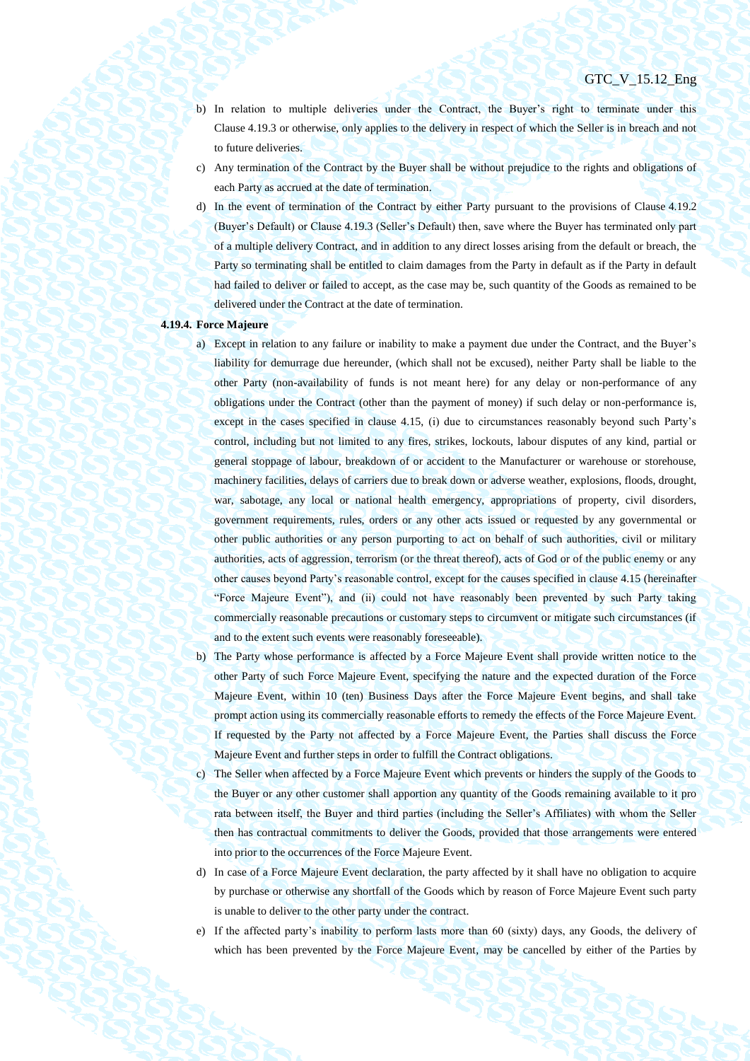- b) In relation to multiple deliveries under the Contract, the Buyer's right to terminate under this Clause [4.19.3](#page-44-0) or otherwise, only applies to the delivery in respect of which the Seller is in breach and not to future deliveries.
- c) Any termination of the Contract by the Buyer shall be without prejudice to the rights and obligations of each Party as accrued at the date of termination.
- d) In the event of termination of the Contract by either Party pursuant to the provisions of Clause [4.19.2](#page-44-1) (Buyer's Default) or Claus[e 4.19.3](#page-44-0) (Seller's Default) then, save where the Buyer has terminated only part of a multiple delivery Contract, and in addition to any direct losses arising from the default or breach, the Party so terminating shall be entitled to claim damages from the Party in default as if the Party in default had failed to deliver or failed to accept, as the case may be, such quantity of the Goods as remained to be delivered under the Contract at the date of termination.

## <span id="page-45-0"></span>**4.19.4. Force Majeure**

- a) Except in relation to any failure or inability to make a payment due under the Contract, and the Buyer's liability for demurrage due hereunder, (which shall not be excused), neither Party shall be liable to the other Party (non-availability of funds is not meant here) for any delay or non-performance of any obligations under the Contract (other than the payment of money) if such delay or non-performance is, except in the cases specified in clause 4.15, (i) due to circumstances reasonably beyond such Party's control, including but not limited to any fires, strikes, lockouts, labour disputes of any kind, partial or general stoppage of labour, breakdown of or accident to the Manufacturer or warehouse or storehouse, machinery facilities, delays of carriers due to break down or adverse weather, explosions, floods, drought, war, sabotage, any local or national health emergency, appropriations of property, civil disorders, government requirements, rules, orders or any other acts issued or requested by any governmental or other public authorities or any person purporting to act on behalf of such authorities, civil or military authorities, acts of aggression, terrorism (or the threat thereof), acts of God or of the public enemy or any other causes beyond Party's reasonable control, except for the causes specified in clause 4.15 (hereinafter "Force Majeure Event"), and (ii) could not have reasonably been prevented by such Party taking commercially reasonable precautions or customary steps to circumvent or mitigate such circumstances (if and to the extent such events were reasonably foreseeable).
- b) The Party whose performance is affected by a Force Majeure Event shall provide written notice to the other Party of such Force Majeure Event, specifying the nature and the expected duration of the Force Majeure Event, within 10 (ten) Business Days after the Force Majeure Event begins, and shall take prompt action using its commercially reasonable efforts to remedy the effects of the Force Majeure Event. If requested by the Party not affected by a Force Majeure Event, the Parties shall discuss the Force Majeure Event and further steps in order to fulfill the Contract obligations.
- c) The Seller when affected by a Force Majeure Event which prevents or hinders the supply of the Goods to the Buyer or any other customer shall apportion any quantity of the Goods remaining available to it pro rata between itself, the Buyer and third parties (including the Seller's Affiliates) with whom the Seller then has contractual commitments to deliver the Goods, provided that those arrangements were entered into prior to the occurrences of the Force Majeure Event.
- d) In case of a Force Majeure Event declaration, the party affected by it shall have no obligation to acquire by purchase or otherwise any shortfall of the Goods which by reason of Force Majeure Event such party is unable to deliver to the other party under the contract.
- e) If the affected party's inability to perform lasts more than 60 (sixty) days, any Goods, the delivery of which has been prevented by the Force Majeure Event, may be cancelled by either of the Parties by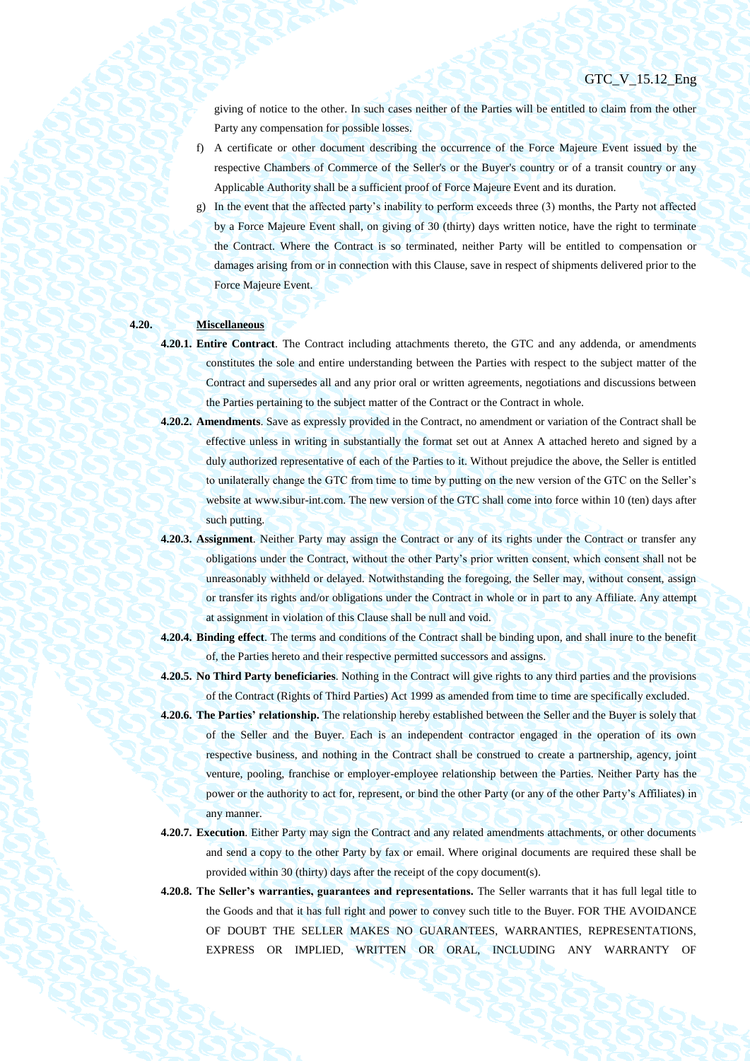giving of notice to the other. In such cases neither of the Parties will be entitled to claim from the other Party any compensation for possible losses.

- f) A certificate or other document describing the occurrence of the Force Majeure Event issued by the respective Chambers of Commerce of the Seller's or the Buyer's country or of a transit country or any Applicable Authority shall be a sufficient proof of Force Majeure Event and its duration.
- g) In the event that the affected party's inability to perform exceeds three (3) months, the Party not affected by a Force Majeure Event shall, on giving of 30 (thirty) days written notice, have the right to terminate the Contract. Where the Contract is so terminated, neither Party will be entitled to compensation or damages arising from or in connection with this Clause, save in respect of shipments delivered prior to the Force Majeure Event.

## **4.20. Miscellaneous**

- **4.20.1. Entire Contract**. The Contract including attachments thereto, the GTC and any addenda, or amendments constitutes the sole and entire understanding between the Parties with respect to the subject matter of the Contract and supersedes all and any prior oral or written agreements, negotiations and discussions between the Parties pertaining to the subject matter of the Contract or the Contract in whole.
- **4.20.2. Amendments**. Save as expressly provided in the Contract, no amendment or variation of the Contract shall be effective unless in writing in substantially the format set out at Annex A attached hereto and signed by a duly authorized representative of each of the Parties to it. Without prejudice the above, the Seller is entitled to unilaterally change the GTC from time to time by putting on the new version of the GTC on the Seller's website at www.sibur-int.com. The new version of the GTC shall come into force within 10 (ten) days after such putting.
- **4.20.3. Assignment**. Neither Party may assign the Contract or any of its rights under the Contract or transfer any obligations under the Contract, without the other Party's prior written consent, which consent shall not be unreasonably withheld or delayed. Notwithstanding the foregoing, the Seller may, without consent, assign or transfer its rights and/or obligations under the Contract in whole or in part to any Affiliate. Any attempt at assignment in violation of this Clause shall be null and void.
- **4.20.4. Binding effect**. The terms and conditions of the Contract shall be binding upon, and shall inure to the benefit of, the Parties hereto and their respective permitted successors and assigns.
- **4.20.5. No Third Party beneficiaries**. Nothing in the Contract will give rights to any third parties and the provisions of the Contract (Rights of Third Parties) Act 1999 as amended from time to time are specifically excluded.
- **4.20.6. The Parties' relationship.** The relationship hereby established between the Seller and the Buyer is solely that of the Seller and the Buyer. Each is an independent contractor engaged in the operation of its own respective business, and nothing in the Contract shall be construed to create a partnership, agency, joint venture, pooling, franchise or employer-employee relationship between the Parties. Neither Party has the power or the authority to act for, represent, or bind the other Party (or any of the other Party's Affiliates) in any manner.
- **4.20.7. Execution**. Either Party may sign the Contract and any related amendments attachments, or other documents and send a copy to the other Party by fax or email. Where original documents are required these shall be provided within 30 (thirty) days after the receipt of the copy document(s).
- **4.20.8. The Seller's warranties, guarantees and representations.** The Seller warrants that it has full legal title to the Goods and that it has full right and power to convey such title to the Buyer. FOR THE AVOIDANCE OF DOUBT THE SELLER MAKES NO GUARANTEES, WARRANTIES, REPRESENTATIONS, EXPRESS OR IMPLIED, WRITTEN OR ORAL, INCLUDING ANY WARRANTY OF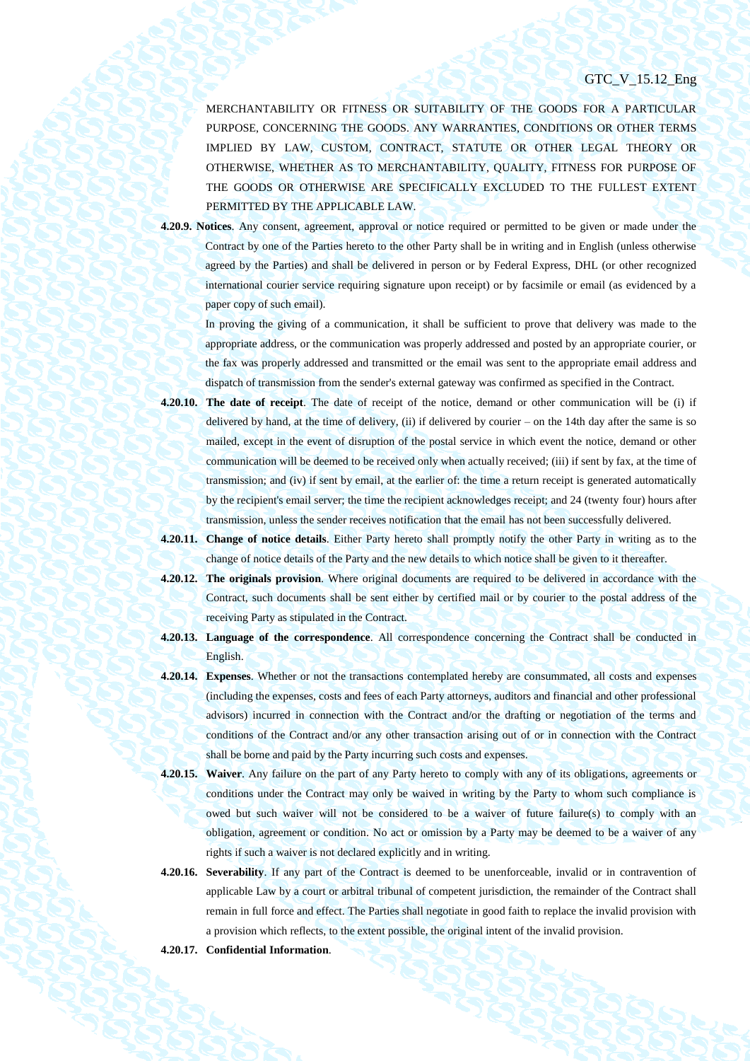MERCHANTABILITY OR FITNESS OR SUITABILITY OF THE GOODS FOR A PARTICULAR PURPOSE, CONCERNING THE GOODS. ANY WARRANTIES, CONDITIONS OR OTHER TERMS IMPLIED BY LAW, CUSTOM, CONTRACT, STATUTE OR OTHER LEGAL THEORY OR OTHERWISE, WHETHER AS TO MERCHANTABILITY, QUALITY, FITNESS FOR PURPOSE OF THE GOODS OR OTHERWISE ARE SPECIFICALLY EXCLUDED TO THE FULLEST EXTENT PERMITTED BY THE APPLICABLE LAW.

**4.20.9. Notices**. Any consent, agreement, approval or notice required or permitted to be given or made under the Contract by one of the Parties hereto to the other Party shall be in writing and in English (unless otherwise agreed by the Parties) and shall be delivered in person or by Federal Express, DHL (or other recognized international courier service requiring signature upon receipt) or by facsimile or email (as evidenced by a paper copy of such email).

In proving the giving of a communication, it shall be sufficient to prove that delivery was made to the appropriate address, or the communication was properly addressed and posted by an appropriate courier, or the fax was properly addressed and transmitted or the email was sent to the appropriate email address and dispatch of transmission from the sender's external gateway was confirmed as specified in the Contract.

- **4.20.10. The date of receipt**. The date of receipt of the notice, demand or other communication will be (i) if delivered by hand, at the time of delivery, (ii) if delivered by courier – on the 14th day after the same is so mailed, except in the event of disruption of the postal service in which event the notice, demand or other communication will be deemed to be received only when actually received; (iii) if sent by fax, at the time of transmission; and (iv) if sent by email, at the earlier of: the time a return receipt is generated automatically by the recipient's email server; the time the recipient acknowledges receipt; and 24 (twenty four) hours after transmission, unless the sender receives notification that the email has not been successfully delivered.
- **4.20.11. Change of notice details**. Either Party hereto shall promptly notify the other Party in writing as to the change of notice details of the Party and the new details to which notice shall be given to it thereafter.
- **4.20.12. The originals provision**. Where original documents are required to be delivered in accordance with the Contract, such documents shall be sent either by certified mail or by courier to the postal address of the receiving Party as stipulated in the Contract.
- **4.20.13. Language of the correspondence**. All correspondence concerning the Contract shall be conducted in English.
- **4.20.14. Expenses**. Whether or not the transactions contemplated hereby are consummated, all costs and expenses (including the expenses, costs and fees of each Party attorneys, auditors and financial and other professional advisors) incurred in connection with the Contract and/or the drafting or negotiation of the terms and conditions of the Contract and/or any other transaction arising out of or in connection with the Contract shall be borne and paid by the Party incurring such costs and expenses.
- **4.20.15. Waiver**. Any failure on the part of any Party hereto to comply with any of its obligations, agreements or conditions under the Contract may only be waived in writing by the Party to whom such compliance is owed but such waiver will not be considered to be a waiver of future failure(s) to comply with an obligation, agreement or condition. No act or omission by a Party may be deemed to be a waiver of any rights if such a waiver is not declared explicitly and in writing.
- **4.20.16. Severability**. If any part of the Contract is deemed to be unenforceable, invalid or in contravention of applicable Law by a court or arbitral tribunal of competent jurisdiction, the remainder of the Contract shall remain in full force and effect. The Parties shall negotiate in good faith to replace the invalid provision with a provision which reflects, to the extent possible, the original intent of the invalid provision.
- **4.20.17. Confidential Information**.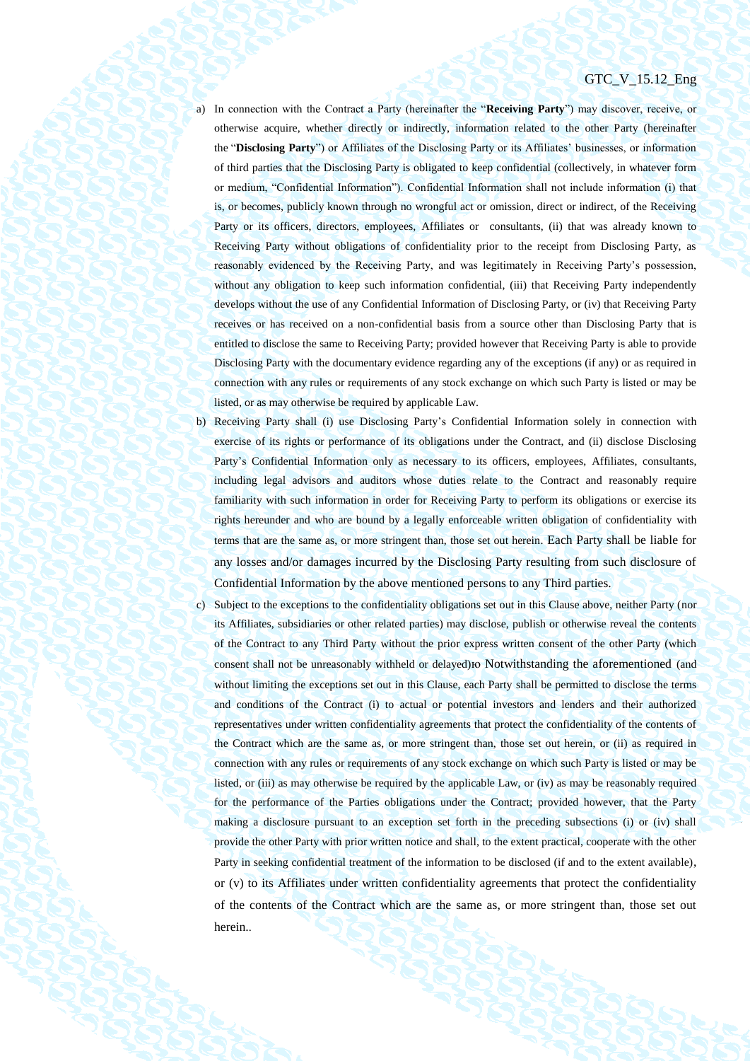- a) In connection with the Contract a Party (hereinafter the "**Receiving Party**") may discover, receive, or otherwise acquire, whether directly or indirectly, information related to the other Party (hereinafter the "**Disclosing Party**") or Affiliates of the Disclosing Party or its Affiliates' businesses, or information of third parties that the Disclosing Party is obligated to keep confidential (collectively, in whatever form or medium, "Confidential Information"). Confidential Information shall not include information (i) that is, or becomes, publicly known through no wrongful act or omission, direct or indirect, of the Receiving Party or its officers, directors, employees, Affiliates or consultants, (ii) that was already known to Receiving Party without obligations of confidentiality prior to the receipt from Disclosing Party, as reasonably evidenced by the Receiving Party, and was legitimately in Receiving Party's possession, without any obligation to keep such information confidential, (iii) that Receiving Party independently develops without the use of any Confidential Information of Disclosing Party, or (iv) that Receiving Party receives or has received on a non-confidential basis from a source other than Disclosing Party that is entitled to disclose the same to Receiving Party; provided however that Receiving Party is able to provide Disclosing Party with the documentary evidence regarding any of the exceptions (if any) or as required in connection with any rules or requirements of any stock exchange on which such Party is listed or may be listed, or as may otherwise be required by applicable Law.
- b) Receiving Party shall (i) use Disclosing Party's Confidential Information solely in connection with exercise of its rights or performance of its obligations under the Contract, and (ii) disclose Disclosing Party's Confidential Information only as necessary to its officers, employees, Affiliates, consultants, including legal advisors and auditors whose duties relate to the Contract and reasonably require familiarity with such information in order for Receiving Party to perform its obligations or exercise its rights hereunder and who are bound by a legally enforceable written obligation of confidentiality with terms that are the same as, or more stringent than, those set out herein. Each Party shall be liable for any losses and/or damages incurred by the Disclosing Party resulting from such disclosure of Confidential Information by the above mentioned persons to any Third parties.
- c) Subject to the exceptions to the confidentiality obligations set out in this Clause above, neither Party (nor its Affiliates, subsidiaries or other related parties) may disclose, publish or otherwise reveal the contents of the Contract to any Third Party without the prior express written consent of the other Party (which consent shall not be unreasonably withheld or delayed)ю Notwithstanding the aforementioned (and without limiting the exceptions set out in this Clause, each Party shall be permitted to disclose the terms and conditions of the Contract (i) to actual or potential investors and lenders and their authorized representatives under written confidentiality agreements that protect the confidentiality of the contents of the Contract which are the same as, or more stringent than, those set out herein, or (ii) as required in connection with any rules or requirements of any stock exchange on which such Party is listed or may be listed, or (iii) as may otherwise be required by the applicable Law, or (iv) as may be reasonably required for the performance of the Parties obligations under the Contract; provided however, that the Party making a disclosure pursuant to an exception set forth in the preceding subsections (i) or (iv) shall provide the other Party with prior written notice and shall, to the extent practical, cooperate with the other Party in seeking confidential treatment of the information to be disclosed (if and to the extent available), or (v) to its Affiliates under written confidentiality agreements that protect the confidentiality of the contents of the Contract which are the same as, or more stringent than, those set out herein..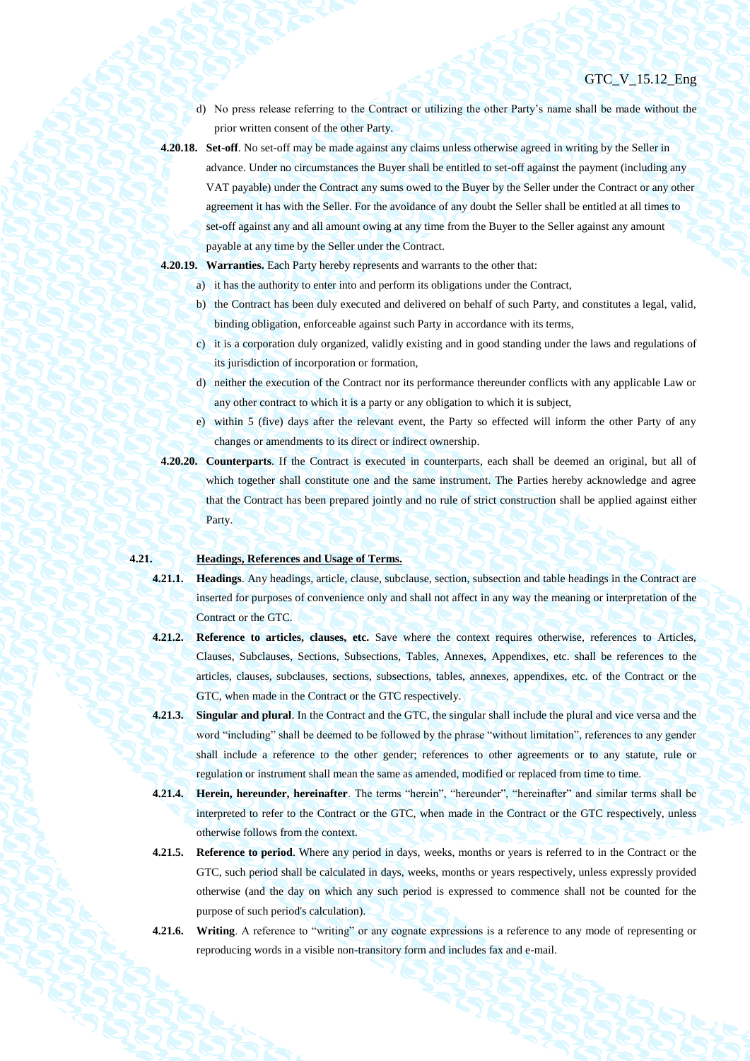d) No press release referring to the Contract or utilizing the other Party's name shall be made without the prior written consent of the other Party.

- **4.20.18. Set-off**. No set-off may be made against any claims unless otherwise agreed in writing by the Seller in advance. Under no circumstances the Buyer shall be entitled to set-off against the payment (including any VAT payable) under the Contract any sums owed to the Buyer by the Seller under the Contract or any other agreement it has with the Seller. For the avoidance of any doubt the Seller shall be entitled at all times to set-off against any and all amount owing at any time from the Buyer to the Seller against any amount payable at any time by the Seller under the Contract.
- **4.20.19. Warranties.** Each Party hereby represents and warrants to the other that:
	- a) it has the authority to enter into and perform its obligations under the Contract,
	- b) the Contract has been duly executed and delivered on behalf of such Party, and constitutes a legal, valid, binding obligation, enforceable against such Party in accordance with its terms,
	- c) it is a corporation duly organized, validly existing and in good standing under the laws and regulations of its jurisdiction of incorporation or formation,
	- d) neither the execution of the Contract nor its performance thereunder conflicts with any applicable Law or any other contract to which it is a party or any obligation to which it is subject,
	- e) within 5 (five) days after the relevant event, the Party so effected will inform the other Party of any changes or amendments to its direct or indirect ownership.
- **4.20.20. Counterparts**. If the Contract is executed in counterparts, each shall be deemed an original, but all of which together shall constitute one and the same instrument. The Parties hereby acknowledge and agree that the Contract has been prepared jointly and no rule of strict construction shall be applied against either Party.

## **4.21. Headings, References and Usage of Terms.**

- **4.21.1. Headings**. Any headings, article, clause, subclause, section, subsection and table headings in the Contract are inserted for purposes of convenience only and shall not affect in any way the meaning or interpretation of the Contract or the GTC.
- **4.21.2. Reference to articles, clauses, etc.** Save where the context requires otherwise, references to Articles, Clauses, Subclauses, Sections, Subsections, Tables, Annexes, Appendixes, etc. shall be references to the articles, clauses, subclauses, sections, subsections, tables, annexes, appendixes, etc. of the Contract or the GTC, when made in the Contract or the GTC respectively.
- **4.21.3. Singular and plural**. In the Contract and the GTC, the singular shall include the plural and vice versa and the word "including" shall be deemed to be followed by the phrase "without limitation", references to any gender shall include a reference to the other gender; references to other agreements or to any statute, rule or regulation or instrument shall mean the same as amended, modified or replaced from time to time.
- **4.21.4. Herein, hereunder, hereinafter**. The terms "herein", "hereunder", "hereinafter" and similar terms shall be interpreted to refer to the Contract or the GTC, when made in the Contract or the GTC respectively, unless otherwise follows from the context.
- **4.21.5. Reference to period**. Where any period in days, weeks, months or years is referred to in the Contract or the GTC, such period shall be calculated in days, weeks, months or years respectively, unless expressly provided otherwise (and the day on which any such period is expressed to commence shall not be counted for the purpose of such period's calculation).
- **4.21.6. Writing**. A reference to "writing" or any cognate expressions is a reference to any mode of representing or reproducing words in a visible non-transitory form and includes fax and e-mail.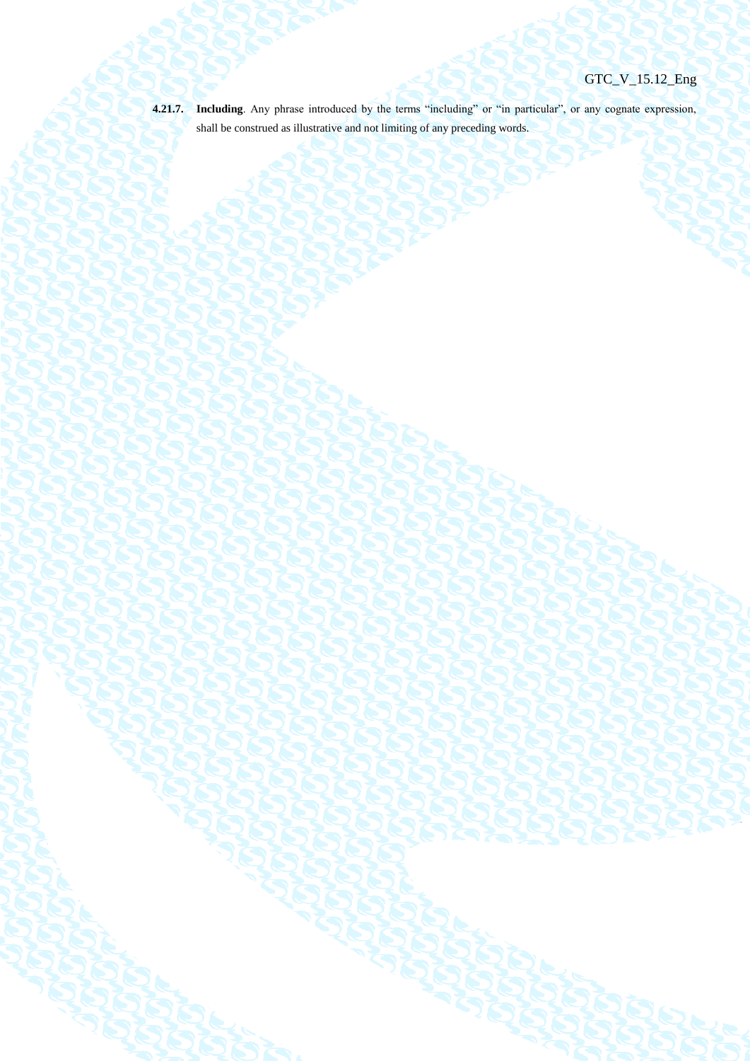**4.21.7. Including**. Any phrase introduced by the terms "including" or "in particular", or any cognate expression,

shall be construed as illustrative and not limiting of any preceding words.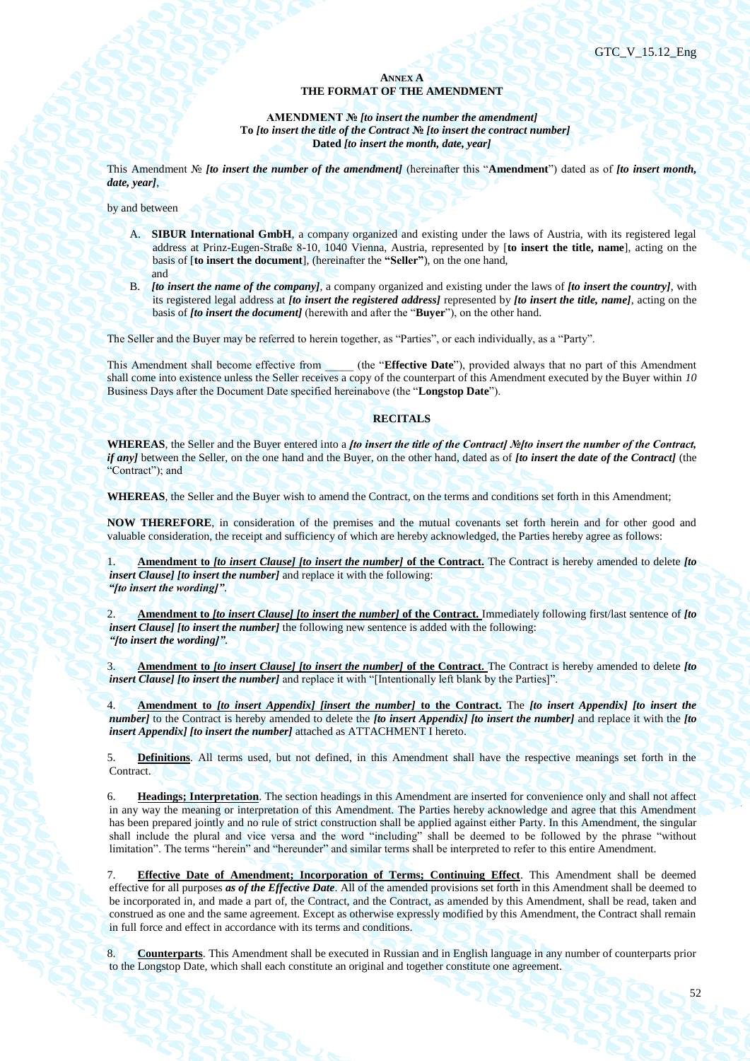## **ANNEX A THE FORMAT OF THE AMENDMENT**

**AMENDMENT №** *[to insert the number the amendment]* **To** *[to insert the title of the Contract* **№** *[to insert the contract number]* **Dated** *[to insert the month, date, year]*

This Amendment № *[to insert the number of the amendment]* (hereinafter this "**Amendment**") dated as of *[to insert month, date, year]*,

by and between

- A. **SIBUR International GmbH**, a company organized and existing under the laws of Austria, with its registered legal address at Prinz-Eugen-Straße 8-10, 1040 Vienna, Austria, represented by [**to insert the title, name**], acting on the basis of [**to insert the document**], (hereinafter the **"Seller"**), on the one hand, and
- B. *[to insert the name of the company]*, a company organized and existing under the laws of *[to insert the country]*, with its registered legal address at *[to insert the registered address]* represented by *[to insert the title, name]*, acting on the basis of *[to insert the document]* (herewith and after the "**Buyer**"), on the other hand.

The Seller and the Buyer may be referred to herein together, as "Parties", or each individually, as a "Party".

This Amendment shall become effective from (the "**Effective Date**"), provided always that no part of this Amendment shall come into existence unless the Seller receives a copy of the counterpart of this Amendment executed by the Buyer within *10* Business Days after the Document Date specified hereinabove (the "**Longstop Date**").

## **RECITALS**

**WHEREAS**, the Seller and the Buyer entered into a *[to insert the title of the Contract] №[to insert the number of the Contract, if any]* between the Seller, on the one hand and the Buyer, on the other hand, dated as of *[to insert the date of the Contract]* (the "Contract"); and

**WHEREAS**, the Seller and the Buyer wish to amend the Contract, on the terms and conditions set forth in this Amendment;

**NOW THEREFORE**, in consideration of the premises and the mutual covenants set forth herein and for other good and valuable consideration, the receipt and sufficiency of which are hereby acknowledged, the Parties hereby agree as follows:

1. **Amendment to** *[to insert Clause] [to insert the number]* **of the Contract.** The Contract is hereby amended to delete *[to insert Clause] [to insert the number]* and replace it with the following: *"[to insert the wording]"*.

2. **Amendment to** *[to insert Clause] [to insert the number]* **of the Contract.** Immediately following first/last sentence of *[to insert Clause] [to insert the number]* the following new sentence is added with the following: *"[to insert the wording]"*.

3. **Amendment to** *[to insert Clause] [to insert the number]* **of the Contract.** The Contract is hereby amended to delete *[to insert Clause] [to insert the number]* and replace it with "[Intentionally left blank by the Parties]".

4. **Amendment to** *[to insert Appendix] [insert the number]* **to the Contract.** The *[to insert Appendix] [to insert the number]* to the Contract is hereby amended to delete the *[to insert Appendix] [to insert the number]* and replace it with the *[to insert Appendix] [to insert the number]* attached as ATTACHMENT I hereto.

5. **Definitions**. All terms used, but not defined, in this Amendment shall have the respective meanings set forth in the Contract.

6. **Headings; Interpretation**. The section headings in this Amendment are inserted for convenience only and shall not affect in any way the meaning or interpretation of this Amendment. The Parties hereby acknowledge and agree that this Amendment has been prepared jointly and no rule of strict construction shall be applied against either Party. In this Amendment, the singular shall include the plural and vice versa and the word "including" shall be deemed to be followed by the phrase "without limitation". The terms "herein" and "hereunder" and similar terms shall be interpreted to refer to this entire Amendment.

7. **Effective Date of Amendment; Incorporation of Terms; Continuing Effect**. This Amendment shall be deemed effective for all purposes *as of the Effective Date*. All of the amended provisions set forth in this Amendment shall be deemed to be incorporated in, and made a part of, the Contract, and the Contract, as amended by this Amendment, shall be read, taken and construed as one and the same agreement. Except as otherwise expressly modified by this Amendment, the Contract shall remain in full force and effect in accordance with its terms and conditions.

8. **Counterparts**. This Amendment shall be executed in Russian and in English language in any number of counterparts prior to the Longstop Date, which shall each constitute an original and together constitute one agreement.